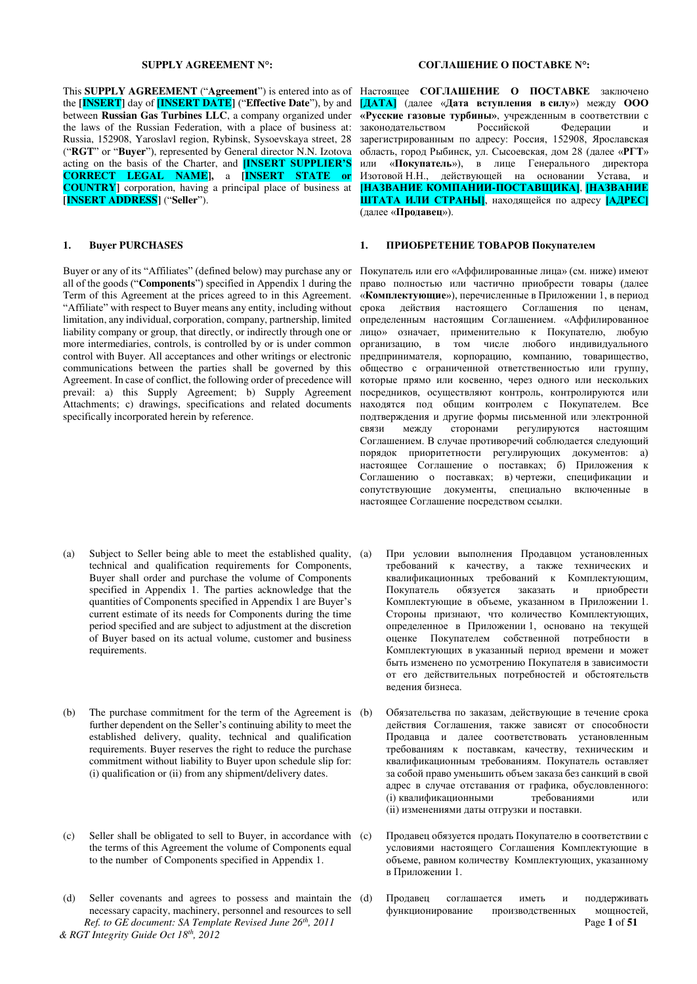This **SUPPLY AGREEMENT** ("**Agreement**") is entered into as of the **[INSERT]** day of **[INSERT DATE]** ("Effective Date"), by and between **Russian Gas Turbines LLC**, a company organized under the laws of the Russian Federation, with a place of business at: Russia, 152908, Yaroslavl region, Rybinsk, Sysoevskaya street, 28 ("RGT" or "Buyer"), represented by General director N.N. Izotova acting on the basis of the Charter, and **HINSERT SUPPLIER'S CORRECT LEGAL NAME],** a **[INSERT STATE or COUNTRY]** corporation, having a principal place of business at **[INSERT ADDRESS]** ("**Seller**").

Buyer or any of its "Affiliates" (defined below) may purchase any or all of the goods ("**Components**") specified in Appendix 1 during the Term of this Agreement at the prices agreed to in this Agreement. "Affiliate" with respect to Buyer means any entity, including without limitation, any individual, corporation, company, partnership, limited liability company or group, that directly, or indirectly through one or more intermediaries, controls, is controlled by or is under common control with Buyer. All acceptances and other writings or electronic communications between the parties shall be governed by this Agreement. In case of conflict, the following order of precedence will prevail: a) this Supply Agreement; b) Supply Agreement Attachments; c) drawings, specifications and related documents specifically incorporated herein by reference.

- (a) Subject to Seller being able to meet the established quality, technical and qualification requirements for Components, Buyer shall order and purchase the volume of Components specified in Appendix 1. The parties acknowledge that the quantities of Components specified in Appendix 1 are Buyer's current estimate of its needs for Components during the time period specified and are subject to adjustment at the discretion of Buyer based on its actual volume, customer and business requirements.
- (b) The purchase commitment for the term of the Agreement is (b) further dependent on the Seller's continuing ability to meet the established delivery, quality, technical and qualification requirements. Buyer reserves the right to reduce the purchase commitment without liability to Buyer upon schedule slip for: (i) qualification or (ii) from any shipment/delivery dates.
- (c) Seller shall be obligated to sell to Buyer, in accordance with the terms of this Agreement the volume of Components equal to the number of Components specified in Appendix 1.
- *Ref. to GE document: SA Template Revised June 26th, 2011* Page **1** of **51** *& RGT Integrity Guide Oct 18th, 2012*  (d) Seller covenants and agrees to possess and maintain the necessary capacity, machinery, personnel and resources to sell

#### **SUPPLY AGREEMENT N°: ɋɈȽɅȺɒȿɇɂȿ Ɉ ɉɈɋɌȺȼɄȿ N°:**

Настоящее СОГЛАШЕНИЕ О ПОСТАВКЕ заключено **[ȾȺɌȺ]** (ɞɚɥɟɟ «**Ⱦɚɬɚ ɜɫɬɭɩɥɟɧɢɹ ɜ ɫɢɥɭ**») ɦɟɠɞɭ **ɈɈɈ** «Русские газовые турбины», учрежденным в соответствии с законолательством Российской Федерации и зарегистрированным по адресу: Россия, 152908, Ярославская область, город Рыбинск, ул. Сысоевская, дом 28 (далее «РГТ» или «Покупатель»), в лице Генерального директора Изотовой Н.Н., действующей на основании Устава, и **[НАЗВАНИЕ КОМПАНИИ-ПОСТАВЩИКА], [НАЗВАНИЕ ШТАТА ИЛИ СТРАНЫ**, находящейся по адресу [АДРЕС] (далее «**Продавец**»).

### **1. Виуег PURCHASES 1. ПРИОБРЕТЕНИЕ ТОВАРОВ Покупателем**

Покупатель или его «Аффилированные лица» (см. ниже) имеют право полностью или частично приобрести товары (далее «Комплектующие»), перечисленные в Приложении 1, в период срока действия настоящего Соглашения по ценам, определенным настоящим Соглашением. «Аффилированное лицо» означает, применительно к Покупателю, любую организацию, в том числе любого индивидуального предпринимателя, корпорацию, компанию, товарищество, общество с ограниченной ответственностью или группу, которые прямо или косвенно, через одного или нескольких посредников, осуществляют контроль, контролируются или находятся под общим контролем с Покупателем. Все подтверждения и другие формы письменной или электронной связи между сторонами регулируются настоящим Соглашением. В случае противоречий соблюдается следующий порядок приоритетности регулирующих документов: а) настоящее Соглашение о поставках; б) Приложения к Соглашению о поставках; в) чертежи, спецификации и сопутствующие документы, специально включенные в настоящее Соглашение посредством ссылки.

- При условии выполнения Продавцом установленных требований к качеству, а также технических и хвалификационных требований к Комплектующим, Покупатель обязуется заказать и приобрести Комплектующие в объеме, указанном в Приложении 1. Стороны признают, что количество Комплектующих, определенное в Приложении 1, основано на текущей оценке Покупателем собственной потребности в Комплектующих в указанный период времени и может быть изменено по усмотрению Покупателя в зависимости от его действительных потребностей и обстоятельств веления бизнеса.
- Обязательства по заказам, действующие в течение срока действия Соглашения, также зависят от способности Продавца и далее соответствовать установленным требованиям к поставкам, качеству, техническим и квалификационным требованиям. Покупатель оставляет за собой право уменьшить объем заказа без санкций в свой адрес в случае отставания от графика, обусловленного:<br>(i) квалификационными или требованиями или (i) квалификационными требованиями или (ii) изменениями даты отгрузки и поставки.
- Продавец обязуется продать Покупателю в соответствии с условиями настоящего Соглашения Комплектующие в объеме, равном количеству Комплектующих, указанному в Приложении 1.
- Продавец соглашается иметь и поддерживать функционирование производственных мощностей,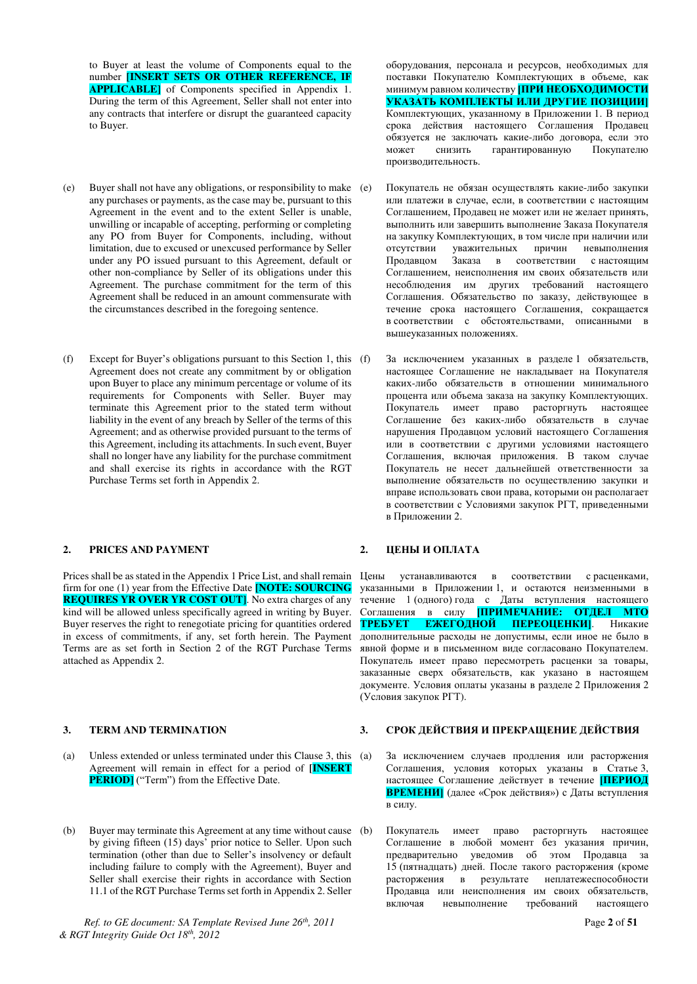to Buyer at least the volume of Components equal to the number **[INSERT SETS OR OTHER REFERENCE, IF APPLICABLE**] of Components specified in Appendix 1. During the term of this Agreement, Seller shall not enter into any contracts that interfere or disrupt the guaranteed capacity to Buyer.

- (e) Buyer shall not have any obligations, or responsibility to make any purchases or payments, as the case may be, pursuant to this Agreement in the event and to the extent Seller is unable, unwilling or incapable of accepting, performing or completing any PO from Buyer for Components, including, without limitation, due to excused or unexcused performance by Seller under any PO issued pursuant to this Agreement, default or other non-compliance by Seller of its obligations under this Agreement. The purchase commitment for the term of this Agreement shall be reduced in an amount commensurate with the circumstances described in the foregoing sentence.
- (f) Except for Buyer's obligations pursuant to this Section 1, this  $(f)$ Agreement does not create any commitment by or obligation upon Buyer to place any minimum percentage or volume of its requirements for Components with Seller. Buyer may terminate this Agreement prior to the stated term without liability in the event of any breach by Seller of the terms of this Agreement; and as otherwise provided pursuant to the terms of this Agreement, including its attachments. In such event, Buyer shall no longer have any liability for the purchase commitment and shall exercise its rights in accordance with the RGT Purchase Terms set forth in Appendix 2.

### **2. PRICES AND PAYMENT 2. ILEHE II OILTATA**

firm for one (1) year from the Effective Date **[NOTE: SOURCING REQUIRES YR OVER YR COST OUT**. No extra charges of any kind will be allowed unless specifically agreed in writing by Buyer. Buyer reserves the right to renegotiate pricing for quantities ordered in excess of commitments, if any, set forth herein. The Payment Terms are as set forth in Section 2 of the RGT Purchase Terms attached as Appendix 2.

- (a) Unless extended or unless terminated under this Clause 3, this Agreement will remain in effect for a period of **[INSERT PERIOD**] ("Term") from the Effective Date.
- (b) Buyer may terminate this Agreement at any time without cause (b) by giving fifteen (15) days' prior notice to Seller. Upon such termination (other than due to Seller's insolvency or default including failure to comply with the Agreement), Buyer and Seller shall exercise their rights in accordance with Section 11.1 of the RGT Purchase Terms set forth in Appendix 2. Seller

*Ref. to GE document: SA Template Revised June 26th, 2011* Page **2** of **51** *& RGT Integrity Guide Oct 18th, 2012* 

оборудования, персонала и ресурсов, необходимых для поставки Покупателю Комплектующих в объеме, как минимум равном количеству **ПРИ НЕОБХОДИМОСТИ УКАЗАТЬ КОМПЛЕКТЫ ИЛИ ДРУГИЕ ПОЗИЦИИ|** Комплектующих, указанному в Приложении 1. В период срока действия настоящего Соглашения Продавец обязуется не заключать какие-либо договора, если это может снизить гарантированную Покупателю производительность.

- Покупатель не обязан осушествлять какие-либо закупки или платежи в случае, если, в соответствии с настоящим Соглашением, Продавец не может или не желает принять, выполнить или завершить выполнение Заказа Покупателя на закупку Комплектующих, в том числе при наличии или отсутствии уважительных причин невыполнения Продавцом Заказа в соответствии с настоящим Соглашением, неисполнения им своих обязательств или несоблюдения им других требований настоящего Соглашения. Обязательство по заказу, действующее в течение срока настоящего Соглашения, сокращается в соответствии с обстоятельствами, описанными в вышеуказанных положениях.
	- За исключением указанных в разделе 1 обязательств, настоящее Соглашение не накладывает на Покупателя каких-либо обязательств в отношении минимального процента или объема заказа на закупку Комплектующих. Покупатель имеет право расторгнуть настоящее Соглашение без каких-либо обязательств в случае нарушения Продавцом условий настоящего Соглашения или в соответствии с другими условиями настоящего Соглашения, включая приложения. В таком случае Покупатель не несет дальнейшей ответственности за выполнение обязательств по осуществлению закупки и вправе использовать свои права, которыми он располагает в соответствии с Условиями закупок РГТ, приведенными в Приложении 2.

Prices shall be as stated in the Appendix 1 Price List, and shall remain Цены устанавливаются в соответствии с расценками, указанными в Приложении 1, и остаются неизменными в течение 1 (одного) года с Даты вступления настоящего Соглашения в силу **ПРИМЕЧАНИЕ: ОТДЕЛ МТО**<br>**ТРЕБУЕТ ЕЖЕГОДНОЙ ПЕРЕОЦЕНКИ**І. Никакие **ЕЖЕГОДНОЙ ПЕРЕОЦЕНКИ].** Никакие дополнительные расходы не допустимы, если иное не было в явной форме и в письменном виде согласовано Покупателем. Покупатель имеет право пересмотреть расценки за товары, заказанные сверх обязательств, как указано в настоящем документе. Условия оплаты указаны в разделе 2 Приложения 2 (Условия закупок РГТ).

#### **3. ТЕRM AND TERMINATION 3. СРОК ДЕЙСТВИЯ И ПРЕКРАЩЕНИЕ ДЕЙСТВИЯ**

- За исключением случаев продления или расторжения Соглашения, условия которых указаны в Статье 3, настоящее Соглашение действует в течение ПЕРИОД ВРЕМЕНИ] (далее «Срок действия») с Даты вступления в силу.
- Покупатель имеет право расторгнуть настоящее Соглашение в любой момент без указания причин, предварительно уведомив об этом Продавца за 15 (пятнадцать) дней. После такого расторжения (кроме расторжения в результате неплатежеспособности Продавца или неисполнения им своих обязательств, включая невыполнение требований настоящего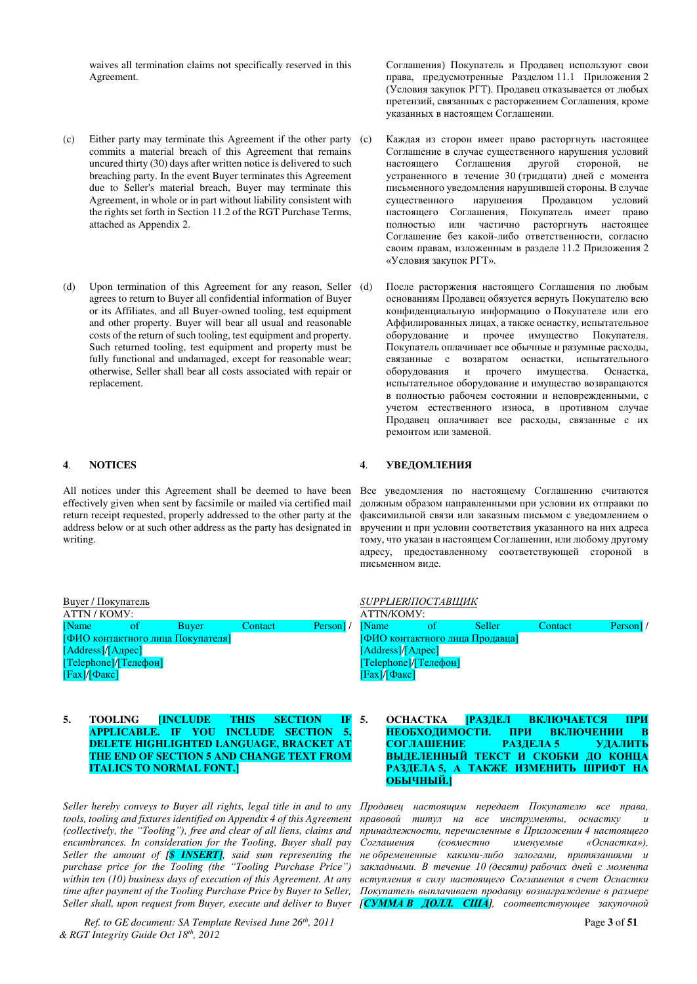waives all termination claims not specifically reserved in this Agreement.

- (c) Either party may terminate this Agreement if the other party commits a material breach of this Agreement that remains uncured thirty (30) days after written notice is delivered to such breaching party. In the event Buyer terminates this Agreement due to Seller's material breach, Buyer may terminate this Agreement, in whole or in part without liability consistent with the rights set forth in Section 11.2 of the RGT Purchase Terms, attached as Appendix 2.
- (d) Upon termination of this Agreement for any reason, Seller (d) agrees to return to Buyer all confidential information of Buyer or its Affiliates, and all Buyer-owned tooling, test equipment and other property. Buyer will bear all usual and reasonable costs of the return of such tooling, test equipment and property. Such returned tooling, test equipment and property must be fully functional and undamaged, except for reasonable wear; otherwise, Seller shall bear all costs associated with repair or replacement.

All notices under this Agreement shall be deemed to have been Bce уведомления по настоящему Соглашению считаются effectively given when sent by facsimile or mailed via certified mail return receipt requested, properly addressed to the other party at the address below or at such other address as the party has designated in writing.

Соглашения) Покупатель и Продавец используют свои права, предусмотренные Разделом 11.1 Приложения 2 (Условия закупок РГТ). Продавец отказывается от любых претензий, связанных с расторжением Соглашения, кроме указанных в настоящем Соглашении.

- Каждая из сторон имеет право расторгнуть настоящее Соглашение в случае существенного нарушения условий настоящего Соглашения другой стороной, не устраненного в течение 30 (тридцати) дней с момента • письменного увеломления нарушившей стороны. В случае существенного нарушения Продавцом условий настоящего Соглашения, Покупатель имеет право полностью или частично расторгнуть настоящее Соглашение без какой-либо ответственности, согласно своим правам, изложенным в разделе 11.2 Приложения 2 «Условия закупок РГТ».
- После расторжения настоящего Соглашения по любым основаниям Продавец обязуется вернуть Покупателю всю конфиденциальную информацию о Покупателе или его Аффилированных лицах, а также оснастку, испытательное оборудование и прочее имущество Покупателя. Покупатель оплачивает все обычные и разумные расходы, связанные с возвратом оснастки, испытательного оборудования и прочего имущества. Оснастка, испытательное оборудование и имущество возвращаются в полностью рабочем состоянии и неповрежденными, с учетом естественного износа, в противном случае Продавец оплачивает все расходы, связанные с их ремонтом или заменой.

#### **4**. МОТІСЕЅ 4. УВЕДОМЛЕНИЯ

должным образом направленными при условии их отправки по факсимильной связи или заказным письмом с уведомлением о вручении и при условии соответствия указанного на них адреса тому, что указан в настоящем Соглашении, или любому другому адресу, предоставленному соответствующей стороной в письменном виде.

| Виуег / Покупатель                |      |              |         | SUPPLIER/ПОСТАВЩИК |              |                                 |               |         |                     |  |
|-----------------------------------|------|--------------|---------|--------------------|--------------|---------------------------------|---------------|---------|---------------------|--|
| ATTN / KOMY:                      |      |              |         |                    |              | ATTN/KOMY:                      |               |         |                     |  |
| [Name]                            | -of- | <b>Buver</b> | Contact | Person / [Name]    |              |                                 | <b>Seller</b> | Contact | Person <sup>1</sup> |  |
| [ФИО контактного лица Покупателя] |      |              |         |                    |              | [ФИО контактного лица Продавца] |               |         |                     |  |
| [Address]/[Адрес]                 |      |              |         |                    |              | [Address]/[Адрес]               |               |         |                     |  |
| [Telephone]/[TeHeboH]             |      |              |         |                    |              | [Telephone]/[Телефон]           |               |         |                     |  |
| [Fax]/[@akc]                      |      |              |         |                    | [Fax]/[@akc] |                                 |               |         |                     |  |
|                                   |      |              |         |                    |              |                                 |               |         |                     |  |

#### **5. TOOLING [INCLUDE THIS SECTION IF APPLICABLE. IF YOU INCLUDE SECTION 5, DELETE HIGHLIGHTED LANGUAGE, BRACKET AT THE END OF SECTION 5 AND CHANGE TEXT FROM ITALICS TO NORMAL FONT.]**

*Seller hereby conveys to Buyer all rights, legal title in and to any tools, tooling and fixtures identified on Appendix 4 of this Agreement (collectively, the "Tooling"), free and clear of all liens, claims and encumbrances. In consideration for the Tooling, Buyer shall pay Seller the amount of [\$ INSERT], said sum representing the purchase price for the Tooling (the "Tooling Purchase Price") within ten (10) business days of execution of this Agreement. At any time after payment of the Tooling Purchase Price by Buyer to Seller, Seller shall, upon request from Buyer, execute and deliver to Buyer* 

*Ref. to GE document: SA Template Revised June 26th, 2011* Page **3** of **51** *& RGT Integrity Guide Oct 18th, 2012* 

| [ФИО контактного лица Продавца] |  |
|---------------------------------|--|
| [Address]/[Адрес]               |  |
| $[Telephone]/[Tene$ фон $]$     |  |
| [Fax]/[@akc]                    |  |
|                                 |  |
|                                 |  |
|                                 |  |

#### 5. ОСНАСТКА <mark>ГРАЗДЕЛ ВКЛЮЧАЕТСЯ ПРИ</mark> НЕОБХОДИМОСТИ. ПРИ ВКЛЮЧЕНИИ В СОГЛАШЕНИЕ РАЗДЕЛА 5 УДАЛИТЬ ВЫДЕЛЕННЫЙ ТЕКСТ И СКОБКИ ДО КОНЦА РАЗДЕЛА 5, А ТАКЖЕ ИЗМЕНИТЬ ШРИФТ НА **ОБЫЧНЫЙ.**

Продавец настоящим передает Покупателю все права, правовой титул на все инструменты, оснастку и принадлежности, перечисленные в Приложении 4 настоящего Соглашения (совместно именуемые «Оснастка»), **не обремененные какими-либо залогами, притязаниями и** закладными. В течение 10 (десяти) рабочих дней с момента вступления в силу настояшего Соглашения в счет Оснастки Покупатель выплачивает продавцу вознаграждение в размере **[СУММА В ДОЛЛ. США**], соответствующее закупочной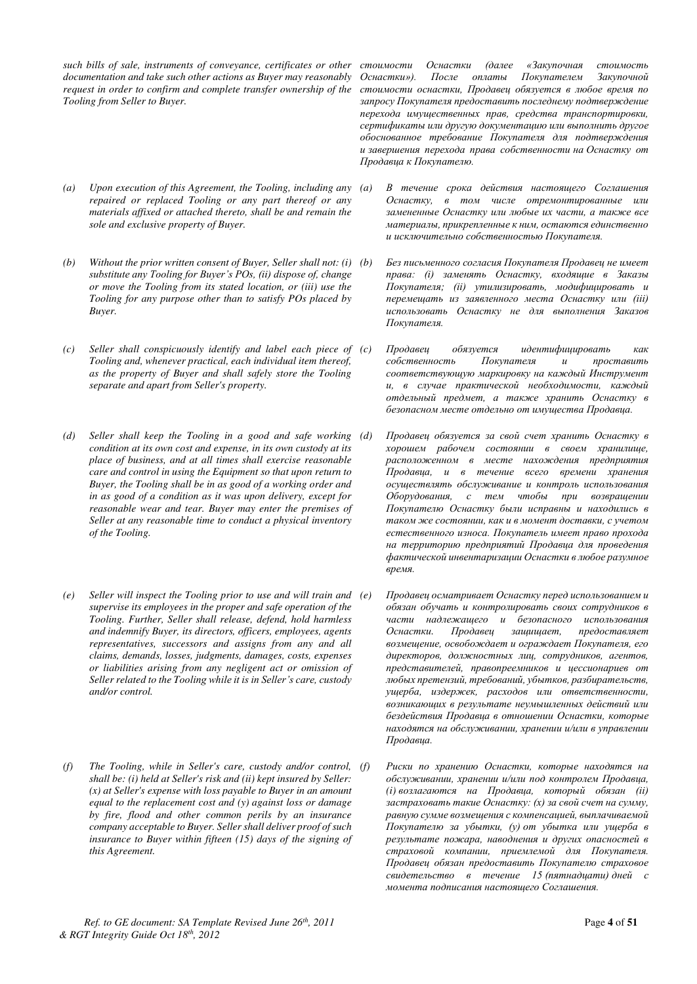*such bills of sale, instruments of conveyance, certificates or other documentation and take such other actions as Buyer may reasonably request in order to confirm and complete transfer ownership of the Tooling from Seller to Buyer.* 

- *(a) Upon execution of this Agreement, the Tooling, including any repaired or replaced Tooling or any part thereof or any materials affixed or attached thereto, shall be and remain the sole and exclusive property of Buyer.*
- *(b) Without the prior written consent of Buyer, Seller shall not: (i) substitute any Tooling for Buyer's POs, (ii) dispose of, change or move the Tooling from its stated location, or (iii) use the Tooling for any purpose other than to satisfy POs placed by Buyer.*
- *(c) Seller shall conspicuously identify and label each piece of Tooling and, whenever practical, each individual item thereof, as the property of Buyer and shall safely store the Tooling separate and apart from Seller's property.*
- *(d)* Seller shall keep the Tooling in a good and safe working *(d) condition at its own cost and expense, in its own custody at its place of business, and at all times shall exercise reasonable care and control in using the Equipment so that upon return to Buyer, the Tooling shall be in as good of a working order and in as good of a condition as it was upon delivery, except for reasonable wear and tear. Buyer may enter the premises of Seller at any reasonable time to conduct a physical inventory of the Tooling.*
- *(e) Seller will inspect the Tooling prior to use and will train and supervise its employees in the proper and safe operation of the Tooling. Further, Seller shall release, defend, hold harmless and indemnify Buyer, its directors, officers, employees, agents representatives, successors and assigns from any and all claims, demands, losses, judgments, damages, costs, expenses or liabilities arising from any negligent act or omission of Seller related to the Tooling while it is in Seller's care, custody and/or control.*
- *(f) The Tooling, while in Seller's care, custody and/or control, shall be: (i) held at Seller's risk and (ii) kept insured by Seller: (x) at Seller's expense with loss payable to Buyer in an amount equal to the replacement cost and (y) against loss or damage by fire, flood and other common perils by an insurance company acceptable to Buyer. Seller shall deliver proof of such insurance to Buyer within fifteen (15) days of the signing of this Agreement.*

стоимости Оснастки (далее «Закупочная стоимость Оснастки»). После оплаты Покупателем Закупочной стоимости оснастки, Продавец обязуется в любое время по запросу Покупателя предоставить последнему подтверждение перехода имущественных прав, средства транспортировки, сертификаты или другую документацию или выполнить другое  $\delta$ боснованное требование Покупателя для подтверждения и завершения перехода права собственности на Оснастку от Продавца к Покупателю.

- $B$  течение срока действия настояшего Соглашения Оснастку, в том числе отремонтированные или замененные Оснастку или любые их части, а также все материалы, прикрепленные к ним, остаются единственно и исключительно собственностью Покупателя.
- Без письменного согласия Покупателя Продавец не имеет права: (i) заменять Оснастку, входящие в Заказы Покупателя; (ii) утилизировать, модифицировать и перемещать из заявленного места Оснастку или (iii) использовать Оснастку не для выполнения Заказов Покупателя.
- $\Box$ Гродавец обязуется идентифицировать как  $co6$ *ственность* Покупателя и проставить соответствующую маркировку на каждый Инструмент и, в случае практической необходимости, каждый  $\omega$  *ыдельный предмет, а также хранить Оснастку в* безопасном месте отдельно от имущества Продавца.
- Продавец обязуется за свой счет хранить Оснастку в  $x$ орошем рабочем состоянии в своем хранилище, расположенном в месте нахождения предприятия Продавца, и в течение всего времени хранения *осуществлять обслуживание и контроль использования* Оборудования, с тем чтобы при возврашении Покупателю Оснастку были исправны и находились в таком же состоянии, как и в момент доставки, с учетом естественного износа. Покупатель имеет право прохода на территорию предприятий Продавца для проведения  $\phi$ актической инвентаризации Оснастки в любое разумное  $$
- Продавец осматривает Оснастку перед использованием и  $\sigma$ бязан обучать и контролировать своих сотрудников в части надлежащего и безопасного использования<br>Оснастки. Продавец защищает, предоставляет Оснастки. Продавец защищает, предоставляет возмещение, освобождает и ограждает Покупателя, его директоров, должностных лиц, сотрудников, агентов, представителей, правопреемников и цессионариев от любых претензий, требований, убытков, разбирательств, ущерба, издержек, расходов или ответственности, возникающих в результате неумышленных действий или бездействия Продавца в отношении Оснастки, которые находятся на обслуживании, хранении и/или в управлении *Продавца*.
- Риски по хранению Оснастки, которые находятся на  $\sigma$ бслуживании, хранении и/или под контролем Продавиа,  $(i)$  возлагаются на Продавиа, который обязан *(ii)* застраховать такие Оснастку: (х) за свой счет на сумму, равную сумме возмещения с компенсацией, выплачиваемой Покупателю за убытки, (у) от убытка или ущерба в результате пожара, наводнения и других опасностей в страховой компании, приемлемой для Покупателя. Продавец обязан предоставить Покупателю страховое свидетельство в течение 15 (пятнадцати) дней с момента подписания настоящего Соглашения.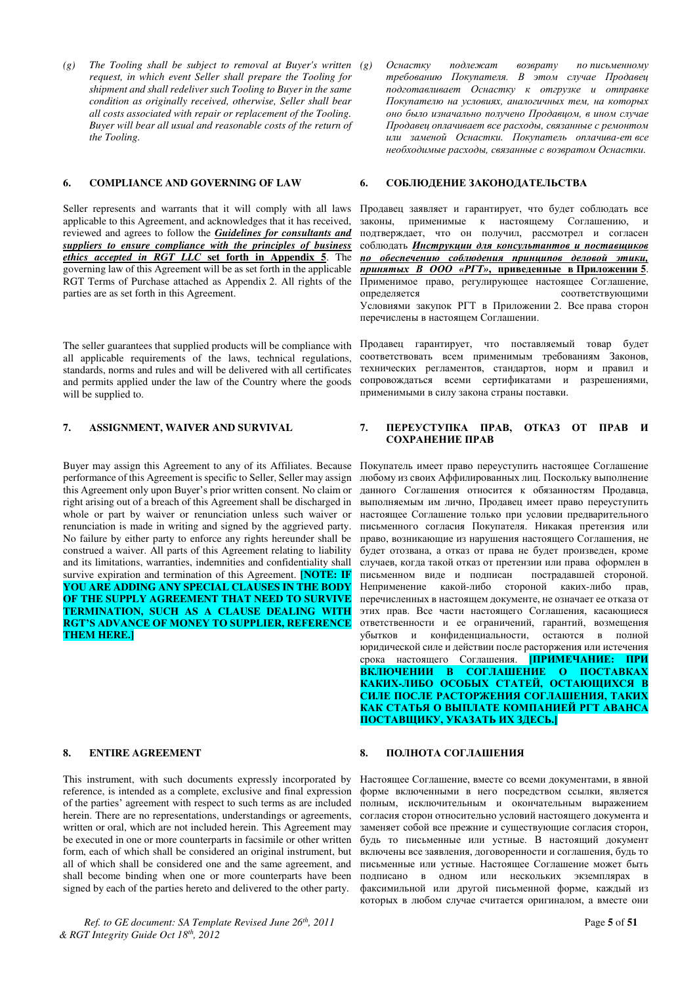*(g) The Tooling shall be subject to removal at Buyer's written request, in which event Seller shall prepare the Tooling for shipment and shall redeliver such Tooling to Buyer in the same condition as originally received, otherwise, Seller shall bear all costs associated with repair or replacement of the Tooling. Buyer will bear all usual and reasonable costs of the return of the Tooling.*

#### **6. СОМРLIANCE AND GOVERNING OF LAW 6. СОБЛЮДЕНИЕ ЗАКОНОДАТЕЛЬСТВА**

Seller represents and warrants that it will comply with all laws applicable to this Agreement, and acknowledges that it has received, reviewed and agrees to follow the *Guidelines for consultants and suppliers to ensure compliance with the principles of business ethics accepted in RGT LLC* **set forth in Appendix 5**. The governing law of this Agreement will be as set forth in the applicable RGT Terms of Purchase attached as Appendix 2. All rights of the parties are as set forth in this Agreement.

The seller guarantees that supplied products will be compliance with all applicable requirements of the laws, technical regulations, standards, norms and rules and will be delivered with all certificates and permits applied under the law of the Country where the goods will be supplied to.

Buyer may assign this Agreement to any of its Affiliates. Because performance of this Agreement is specific to Seller, Seller may assign this Agreement only upon Buyer's prior written consent. No claim or right arising out of a breach of this Agreement shall be discharged in whole or part by waiver or renunciation unless such waiver or renunciation is made in writing and signed by the aggrieved party. No failure by either party to enforce any rights hereunder shall be construed a waiver. All parts of this Agreement relating to liability and its limitations, warranties, indemnities and confidentiality shall survive expiration and termination of this Agreement. **[NOTE: IF YOU ARE ADDING ANY SPECIAL CLAUSES IN THE BODY OF THE SUPPLY AGREEMENT THAT NEED TO SURVIVE TERMINATION, SUCH AS A CLAUSE DEALING WITH RGT'S ADVANCE OF MONEY TO SUPPLIER, REFERENCE THEM HERE.]**

This instrument, with such documents expressly incorporated by reference, is intended as a complete, exclusive and final expression of the parties' agreement with respect to such terms as are included herein. There are no representations, understandings or agreements, written or oral, which are not included herein. This Agreement may be executed in one or more counterparts in facsimile or other written form, each of which shall be considered an original instrument, but all of which shall be considered one and the same agreement, and shall become binding when one or more counterparts have been signed by each of the parties hereto and delivered to the other party.

*Ref. to GE document: SA Template Revised June 26th, 2011* Page **5** of **51** *& RGT Integrity Guide Oct 18th, 2012* 

Оснастку подлежат возврату по письменному требованию Покупателя. В этом случае Продавец  $no\delta$ *готавливает Оснастку к отгрузке и отправке* Покупателю на условиях, аналогичных тем, на которых оно было изначально получено *Продавцом*, в ином случае Продавец оплачивает все расходы, связанные с ремонтом  $\overline{u}$ ли заменой Оснастки. Покупатель оплачива-ет все  $\mu$ еобходимые расходы, связанные с возвратом Оснастки.

Продавец заявляет и гарантирует, что будет соблюдать все законы, применимые к настоящему Соглашению, и подтверждает, что он получил, рассмотрел и согласен соблюдать **Инструкции для консультантов и поставщиков** по обеспечению соблюдения принципов деловой этики, *ɩɪɢɧɹɬɵɯ ȼ ООО «ɊȽɌ»***, ɩɪɢɜɟɞɟɧɧɵɟ ɜ ɉɪɢɥɨɠɟɧɢɢ 5**. Применимое право, регулирующее настоящее Соглашение, определяется соответствующими Условиями закупок РГТ в Приложении 2. Все права сторон перечислены в настоящем Соглашении.

Продавец гарантирует, что поставляемый товар будет соответствовать всем применимым требованиям Законов, технических регламентов, стандартов, норм и правил и сопровождаться всеми сертификатами и разрешениями, применимыми в силу закона страны поставки.

### **7. ASSIGNMENT, WAIVER AND SURVIVAL 7. IIEPEYCTYIIKA IIPAB, OTKA3 OT IIPAB И** СОХРАНЕНИЕ ПРАВ

Покупатель имеет право переуступить настоящее Соглашение любому из своих Аффилированных лиц. Поскольку выполнение данного Соглашения относится к обязанностям Продавца, выполняемым им лично. Продавец имеет право переуступить настоящее Соглашение только при условии предварительного письменного согласия Покупателя. Никакая претензия или право, возникающие из нарушения настоящего Соглашения, не будет отозвана, а отказ от права не будет произведен, кроме случаев, когда такой отказ от претензии или права оформлен в письменном виде и подписан пострадавшей стороной. Неприменение какой-либо стороной каких-либо прав, перечисленных в настоящем документе, не означает ее отказа от этих прав. Все части настоящего Соглашения, касающиеся ответственности и ее ограничений, гарантий, возмещения убытков и конфиденциальности, остаются в полной юридической силе и действии после расторжения или истечения срока настоящего Соглашения. ПРИМЕЧАНИЕ: ПРИ ВКЛЮЧЕНИИ В СОГЛАШЕНИЕ О ПОСТАВКАХ КАКИХ-ЛИБО ОСОБЫХ СТАТЕЙ, ОСТАЮЩИХСЯ В СИЛЕ ПОСЛЕ РАСТОРЖЕНИЯ СОГЛАШЕНИЯ, ТАКИХ КАК СТАТЬЯ О ВЫПЛАТЕ КОМПАНИЕЙ РГТ АВАНСА ПОСТАВЩИКУ, УКАЗАТЬ ИХ ЗДЕСЬ.]

#### **8. ENTIRE AGREEMENT 8. ПОЛНОТА СОГЛАШЕНИЯ**

Настоящее Соглашение, вместе со всеми документами, в явной форме включенными в него посредством ссылки, является полным, исключительным и окончательным выражением согласия сторон относительно условий настоящего документа и заменяет собой все прежние и существующие согласия сторон, будь то письменные или устные. В настоящий документ включены все заявления, договоренности и соглашения, будь то письменные или устные. Настоящее Соглашение может быть подписано в одном или нескольких экземплярах в факсимильной или другой письменной форме, каждый из которых в любом случае считается оригиналом, а вместе они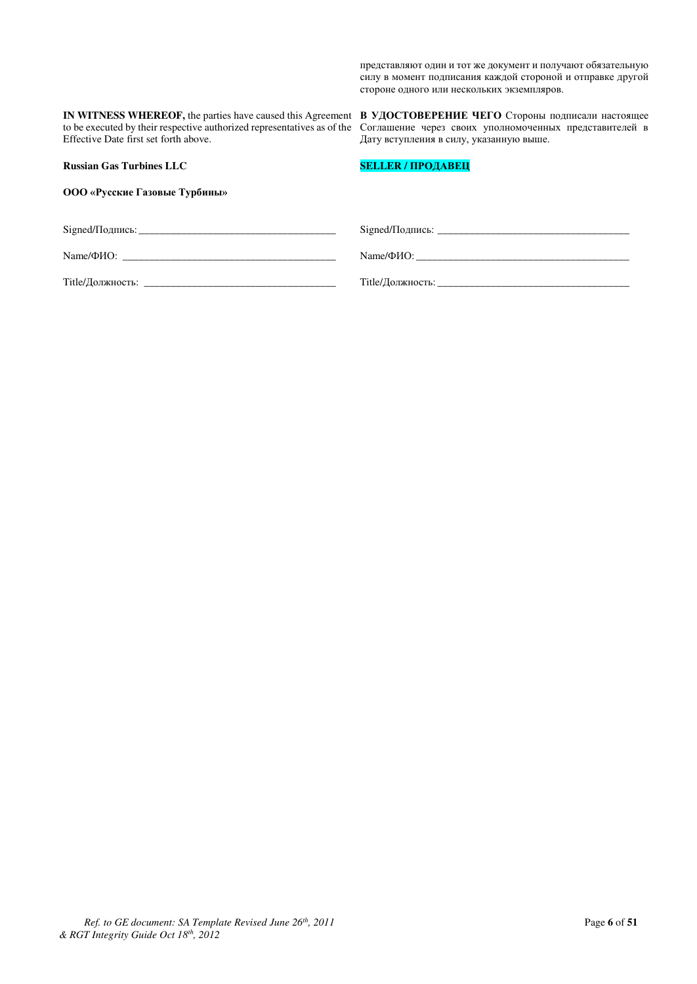представляют один и тот же документ и получают обязательную силу в момент подписания каждой стороной и отправке другой стороне одного или нескольких экземпляров.

**IN WITNESS WHEREOF,** the parties have caused this Agreement to be executed by their respective authorized representatives as of the Effective Date first set forth above.

**Russian Gas Turbines LLC**

ООО «Русские Газовые Турбины»

**В УДОСТОВЕРЕНИЕ ЧЕГО** Стороны подписали настоящее Соглашение через своих уполномоченных представителей в Дату вступления в силу, указанную выше.

### **SELLER / ПРОДАВЕЦ**

|                  | Name/Φ <i>HO</i> : |
|------------------|--------------------|
| Title/Должность: | Title/Должность:   |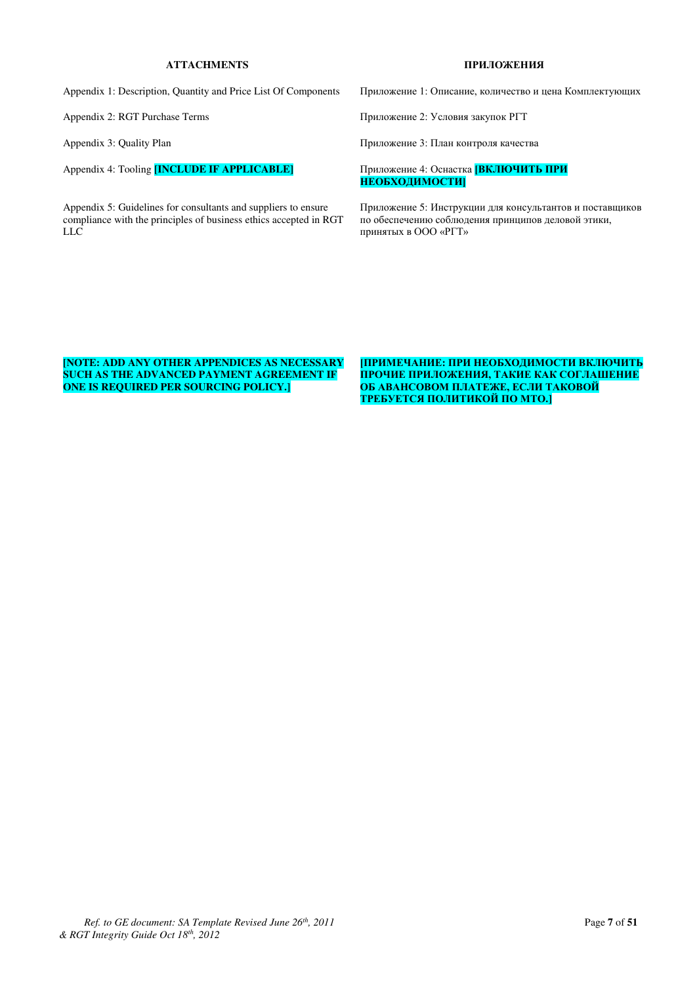### **ATTACHMENTS ɉɊɂɅɈɀȿɇɂə**

Appendix 1: Description, Quantity and Price List Of Components Приложение 1: Описание, количество и цена Комплектующих

Appendix 4: Tooling **[INCLUDE IF APPLICABLE]** Приложение 4: Оснастка **[ВКЛЮЧИТЬ ПРИ** 

Appendix 5: Guidelines for consultants and suppliers to ensure compliance with the principles of business ethics accepted in RGT LLC

Appendix 2: RGT Purchase Terms ɉɪɢɥɨɠɟɧɢɟ 2: ɍɫɥɨɜɢɹ ɡɚɤɭɩɨɤ ɊȽɌ

Appendix 3: Quality Plan ɉɪɢɥɨɠɟɧɢɟ 3: ɉɥɚɧ ɤɨɧɬɪɨɥɹ ɤɚɱɟɫɬɜɚ

## НЕОБХОДИМОСТИ]

Приложение 5: Инструкции для консультантов и поставщиков по обеспечению соблюдения принципов деловой этики, принятых в ООО «РГТ»

**[NOTE: ADD ANY OTHER APPENDICES AS NECESSARY SUCH AS THE ADVANCED PAYMENT AGREEMENT IF ONE IS REQUIRED PER SOURCING POLICY.]** 

**ДПРИМЕЧАНИЕ: ПРИ НЕОБХОДИМОСТИ ВКЛЮЧИТЬ** ПРОЧИЕ ПРИЛОЖЕНИЯ, ТАКИЕ КАК СОГЛАШЕНИЕ ОБ АВАНСОВОМ ПЛАТЕЖЕ, ЕСЛИ ТАКОВОЙ ТРЕБУЕТСЯ ПОЛИТИКОЙ ПО МТО.]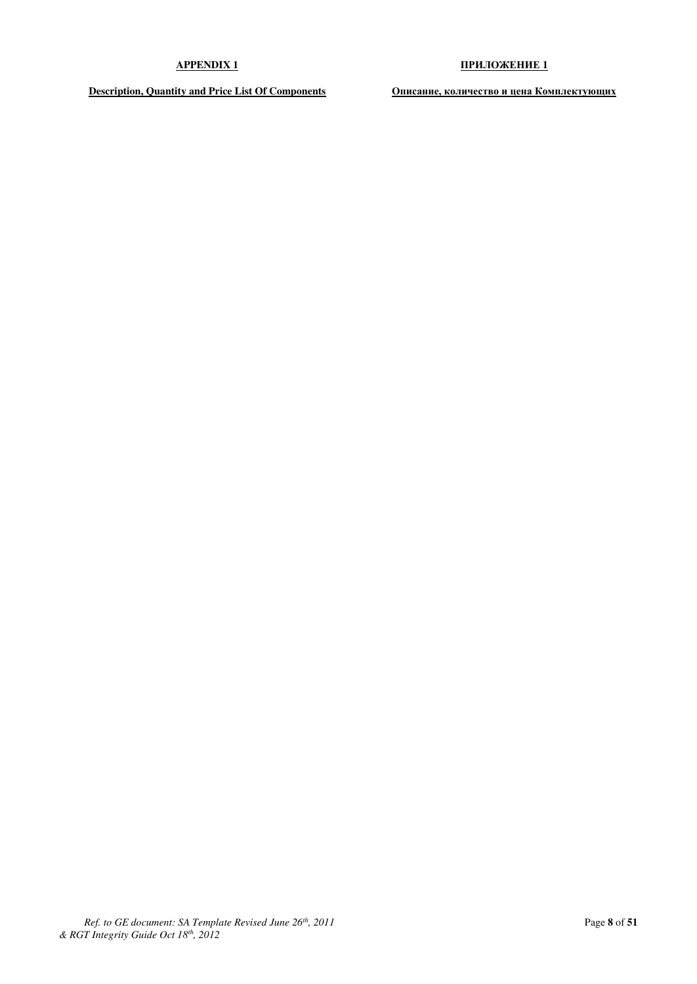### **APPENDIX 1 ɉɊɂɅɈɀȿɇɂȿ 1**

**Description, Quantity and Price List Of Components • • • • • • Описание, количество и цена Комплектующих**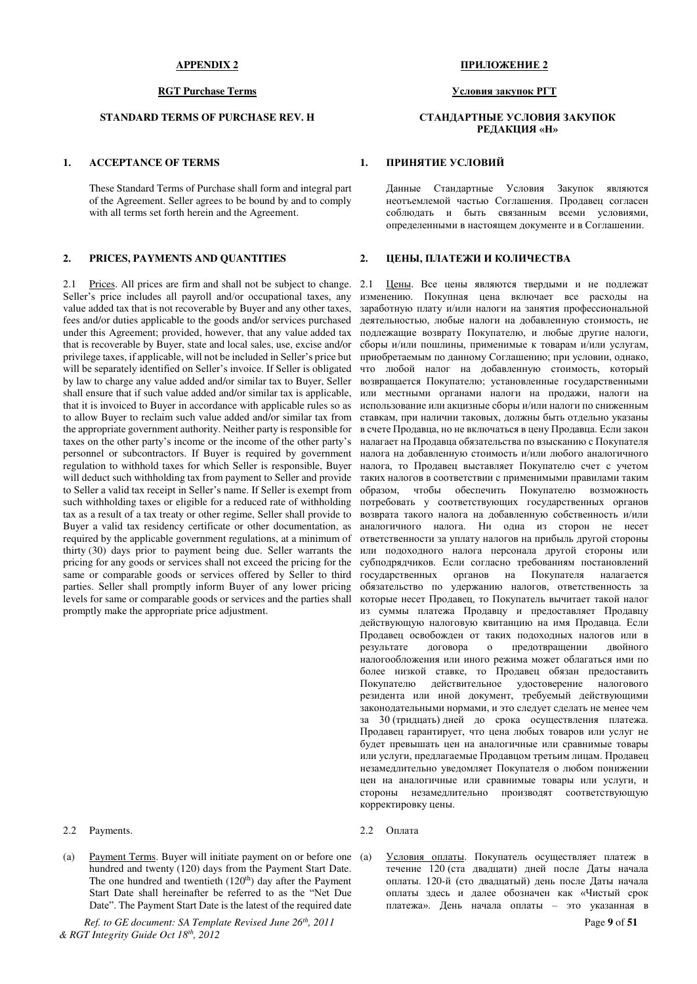These Standard Terms of Purchase shall form and integral part of the Agreement. Seller agrees to be bound by and to comply with all terms set forth herein and the Agreement.

#### **2. PRICES, PAYMENTS AND QUANTITIES 2. ILEHL, ΠЛАТЕЖИ И КОЛИЧЕСТВА**

2.1 Prices. All prices are firm and shall not be subject to change. 2.1 Seller's price includes all payroll and/or occupational taxes, any value added tax that is not recoverable by Buyer and any other taxes, fees and/or duties applicable to the goods and/or services purchased under this Agreement; provided, however, that any value added tax that is recoverable by Buyer, state and local sales, use, excise and/or privilege taxes, if applicable, will not be included in Seller's price but will be separately identified on Seller's invoice. If Seller is obligated by law to charge any value added and/or similar tax to Buyer, Seller shall ensure that if such value added and/or similar tax is applicable, that it is invoiced to Buyer in accordance with applicable rules so as to allow Buyer to reclaim such value added and/or similar tax from the appropriate government authority. Neither party is responsible for taxes on the other party's income or the income of the other party's personnel or subcontractors. If Buyer is required by government regulation to withhold taxes for which Seller is responsible, Buyer will deduct such withholding tax from payment to Seller and provide to Seller a valid tax receipt in Seller's name. If Seller is exempt from such withholding taxes or eligible for a reduced rate of withholding tax as a result of a tax treaty or other regime, Seller shall provide to Buyer a valid tax residency certificate or other documentation, as required by the applicable government regulations, at a minimum of thirty (30) days prior to payment being due. Seller warrants the pricing for any goods or services shall not exceed the pricing for the same or comparable goods or services offered by Seller to third parties. Seller shall promptly inform Buyer of any lower pricing levels for same or comparable goods or services and the parties shall promptly make the appropriate price adjustment.

2.2 Payments. 2.2 Оплата

(a) Payment Terms. Buyer will initiate payment on or before one (a) hundred and twenty (120) days from the Payment Start Date. The one hundred and twentieth (120<sup>th</sup>) day after the Payment Start Date shall hereinafter be referred to as the "Net Due Date". The Payment Start Date is the latest of the required date

*Ref. to GE document: SA Template Revised June 26th, 2011* Page **9** of **51** *& RGT Integrity Guide Oct 18th, 2012* 

#### **APPENDIX 2 ɉɊɂɅɈɀȿɇɂȿ 2**

#### RGT Purchase Terms **bigger and the COVID- COVID- PERIODIST SECURITY**

### **STANDARD TERMS OF PURCHASE REV. H ɋɌȺɇȾȺɊɌɇɕȿ ɍɋɅɈȼɂə ɁȺɄɍɉɈɄ** РЕДАКЦИЯ «Н»

### **1. АССЕРТАНСЕ ОF TERMS 1. ПРИНЯТИЕ УСЛОВИЙ**

Данные Стандартные Условия Закупок являются неотъемлемой частью Соглашения. Продавен согласен соблюдать и быть связанным всеми условиями, определенными в настоящем документе и в Соглашении.

Цены. Все цены являются твердыми и не подлежат изменению. Покупная цена включает все расходы на заработную плату и/или налоги на занятия профессиональной деятельностью, любые налоги на добавленную стоимость, не подлежащие возврату Покупателю, и любые другие налоги,  $c$ боры и/или пошлины, применимые к товарам и/или услугам. приобретаемым по данному Соглашению; при условии, однако, ɱɬɨ ɥɸɛɨɣ ɧɚɥɨɝ ɧɚ ɞɨɛɚɜɥɟɧɧɭɸ ɫɬɨɢɦɨɫɬɶ, ɤɨɬɨɪɵɣ возвращается Покупателю; установленные государственными или местными органами налоги на продажи, налоги на использование или акцизные сборы и/или налоги по сниженным ставкам, при наличии таковых, должны быть отдельно указаны в счете Продавца, но не включаться в цену Продавца. Если закон налагает на Продавца обязательства по взысканию с Покупателя налога на добавленную стоимость и/или любого аналогичного налога, то Продавец выставляет Покупателю счет с учетом таких налогов в соответствии с применимыми правилами таким образом, чтобы обеспечить Покупателю возможность потребовать у соответствующих государственных органов возврата такого налога на добавленную собственность и/или аналогичного налога. Ни одна из сторон не несет ответственности за уплату налогов на прибыль другой стороны или подоходного налога персонала другой стороны или субподрядчиков. Если согласно требованиям постановлений госуларственных органов на Покупателя налагается обязательство по удержанию налогов, ответственность за которые несет Продавец, то Покупатель вычитает такой налог из суммы платежа Продавцу и предоставляет Продавцу действующую налоговую квитанцию на имя Продавца. Если Продавец освобожден от таких подоходных налогов или в результате договора о предотвращении двойного договора о предотвращении двойного налогообложения или иного режима может облагаться ими по более низкой ставке, то Продавец обязан предоставить Покупателю действительное удостоверение налогового резидента или иной документ, требуемый действующими законодательными нормами, и это следует сделать не менее чем за 30 (тридцать) дней до срока осуществления платежа. Продавец гарантирует, что цена любых товаров или услуг не будет превышать цен на аналогичные или сравнимые товары или услуги, предлагаемые Продавцом третьим лицам. Продавец незамедлительно уведомляет Покупателя о любом понижении цен на аналогичные или сравнимые товары или услуги, и стороны незамедлительно производят соответствующую корректировку цены.

- 
- Условия оплаты. Покупатель осуществляет платеж в течение 120 (ста двадцати) дней после Даты начала оплаты. 120-й (сто двадцатый) день после Даты начала оплаты здесь и далее обозначен как «Чистый срок платежа». День начала оплаты - это указанная в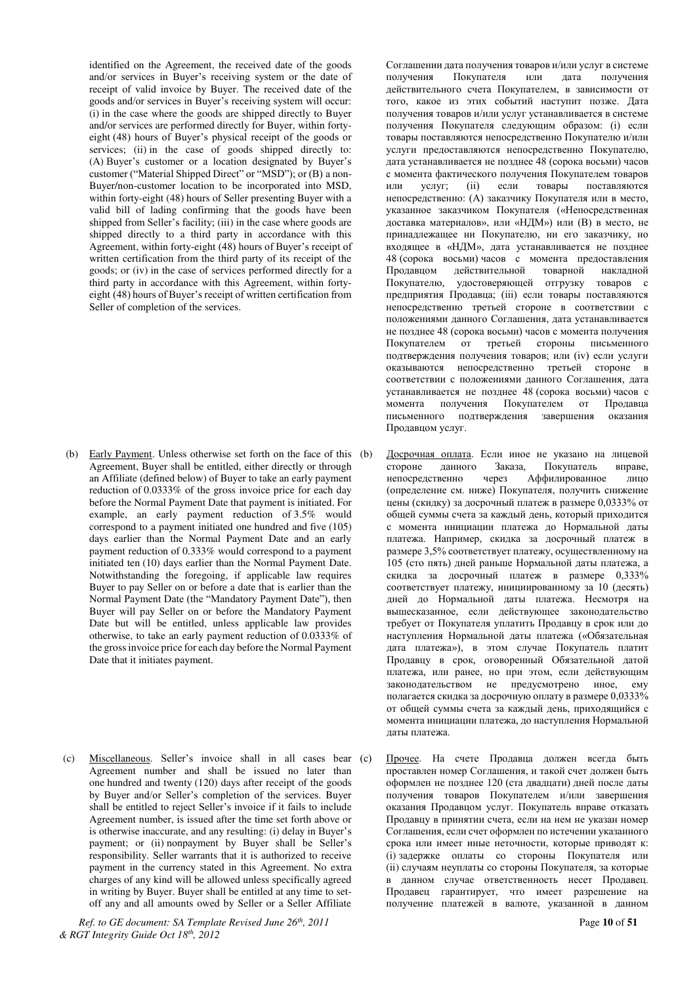identified on the Agreement, the received date of the goods and/or services in Buyer's receiving system or the date of receipt of valid invoice by Buyer. The received date of the goods and/or services in Buyer's receiving system will occur: (i) in the case where the goods are shipped directly to Buyer and/or services are performed directly for Buyer, within fortyeight (48) hours of Buyer's physical receipt of the goods or services; (ii) in the case of goods shipped directly to: (A) Buver's customer or a location designated by Buver's customer ("Material Shipped Direct" or "MSD"); or (B) a non-Buyer/non-customer location to be incorporated into MSD, within forty-eight (48) hours of Seller presenting Buyer with a valid bill of lading confirming that the goods have been shipped from Seller's facility; (iii) in the case where goods are shipped directly to a third party in accordance with this Agreement, within forty-eight (48) hours of Buyer's receipt of written certification from the third party of its receipt of the goods; or (iv) in the case of services performed directly for a third party in accordance with this Agreement, within fortyeight (48) hours of Buyer's receipt of written certification from Seller of completion of the services.

- (b) Early Payment. Unless otherwise set forth on the face of this (b) Agreement, Buyer shall be entitled, either directly or through an Affiliate (defined below) of Buyer to take an early payment reduction of 0.0333% of the gross invoice price for each day before the Normal Payment Date that payment is initiated. For example, an early payment reduction of 3.5% would correspond to a payment initiated one hundred and five (105) days earlier than the Normal Payment Date and an early payment reduction of 0.333% would correspond to a payment initiated ten (10) days earlier than the Normal Payment Date. Notwithstanding the foregoing, if applicable law requires Buyer to pay Seller on or before a date that is earlier than the Normal Payment Date (the "Mandatory Payment Date"), then Buyer will pay Seller on or before the Mandatory Payment Date but will be entitled, unless applicable law provides otherwise, to take an early payment reduction of 0.0333% of the gross invoice price for each day before the Normal Payment Date that it initiates payment.
- (c) Miscellaneous. Seller's invoice shall in all cases bear (c) Agreement number and shall be issued no later than one hundred and twenty (120) days after receipt of the goods by Buyer and/or Seller's completion of the services. Buyer shall be entitled to reject Seller's invoice if it fails to include Agreement number, is issued after the time set forth above or is otherwise inaccurate, and any resulting: (i) delay in Buyer's payment; or (ii) nonpayment by Buyer shall be Seller's responsibility. Seller warrants that it is authorized to receive payment in the currency stated in this Agreement. No extra charges of any kind will be allowed unless specifically agreed in writing by Buyer. Buyer shall be entitled at any time to setoff any and all amounts owed by Seller or a Seller Affiliate

*Ref. to GE document: SA Template Revised June 26th, 2011* Page **10** of **51** *& RGT Integrity Guide Oct 18th, 2012* 

Соглашении дата получения товаров и/или услуг в системе<br>получения Покупателя или дата получения получения Покупателя или дата получения действительного счета Покупателем, в зависимости от того, какое из этих событий наступит позже. Дата получения товаров и/или услуг устанавливается в системе получения Покупателя следующим образом: (і) если товары поставляются непосредственно Покупателю и/или үслүги предоставляются непосредственно Покупателю, дата устанавливается не позднее 48 (сорока восьми) часов с момента фактического получения Покупателем товаров или услуг; (ii) если товары поставляются непосредственно: (А) заказчику Покупателя или в место, указанное заказчиком Покупателя («Непосредственная доставка материалов», или «НДМ») или (В) в место, не принадлежащее ни Покупателю, ни его заказчику, но входящее в «НДМ», дата устанавливается не позднее 48 (сорока восьми) часов с момента предоставления Продавцом действительной товарной накладной Покупателю, удостоверяющей отгрузку товаров с предприятия Продавца; (iii) если товары поставляются непосредственно третьей стороне в соответствии с положениями данного Соглашения, дата устанавливается не позднее 48 (сорока восьми) часов с момента получения Покупателем от третьей стороны письменного подтверждения получения товаров; или (iv) если услуги оказываются непосредственно третьей стороне в соответствии с положениями данного Соглашения, дата устанавливается не позднее 48 (сорока восьми) часов с момента получения Покупателем от Продавца письменного подтверждения завершения оказания Продавцом услуг.

- Досрочная оплата. Если иное не указано на лицевой<br>стороне данного Заказа. Покупатель вправе. стороне данного Заказа, Покупатель<br>непосредственно через Аффилированно Аффилированное лицо (определение см. ниже) Покупателя, получить снижение цены (скидку) за досрочный платеж в размере 0,0333% от общей суммы счета за каждый день, который приходится с момента инициации платежа до Нормальной даты платежа. Например, скидка за досрочный платеж в размере 3,5% соответствует платежу, осуществленному на 105 (сто пять) дней раньше Нормальной даты платежа, а скидка за досрочный платеж в размере 0,333% соответствует платежу, инициированному за 10 (десять) дней до Нормальной даты платежа. Несмотря на вышесказанное, если действующее законодательство требует от Покупателя уплатить Продавцу в срок или до наступления Нормальной даты платежа («Обязательная дата платежа»), в этом случае Покупатель платит Продавцу в срок, оговоренный Обязательной датой платежа, или ранее, но при этом, если действующим законодательством не предусмотрено иное, ему полагается скидка за досрочную оплату в размере 0,0333% от общей суммы счета за каждый день, приходящийся с момента инициации платежа, до наступления Нормальной даты платежа.
- Прочее. На счете Продавца должен всегда быть проставлен номер Соглашения, и такой счет должен быть оформлен не позднее 120 (ста двадцати) дней после даты получения товаров Покупателем и/или завершения оказания Продавцом услуг. Покупатель вправе отказать Продавцу в принятии счета, если на нем не указан номер Соглашения, если счет оформлен по истечении указанного срока или имеет иные неточности, которые приводят к: (i) задержке оплаты со стороны Покупателя или (ii) случаям неуплаты со стороны Покупателя, за которые в данном случае ответственность несет Продавец. Продавец гарантирует, что имеет разрешение на получение платежей в валюте, указанной в данном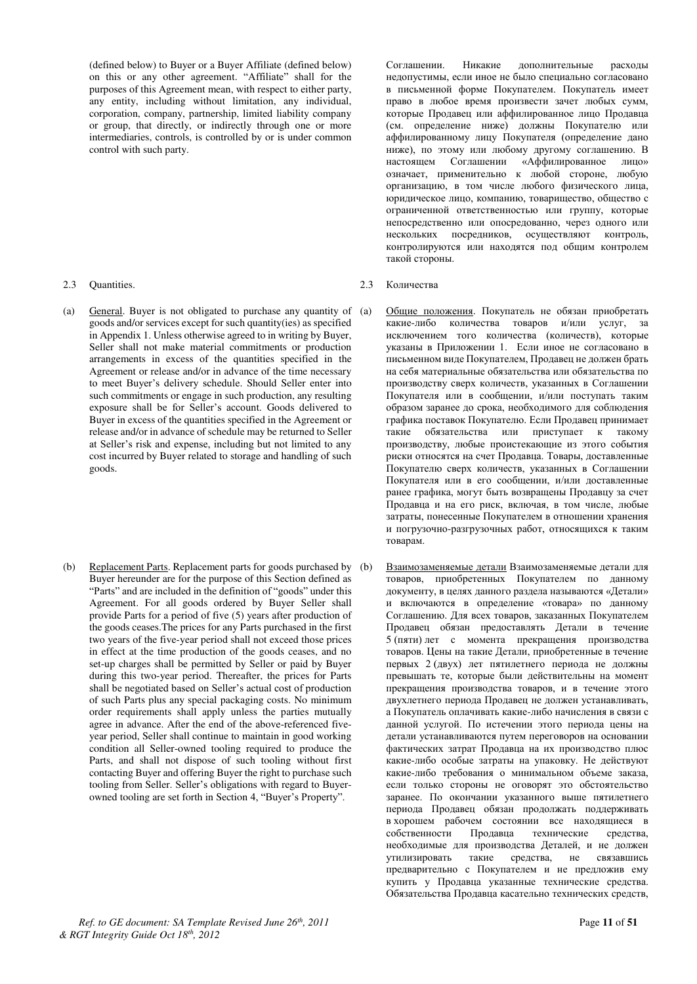(defined below) to Buyer or a Buyer Affiliate (defined below) on this or any other agreement. "Affiliate" shall for the purposes of this Agreement mean, with respect to either party, any entity, including without limitation, any individual, corporation, company, partnership, limited liability company or group, that directly, or indirectly through one or more intermediaries, controls, is controlled by or is under common control with such party.

- (a) General. Buyer is not obligated to purchase any quantity of (a) goods and/or services except for such quantity(ies) as specified in Appendix 1. Unless otherwise agreed to in writing by Buyer, Seller shall not make material commitments or production arrangements in excess of the quantities specified in the Agreement or release and/or in advance of the time necessary to meet Buyer's delivery schedule. Should Seller enter into such commitments or engage in such production, any resulting exposure shall be for Seller's account. Goods delivered to Buyer in excess of the quantities specified in the Agreement or release and/or in advance of schedule may be returned to Seller at Seller's risk and expense, including but not limited to any cost incurred by Buyer related to storage and handling of such goods.
- (b) Replacement Parts. Replacement parts for goods purchased by (b) Buyer hereunder are for the purpose of this Section defined as "Parts" and are included in the definition of "goods" under this Agreement. For all goods ordered by Buyer Seller shall provide Parts for a period of five (5) years after production of the goods ceases.The prices for any Parts purchased in the first two years of the five-year period shall not exceed those prices in effect at the time production of the goods ceases, and no set-up charges shall be permitted by Seller or paid by Buyer during this two-year period. Thereafter, the prices for Parts shall be negotiated based on Seller's actual cost of production of such Parts plus any special packaging costs. No minimum order requirements shall apply unless the parties mutually agree in advance. After the end of the above-referenced fiveyear period, Seller shall continue to maintain in good working condition all Seller-owned tooling required to produce the Parts, and shall not dispose of such tooling without first contacting Buyer and offering Buyer the right to purchase such tooling from Seller. Seller's obligations with regard to Buyerowned tooling are set forth in Section 4, "Buyer's Property".

Соглашении. Никакие дополнительные расходы недопустимы, если иное не было специально согласовано в письменной форме Покупателем. Покупатель имеет право в любое время произвести зачет любых сумм, которые Продавец или аффилированное лицо Продавца (см. определение ниже) должны Покупателю или аффилированному лицу Покупателя (определение дано ниже), по этому или любому другому соглашению. В настоящем Соглашении «Аффилированное лицо» означает, применительно к любой стороне, любую организацию, в том числе любого физического лица, юридическое лицо, компанию, товарищество, общество с ограниченной ответственностью или группу, которые непосредственно или опосредованно, через одного или нескольких посредников, осуществляют контроль, контролируются или находятся под общим контролем такой стороны.

- 2.3 Quantities. 2.3 Абличества
	- Общие положения. Покупатель не обязан приобретать какие-либо количества товаров и/или услуг, за исключением того количества (количеств), которые указаны в Приложении 1. Если иное не согласовано в письменном виде Покупателем, Продавец не должен брать на себя материальные обязательства или обязательства по производству сверх количеств, указанных в Соглашении Покупателя или в сообщении, и/или поступать таким образом заранее до срока, необходимого для соблюдения графика поставок Покупателю. Если Продавец принимает такие обязательства или приступает к такому производству, любые проистекающие из этого события риски относятся на счет Продавца. Товары, доставленные Покупателю сверх количеств, указанных в Соглашении Покупателя или в его сообщении, и/или доставленные ранее графика, могут быть возвращены Продавцу за счет Продавца и на его риск, включая, в том числе, любые затраты, понесенные Покупателем в отношении хранения и погрузочно-разгрузочных работ, относящихся к таким товарам.
	- Взаимозаменяемые детали Взаимозаменяемые детали для товаров, приобретенных Покупателем по данному документу, в целях данного раздела называются «Детали» и включаются в определение «товара» по данному Соглашению. Для всех товаров, заказанных Покупателем Продавец обязан предоставлять Детали в течение 5 (пяти) лет с момента прекращения производства товаров. Цены на такие Детали, приобретенные в течение первых 2 (двух) лет пятилетнего периода не должны превышать те, которые были действительны на момент прекращения производства товаров, и в течение этого двухлетнего периода Продавец не должен устанавливать, а Покупатель оплачивать какие-либо начисления в связи с данной услугой. По истечении этого периода цены на детали устанавливаются путем переговоров на основании фактических затрат Продавца на их производство плюс какие-либо особые затраты на упаковку. Не действуют какие-либо требования о минимальном объеме заказа, если только стороны не оговорят это обстоятельство заранее. По окончании указанного выше пятилетнего периода Продавец обязан продолжать поддерживать в хорошем рабочем состоянии все находящиеся в собственности Продавца технические средства, необходимые для производства Деталей, и не должен утилизировать такие средства, не связавшись предварительно с Покупателем и не предложив ему купить у Продавца указанные технические средства. Обязательства Продавца касательно технических средств,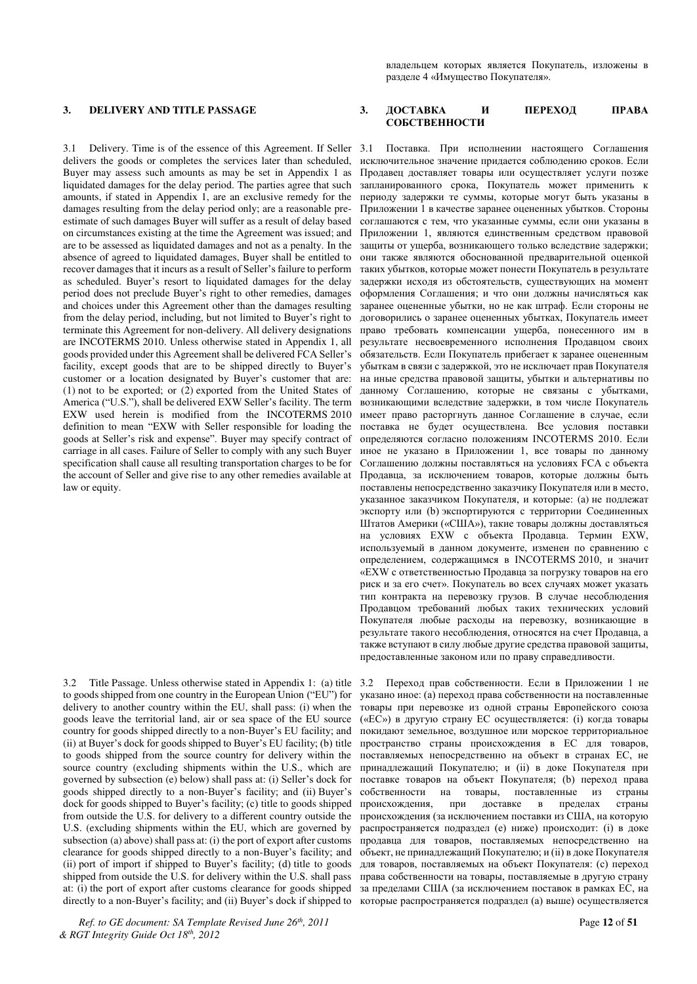3.1 Delivery. Time is of the essence of this Agreement. If Seller delivers the goods or completes the services later than scheduled, Buyer may assess such amounts as may be set in Appendix 1 as liquidated damages for the delay period. The parties agree that such amounts, if stated in Appendix 1, are an exclusive remedy for the damages resulting from the delay period only; are a reasonable preestimate of such damages Buyer will suffer as a result of delay based on circumstances existing at the time the Agreement was issued; and are to be assessed as liquidated damages and not as a penalty. In the absence of agreed to liquidated damages, Buyer shall be entitled to recover damages that it incurs as a result of Seller's failure to perform as scheduled. Buyer's resort to liquidated damages for the delay period does not preclude Buyer's right to other remedies, damages and choices under this Agreement other than the damages resulting from the delay period, including, but not limited to Buyer's right to terminate this Agreement for non-delivery. All delivery designations are INCOTERMS 2010. Unless otherwise stated in Appendix 1, all goods provided under this Agreement shall be delivered FCA Seller's facility, except goods that are to be shipped directly to Buyer's customer or a location designated by Buyer's customer that are: (1) not to be exported; or (2) exported from the United States of America ("U.S."), shall be delivered EXW Seller's facility. The term EXW used herein is modified from the INCOTERMS 2010 definition to mean "EXW with Seller responsible for loading the goods at Seller's risk and expense". Buyer may specify contract of carriage in all cases. Failure of Seller to comply with any such Buyer specification shall cause all resulting transportation charges to be for the account of Seller and give rise to any other remedies available at law or equity.

3.2 Title Passage. Unless otherwise stated in Appendix 1: (a) title to goods shipped from one country in the European Union ("EU") for delivery to another country within the EU, shall pass: (i) when the goods leave the territorial land, air or sea space of the EU source country for goods shipped directly to a non-Buyer's EU facility; and (ii) at Buyer's dock for goods shipped to Buyer's EU facility; (b) title to goods shipped from the source country for delivery within the source country (excluding shipments within the U.S., which are governed by subsection (e) below) shall pass at: (i) Seller's dock for goods shipped directly to a non-Buyer's facility; and (ii) Buyer's dock for goods shipped to Buyer's facility; (c) title to goods shipped from outside the U.S. for delivery to a different country outside the U.S. (excluding shipments within the EU, which are governed by subsection (a) above) shall pass at: (i) the port of export after customs clearance for goods shipped directly to a non-Buyer's facility; and (ii) port of import if shipped to Buyer's facility; (d) title to goods shipped from outside the U.S. for delivery within the U.S. shall pass at: (i) the port of export after customs clearance for goods shipped directly to a non-Buyer's facility; and (ii) Buyer's dock if shipped to

*Ref. to GE document: SA Template Revised June 26th, 2011* Page **12** of **51** *& RGT Integrity Guide Oct 18th, 2012* 

владельцем которых является Покупатель, изложены в разделе 4 «Имущество Покупателя».

#### 3. DELIVERY AND TITLE PASSAGE 3. *AOCTABKA M* **IIPPEXOA IIPABA** СОБСТВЕННОСТИ

Поставка. При исполнении настоящего Соглашения исключительное значение придается соблюдению сроков. Если Продавец доставляет товары или осуществляет услуги позже запланированного срока, Покупатель может применить к периоду задержки те суммы, которые могут быть указаны в Приложении 1 в качестве заранее оцененных убытков. Стороны соглашаются с тем, что указанные суммы, если они указаны в Приложении 1, являются единственным средством правовой защиты от ущерба, возникающего только вследствие задержки; они также являются обоснованной предварительной оценкой таких убытков, которые может понести Покупатель в результате задержки исходя из обстоятельств, существующих на момент оформления Соглашения; и что они должны начисляться как заранее оцененные убытки, но не как штраф. Если стороны не договорились о заранее оцененных убытках, Покупатель имеет право требовать компенсации ущерба, понесенного им в результате несвоевременного исполнения Продавцом своих обязательств. Если Покупатель прибегает к заранее оцененным убыткам в связи с задержкой, это не исключает прав Покупателя на иные средства правовой защиты, убытки и альтернативы по данному Соглашению, которые не связаны с убытками, возникающими вследствие задержки, в том числе Покупатель имеет право расторгнуть данное Соглашение в случае, если поставка не будет осуществлена. Все условия поставки определяются согласно положениям INCOTERMS 2010. Если иное не указано в Приложении 1, все товары по данному Соглашению должны поставляться на условиях FCA с объекта Продавца, за исключением товаров, которые должны быть поставлены непосредственно заказчику Покупателя или в место, указанное заказчиком Покупателя, и которые: (а) не подлежат экспорту или (b) экспортируются с территории Соединенных Штатов Америки («США»), такие товары должны доставляться на условиях EXW с объекта Продавца. Термин EXW, используемый в данном документе, изменен по сравнению с определением, содержащимся в INCOTERMS 2010, и значит «EXW с ответственностью Продавца за погрузку товаров на его риск и за его счет». Покупатель во всех случаях может указать тип контракта на перевозку грузов. В случае несоблюдения Продавцом требований любых таких технических условий Покупателя любые расходы на перевозку, возникающие в результате такого несоблюдения, относятся на счет Продавца, а также вступают в силу любые другие средства правовой защиты, предоставленные законом или по праву справедливости.

3.2 Переход прав собственности. Если в Приложении 1 не указано иное: (а) переход права собственности на поставленные товары при перевозке из одной страны Европейского союза («ЕС») в другую страну ЕС осуществляется: (i) когда товары покидают земельное, воздушное или морское территориальное пространство страны происхождения в ЕС для товаров, поставляемых непосредственно на объект в странах ЕС, не принадлежащий Покупателю; и (ii) в доке Покупателя при поставке товаров на объект Покупателя; (b) переход права собственности на товары, поставленные из страны происхождения, при доставке в пределах страны происхождения (за исключением поставки из США, на которую распространяется подраздел (e) ниже) происходит: (i) в доке продавца для товаров, поставляемых непосредственно на объект, не принадлежащий Покупателю; и (ii) в доке Покупателя для товаров, поставляемых на объект Покупателя: (с) переход права собственности на товары, поставляемые в другую страну за пределами США (за исключением поставок в рамках ЕС, на которые распространяется подраздел (а) выше) осуществляется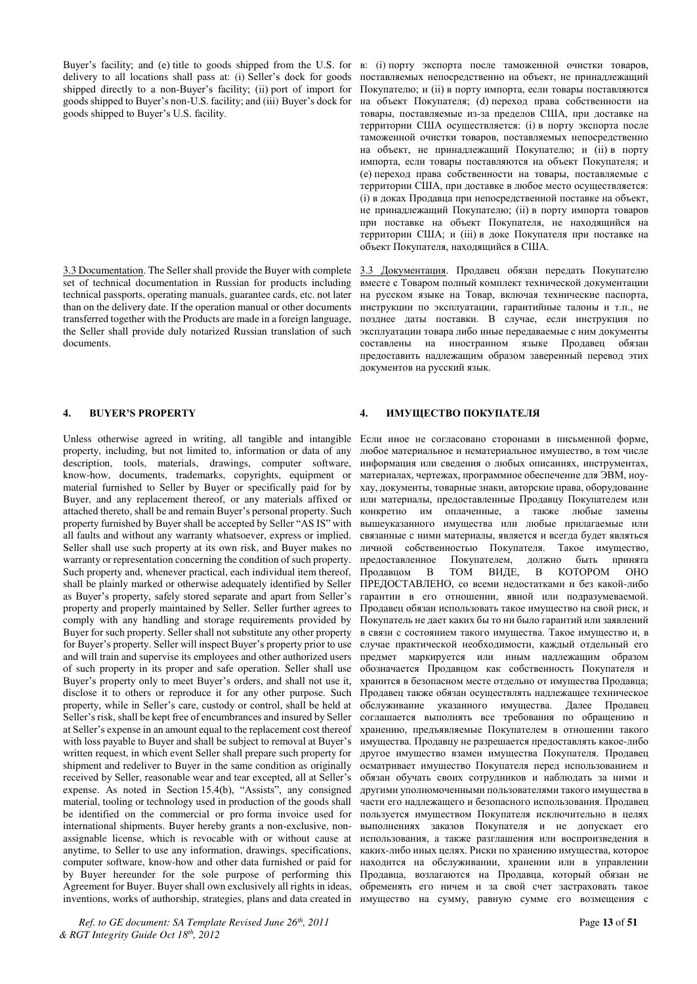Buyer's facility; and (e) title to goods shipped from the U.S. for delivery to all locations shall pass at: (i) Seller's dock for goods shipped directly to a non-Buyer's facility; (ii) port of import for goods shipped to Buyer's non-U.S. facility; and (iii) Buyer's dock for goods shipped to Buyer's U.S. facility.

3.3 Documentation. The Seller shall provide the Buyer with complete set of technical documentation in Russian for products including technical passports, operating manuals, guarantee cards, etc. not later than on the delivery date. If the operation manual or other documents transferred together with the Products are made in a foreign language, the Seller shall provide duly notarized Russian translation of such documents.

Unless otherwise agreed in writing, all tangible and intangible property, including, but not limited to, information or data of any description, tools, materials, drawings, computer software, know-how, documents, trademarks, copyrights, equipment or material furnished to Seller by Buyer or specifically paid for by Buyer, and any replacement thereof, or any materials affixed or attached thereto, shall be and remain Buyer's personal property. Such property furnished by Buyer shall be accepted by Seller "AS IS" with all faults and without any warranty whatsoever, express or implied. Seller shall use such property at its own risk, and Buyer makes no warranty or representation concerning the condition of such property. Such property and, whenever practical, each individual item thereof, shall be plainly marked or otherwise adequately identified by Seller as Buyer's property, safely stored separate and apart from Seller's property and properly maintained by Seller. Seller further agrees to comply with any handling and storage requirements provided by Buyer for such property. Seller shall not substitute any other property for Buyer's property. Seller will inspect Buyer's property prior to use and will train and supervise its employees and other authorized users of such property in its proper and safe operation. Seller shall use Buyer's property only to meet Buyer's orders, and shall not use it, disclose it to others or reproduce it for any other purpose. Such property, while in Seller's care, custody or control, shall be held at Seller's risk, shall be kept free of encumbrances and insured by Seller at Seller's expense in an amount equal to the replacement cost thereof with loss payable to Buyer and shall be subject to removal at Buyer's written request, in which event Seller shall prepare such property for shipment and redeliver to Buyer in the same condition as originally received by Seller, reasonable wear and tear excepted, all at Seller's expense. As noted in Section 15.4(b), "Assists", any consigned material, tooling or technology used in production of the goods shall be identified on the commercial or pro forma invoice used for international shipments. Buyer hereby grants a non-exclusive, nonassignable license, which is revocable with or without cause at anytime, to Seller to use any information, drawings, specifications, computer software, know-how and other data furnished or paid for by Buyer hereunder for the sole purpose of performing this Agreement for Buyer. Buyer shall own exclusively all rights in ideas, inventions, works of authorship, strategies, plans and data created in

*Ref. to GE document: SA Template Revised June 26th, 2011* Page **13** of **51** *& RGT Integrity Guide Oct 18th, 2012* 

в: (i) порту экспорта после таможенной очистки товаров, поставляемых непосредственно на объект, не принадлежащий Покупателю; и (ii) в порту импорта, если товары поставляются на объект Покупателя; (d) переход права собственности на товары, поставляемые из-за пределов США, при доставке на территории США осуществляется: (i) в порту экспорта после таможенной очистки товаров, поставляемых непосредственно на объект, не принадлежащий Покупателю; и (ii) в порту импорта, если товары поставляются на объект Покупателя; и (е) переход права собственности на товары, поставляемые с территории США, при доставке в любое место осуществляется: (i) в доках Продавца при непосредственной поставке на объект, не принадлежащий Покупателю; (ii) в порту импорта товаров при поставке на объект Покупателя, не находящийся на территории США; и (iii) в доке Покупателя при поставке на объект Покупателя, находящийся в США.

3.3 Документация. Продавец обязан передать Покупателю вместе с Товаром полный комплект технической документации на русском языке на Товар, включая технические паспорта, инструкции по эксплуатации, гарантийные талоны и т.п., не позднее даты поставки. В случае, если инструкция по эксплуатации товара либо иные передаваемые с ним документы составлены на иностранном языке Продавец обязан предоставить надлежащим образом заверенный перевод этих документов на русский язык.

#### **4. BUВER'S PROPERTВ 4. ɂɆɍɓȿɋɌȼɈ ɉɈɄɍɉȺɌȿɅə**

Если иное не согласовано сторонами в письменной форме, любое материальное и нематериальное имущество, в том числе информация или сведения о любых описаниях, инструментах, материалах, чертежах, программное обеспечение для ЭВМ, ноухау, документы, товарные знаки, авторские права, оборудование или материалы, предоставленные Продавцу Покупателем или конкретно им оплаченные, а также любые замены вышеуказанного имущества или любые прилагаемые или связанные с ними материалы, является и всегда будет являться личной собственностью Покупателя. Такое имущество, предоставленное Покупателем, должно быть принята Продавцом В ТОМ ВИДЕ, В КОТОРОМ ОНО ПРЕДОСТАВЛЕНО, со всеми нелостатками и без какой-либо гарантии в его отношении, явной или подразумеваемой. Продавец обязан использовать такое имущество на свой риск, и Покупатель не дает каких бы то ни было гарантий или заявлений в связи с состоянием такого имущества. Такое имущество и, в случае практической необходимости, каждый отдельный его предмет маркируется или иным надлежащим образом обозначается Продавцом как собственность Покупателя и хранится в безопасном месте отдельно от имущества Продавца; Продавец также обязан осуществлять надлежащее техническое обслуживание указанного имущества. Далее Продавец соглашается выполнять все требования по обращению и хранению, предъявляемые Покупателем в отношении такого имущества. Продавцу не разрешается предоставлять какое-либо другое имущество взамен имущества Покупателя. Продавец осматривает имущество Покупателя перед использованием и обязан обучать своих сотрудников и наблюдать за ними и другими уполномоченными пользователями такого имущества в части его надлежащего и безопасного использования. Продавец пользуется имуществом Покупателя исключительно в целях выполнениях заказов Покупателя и не допускает его использования, а также разглашения или воспроизведения в каких-либо иных целях. Риски по хранению имущества, которое находится на обслуживании, хранении или в управлении Продавца, возлагаются на Продавца, который обязан не обременять его ничем и за свой счет застраховать такое имущество на сумму, равную сумме его возмещения с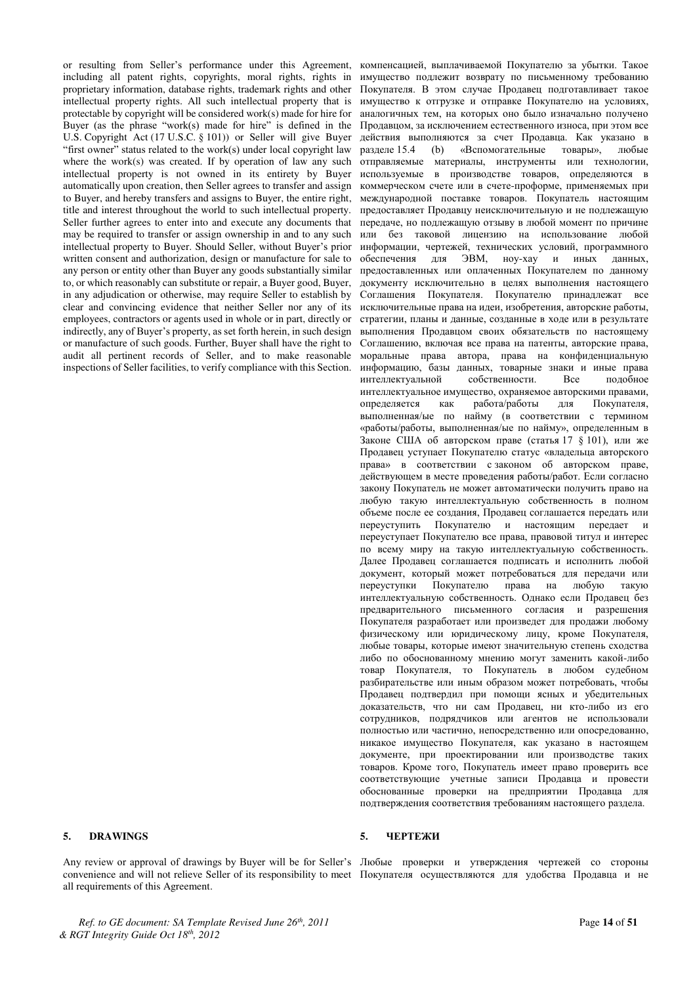or resulting from Seller's performance under this Agreement, including all patent rights, copyrights, moral rights, rights in proprietary information, database rights, trademark rights and other intellectual property rights. All such intellectual property that is protectable by copyright will be considered work(s) made for hire for Buyer (as the phrase "work(s) made for hire" is defined in the U.S. Copyright Act (17 U.S.C. § 101)) or Seller will give Buyer "first owner" status related to the work(s) under local copyright law where the work(s) was created. If by operation of law any such intellectual property is not owned in its entirety by Buyer automatically upon creation, then Seller agrees to transfer and assign to Buyer, and hereby transfers and assigns to Buyer, the entire right, title and interest throughout the world to such intellectual property. Seller further agrees to enter into and execute any documents that may be required to transfer or assign ownership in and to any such intellectual property to Buyer. Should Seller, without Buyer's prior written consent and authorization, design or manufacture for sale to any person or entity other than Buyer any goods substantially similar to, or which reasonably can substitute or repair, a Buyer good, Buyer, in any adjudication or otherwise, may require Seller to establish by clear and convincing evidence that neither Seller nor any of its employees, contractors or agents used in whole or in part, directly or indirectly, any of Buyer's property, as set forth herein, in such design or manufacture of such goods. Further, Buyer shall have the right to audit all pertinent records of Seller, and to make reasonable inspections of Seller facilities, to verify compliance with this Section.

all requirements of this Agreement.

компенсацией, выплачиваемой Покупателю за убытки. Такое имущество подлежит возврату по письменному требованию Покупателя. В этом случае Продавец подготавливает такое имущество к отгрузке и отправке Покупателю на условиях, аналогичных тем, на которых оно было изначально получено Продавцом, за исключением естественного износа, при этом все действия выполняются за счет Продавца. Как указано в разделе 15.4 (b) «Вспомогательные товары», любые •<br>• отправляемые материалы, инструменты или технологии, используемые в производстве товаров, определяются в коммерческом счете или в счете-проформе, применяемых при международной поставке товаров. Покупатель настоящим предоставляет Продавцу неисключительную и не подлежащую передаче, но подлежащую отзыву в любой момент по причине или без таковой лицензию на использование любой информации, чертежей, технических условий, программного обеспечения для ЭВМ, ноу-хау и иных данных, предоставленных или оплаченных Покупателем по данному документу исключительно в целях выполнения настоящего Соглашения Покупателя. Покупателю принадлежат все исключительные права на идеи, изобретения, авторские работы, стратегии, планы и данные, созданные в ходе или в результате выполнения Продавцом своих обязательств по настоящему Соглашению, включая все права на патенты, авторские права, моральные права автора, права на конфиденциальную информацию, базы данных, товарные знаки и иные права интеллектуальной собственности. Все подобное интеллектуальное имущество, охраняемое авторскими правами,<br>определяется как работа/работы для Покупателя, для Покупателя, выполненная/ые по найму (в соответствии с термином «работы/работы, выполненная/ые по найму», определенным в Законе США об авторском праве (статья 17  $\frac{8}{101}$ ), или же Продавец уступает Покупателю статус «владельца авторского права» в соответствии с законом об авторском праве, действующем в месте проведения работы/работ. Если согласно закону Покупатель не может автоматически получить право на любую такую интеллектуальную собственность в полном объеме после ее создания, Продавец соглашается передать или переуступить Покупателю и настоящим передает и переуступает Покупателю все права, правовой титул и интерес по всему миру на такую интеллектуальную собственность. Далее Продавец соглашается подписать и исполнить любой документ, который может потребоваться для передачи или переуступки Покупателю права на любую такую Покупателю права на любую такую интеллектуальную собственность. Однако если Продавец без предварительного письменного согласия и разрешения Покупателя разработает или произведет для продажи любому физическому или юридическому лицу, кроме Покупателя, любые товары, которые имеют значительную степень сходства либо по обоснованному мнению могут заменить какой-либо товар Покупателя, то Покупатель в любом судебном разбирательстве или иным образом может потребовать, чтобы Продавец подтвердил при помощи ясных и убедительных доказательств, что ни сам Продавец, ни кто-либо из его сотрудников, подрядчиков или агентов не использовали полностью или частично, непосредственно или опосредованно, никакое имущество Покупателя, как указано в настоящем документе, при проектировании или производстве таких товаров. Кроме того, Покупатель имеет право проверить все соответствующие учетные записи Продавца и провести обоснованные проверки на предприятии Продавца для подтверждения соответствия требованиям настоящего раздела.

### **5. DRAWINGS 5. PRAWINGS**

Any review or approval of drawings by Buyer will be for Seller's Любые проверки и утверждения чертежей со стороны convenience and will not relieve Seller of its responsibility to meet Покупателя осуществляются для удобства Продавца и не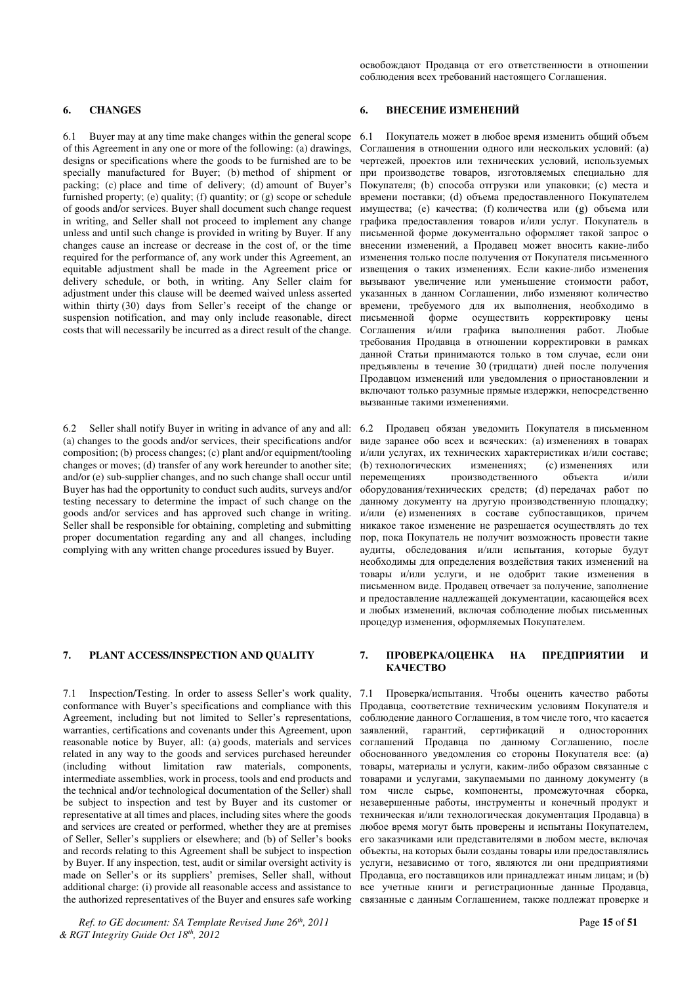6.1 Buyer may at any time make changes within the general scope of this Agreement in any one or more of the following: (a) drawings, designs or specifications where the goods to be furnished are to be specially manufactured for Buyer; (b) method of shipment or packing; (c) place and time of delivery; (d) amount of Buyer's furnished property; (e) quality; (f) quantity; or (g) scope or schedule of goods and/or services. Buyer shall document such change request in writing, and Seller shall not proceed to implement any change unless and until such change is provided in writing by Buyer. If any changes cause an increase or decrease in the cost of, or the time required for the performance of, any work under this Agreement, an equitable adjustment shall be made in the Agreement price or delivery schedule, or both, in writing. Any Seller claim for adjustment under this clause will be deemed waived unless asserted within thirty  $(30)$  days from Seller's receipt of the change or suspension notification, and may only include reasonable, direct costs that will necessarily be incurred as a direct result of the change.

6.2 Seller shall notify Buyer in writing in advance of any and all: (a) changes to the goods and/or services, their specifications and/or composition; (b) process changes; (c) plant and/or equipment/tooling changes or moves; (d) transfer of any work hereunder to another site; and/or (e) sub-supplier changes, and no such change shall occur until Buyer has had the opportunity to conduct such audits, surveys and/or testing necessary to determine the impact of such change on the goods and/or services and has approved such change in writing. Seller shall be responsible for obtaining, completing and submitting proper documentation regarding any and all changes, including complying with any written change procedures issued by Buyer.

7.1 Inspection/Testing. In order to assess Seller's work quality, conformance with Buyer's specifications and compliance with this Agreement, including but not limited to Seller's representations, warranties, certifications and covenants under this Agreement, upon reasonable notice by Buyer, all: (a) goods, materials and services related in any way to the goods and services purchased hereunder (including without limitation raw materials, components, intermediate assemblies, work in process, tools and end products and the technical and/or technological documentation of the Seller) shall be subject to inspection and test by Buyer and its customer or representative at all times and places, including sites where the goods and services are created or performed, whether they are at premises of Seller, Seller's suppliers or elsewhere; and (b) of Seller's books and records relating to this Agreement shall be subject to inspection by Buyer. If any inspection, test, audit or similar oversight activity is made on Seller's or its suppliers' premises, Seller shall, without additional charge: (i) provide all reasonable access and assistance to the authorized representatives of the Buyer and ensures safe working

*Ref. to GE document: SA Template Revised June 26th, 2011* Page **15** of **51** *& RGT Integrity Guide Oct 18th, 2012* 

освобождают Продавца от его ответственности в отношении соблюдения всех требований настоящего Соглашения.

### 6. СНАNGES <del>№ 6. ВНЕСЕНИЕ ИЗМЕНЕНИЙ</del>

Покупатель может в любое время изменить общий объем Соглашения в отношении одного или нескольких условий: (а) чертежей, проектов или технических условий, используемых при производстве товаров, изготовляемых специально для Покупателя; (b) способа отгрузки или упаковки; (c) места и времени поставки; (d) объема предоставленного Покупателем имущества; (е) качества; (f) количества или (g) объема или графика предоставления товаров и/или услуг. Покупатель в письменной форме документально оформляет такой запрос о внесении изменений, а Продавец может вносить какие-либо изменения только после получения от Покупателя письменного извешения о таких изменениях. Если какие-либо изменения вызывают увеличение или уменьшение стоимости работ, указанных в данном Соглашении, либо изменяют количество времени, требуемого для их выполнения, необходимо в письменной форме осуществить корректировку цены Соглашения и/или графика выполнения работ. Любые требования Продавца в отношении корректировки в рамках данной Статьи принимаются только в том случае, если они предъявлены в течение 30 (тридцати) дней после получения Продавцом изменений или уведомления о приостановлении и включают только разумные прямые издержки, непосредственно вызванные такими изменениями.

Продавец обязан уведомить Покупателя в письменном виде заранее обо всех и всяческих: (а) изменениях в товарах и/или услугах, их технических характеристиках и/или составе; (b) технологических изменениях; (с) изменениях или перемещениях производственного объекта и/или оборудования/технических средств; (d) передачах работ по данному документу на другую производственную площадку; и/или (е) изменениях в составе субпоставщиков, причем никакое такое изменение не разрешается осуществлять до тех пор, пока Покупатель не получит возможность провести такие аудиты, обследования и/или испытания, которые будут необходимы для определения воздействия таких изменений на товары и/или услуги, и не одобрит такие изменения в письменном виде. Продавец отвечает за получение, заполнение и предоставление надлежащей документации, касающейся всех и любых изменений, включая соблюдение любых письменных процедур изменения, оформляемых Покупателем.

#### **7. PLANT ACCESS/INSPECTION AND QUALITY 7. ΠΡΟΒΕΡΚΑ/ΟЦЕНКА НА ПРЕДПРИЯТИИ И KAYECTRO**

7.1 Проверка/испытания. Чтобы оценить качество работы Продавца, соответствие техническим условиям Покупателя и соблюдение данного Соглашения, в том числе того, что касается заявлений, гарантий, сертификаций и односторонних соглашений Продавца по данному Соглашению, после обоснованного уведомления со стороны Покупателя все: (а) товары, материалы и услуги, каким-либо образом связанные с товарами и услугами, закупаемыми по данному документу (в том числе сырье, компоненты, промежуточная сборка, незавершенные работы, инструменты и конечный продукт и техническая и/или технологическая документация Продавца) в любое время могут быть проверены и испытаны Покупателем, его заказчиками или представителями в любом месте, включая объекты, на которых были созданы товары или предоставлялись услуги, независимо от того, являются ли они предприятиями Продавца, его поставщиков или принадлежат иным лицам; и (b) все учетные книги и регистрационные данные Продавца, связанные с данным Соглашением, также подлежат проверке и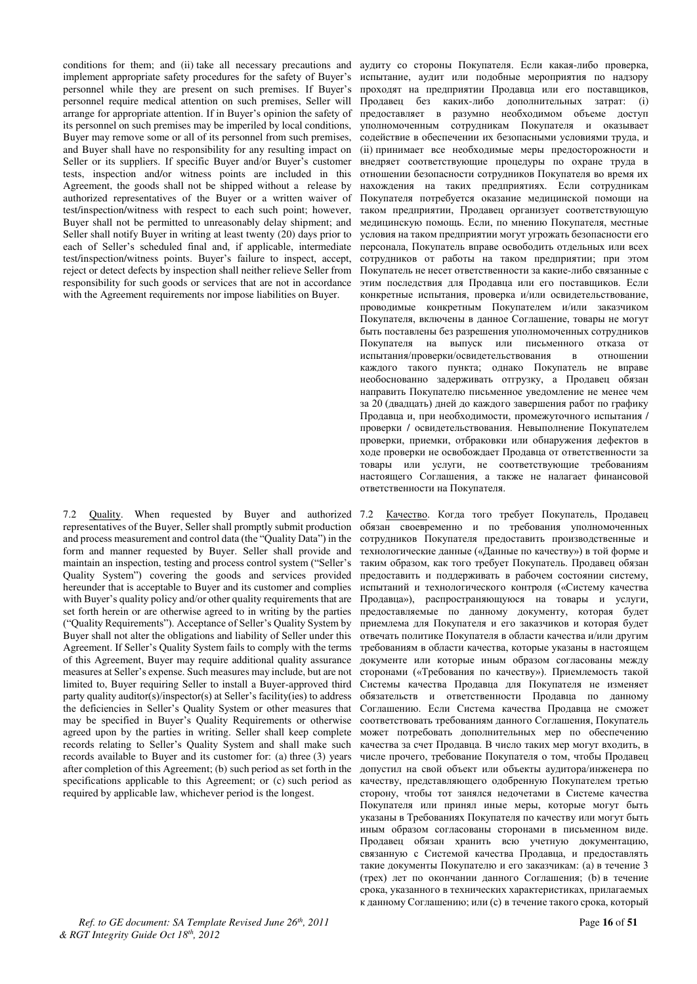conditions for them; and (ii) take all necessary precautions and implement appropriate safety procedures for the safety of Buyer's personnel while they are present on such premises. If Buyer's personnel require medical attention on such premises, Seller will arrange for appropriate attention. If in Buyer's opinion the safety of its personnel on such premises may be imperiled by local conditions, Buyer may remove some or all of its personnel from such premises, and Buyer shall have no responsibility for any resulting impact on Seller or its suppliers. If specific Buyer and/or Buyer's customer tests, inspection and/or witness points are included in this Agreement, the goods shall not be shipped without a release by authorized representatives of the Buyer or a written waiver of test/inspection/witness with respect to each such point; however, Buyer shall not be permitted to unreasonably delay shipment; and Seller shall notify Buyer in writing at least twenty (20) days prior to each of Seller's scheduled final and, if applicable, intermediate test/inspection/witness points. Buyer's failure to inspect, accept, reject or detect defects by inspection shall neither relieve Seller from responsibility for such goods or services that are not in accordance with the Agreement requirements nor impose liabilities on Buyer.

7.2 Quality. When requested by Buyer and authorized representatives of the Buyer, Seller shall promptly submit production and process measurement and control data (the "Quality Data") in the form and manner requested by Buyer. Seller shall provide and maintain an inspection, testing and process control system ("Seller's Quality System") covering the goods and services provided hereunder that is acceptable to Buyer and its customer and complies with Buyer's quality policy and/or other quality requirements that are set forth herein or are otherwise agreed to in writing by the parties ("Quality Requirements"). Acceptance of Seller's Quality System by Buyer shall not alter the obligations and liability of Seller under this Agreement. If Seller's Quality System fails to comply with the terms of this Agreement, Buyer may require additional quality assurance measures at Seller's expense. Such measures may include, but are not limited to, Buyer requiring Seller to install a Buyer-approved third party quality auditor(s)/inspector(s) at Seller's facility(ies) to address the deficiencies in Seller's Quality System or other measures that may be specified in Buyer's Quality Requirements or otherwise agreed upon by the parties in writing. Seller shall keep complete records relating to Seller's Quality System and shall make such records available to Buyer and its customer for: (a) three (3) years after completion of this Agreement; (b) such period as set forth in the specifications applicable to this Agreement; or (c) such period as required by applicable law, whichever period is the longest.

*Ref. to GE document: SA Template Revised June 26th, 2011* Page **16** of **51** *& RGT Integrity Guide Oct 18th, 2012* 

аудиту со стороны Покупателя. Если какая-либо проверка, испытание, аудит или подобные мероприятия по надзору проходят на предприятии Продавца или его поставщиков, Продавец без каких-либо дополнительных затрат: (i) предоставляет в разумно необходимом объеме доступ уполномоченным сотрудникам Покупателя и оказывает содействие в обеспечении их безопасными условиями труда, и (ii) принимает все необходимые меры предосторожности и ɜɧɟɞɪɹɟɬ ɫɨɨɬɜɟɬɫɬɜɭɸɳɢɟ ɩɪɨɰɟɞɭɪɵ ɩɨ ɨɯɪɚɧɟ ɬɪɭɞɚ ɜ отношении безопасности сотрудников Покупателя во время их нахождения на таких предприятиях. Если сотрудникам Покупателя потребуется оказание медицинской помощи на таком предприятии. Продавец организует соответствующую медицинскую помощь. Если, по мнению Покупателя, местные условия на таком предприятии могут угрожать безопасности его персонала, Покупатель вправе освободить отдельных или всех сотрудников от работы на таком предприятии; при этом Покупатель не несет ответственности за какие-либо связанные с этим последствия для Продавца или его поставщиков. Если конкретные испытания, проверка и/или освидетельствование, проводимые конкретным Покупателем и/или заказчиком Покупателя, включены в данное Соглашение, товары не могут быть поставлены без разрешения уполномоченных сотрудников Покупателя на выпуск или письменного отказа от испытания/проверки/освидетельствования в отношении испытания/проверки/освидетельствования в каждого такого пункта; однако Покупатель не вправе необоснованно задерживать отгрузку, а Продавец обязан направить Покупателю письменное уведомление не менее чем за 20 (двадцать) дней до каждого завершения работ по графику Продавца и, при необходимости, промежуточного испытания / проверки / освидетельствования. Невыполнение Покупателем проверки, приемки, отбраковки или обнаружения дефектов в ходе проверки не освобождает Продавца от ответственности за товары или услуги, не соответствующие требованиям настоящего Соглашения, а также не налагает финансовой ответственности на Покупателя.

7.2 Качество. Когда того требует Покупатель, Продавец обязан своевременно и по требования уполномоченных сотрудников Покупателя предоставить производственные и технологические данные («Данные по качеству») в той форме и таким образом, как того требует Покупатель. Продавец обязан предоставить и поддерживать в рабочем состоянии систему, испытаний и технологического контроля («Систему качества Продавца»), распространяющуюся на товары и услуги, предоставляемые по данному документу, которая будет приемлема для Покупателя и его заказчиков и которая будет отвечать политике Покупателя в области качества и/или другим требованиям в области качества, которые указаны в настоящем документе или которые иным образом согласованы между сторонами («Требования по качеству»). Приемлемость такой Системы качества Продавца для Покупателя не изменяет обязательств и ответственности Продавца по данному Соглашению. Если Система качества Продавца не сможет соответствовать требованиям данного Соглашения, Покупатель может потребовать дополнительных мер по обеспечению качества за счет Продавца. В число таких мер могут входить, в числе прочего, требование Покупателя о том, чтобы Продавец допустил на свой объект или объекты аудитора/инженера по качеству, представляющего одобренную Покупателем третью сторону, чтобы тот занялся недочетами в Системе качества Покупателя или принял иные меры, которые могут быть указаны в Требованиях Покупателя по качеству или могут быть иным образом согласованы сторонами в письменном виде. Продавец обязан хранить всю учетную документацию, связанную с Системой качества Продавца, и предоставлять такие документы Покупателю и его заказчикам: (а) в течение 3 (трех) лет по окончании данного Соглашения; (b) в течение срока, указанного в технических характеристиках, прилагаемых к данному Соглашению; или (с) в течение такого срока, который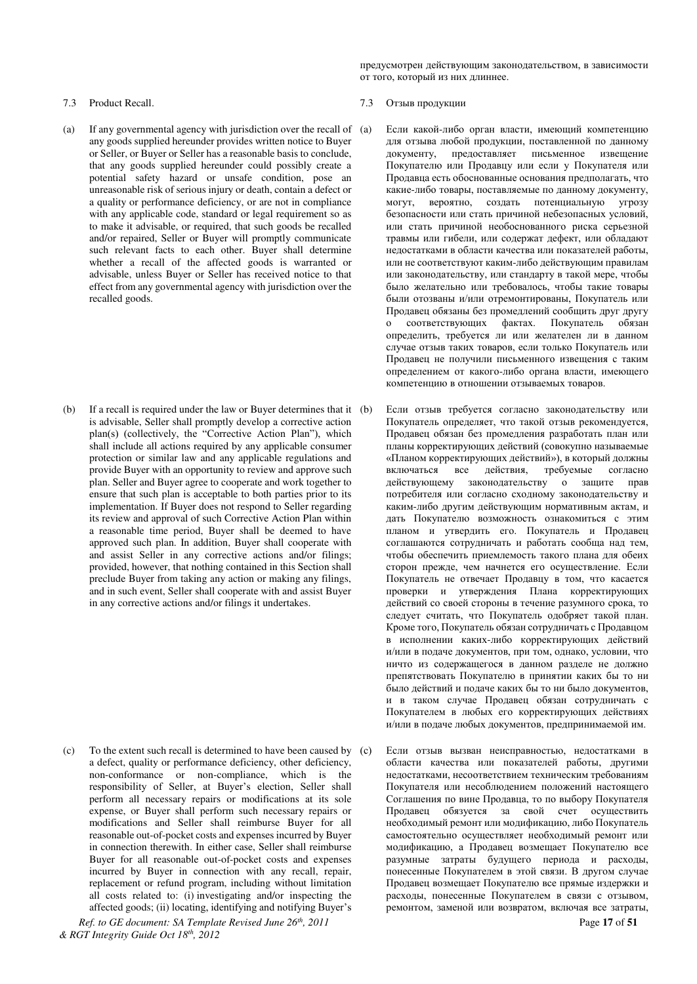предусмотрен действующим законодательством, в зависимости от того, который из них длиннее.

- (a) If any governmental agency with jurisdiction over the recall of any goods supplied hereunder provides written notice to Buyer or Seller, or Buyer or Seller has a reasonable basis to conclude, that any goods supplied hereunder could possibly create a potential safety hazard or unsafe condition, pose an unreasonable risk of serious injury or death, contain a defect or a quality or performance deficiency, or are not in compliance with any applicable code, standard or legal requirement so as to make it advisable, or required, that such goods be recalled and/or repaired, Seller or Buyer will promptly communicate such relevant facts to each other. Buyer shall determine whether a recall of the affected goods is warranted or advisable, unless Buyer or Seller has received notice to that effect from any governmental agency with jurisdiction over the recalled goods.
- (b) If a recall is required under the law or Buyer determines that it is advisable, Seller shall promptly develop a corrective action plan(s) (collectively, the "Corrective Action Plan"), which shall include all actions required by any applicable consumer protection or similar law and any applicable regulations and provide Buyer with an opportunity to review and approve such plan. Seller and Buyer agree to cooperate and work together to ensure that such plan is acceptable to both parties prior to its implementation. If Buyer does not respond to Seller regarding its review and approval of such Corrective Action Plan within a reasonable time period, Buyer shall be deemed to have approved such plan. In addition, Buyer shall cooperate with and assist Seller in any corrective actions and/or filings; provided, however, that nothing contained in this Section shall preclude Buyer from taking any action or making any filings, and in such event, Seller shall cooperate with and assist Buyer in any corrective actions and/or filings it undertakes.

(c) To the extent such recall is determined to have been caused by a defect, quality or performance deficiency, other deficiency, non-conformance or non-compliance, which is the responsibility of Seller, at Buyer's election, Seller shall perform all necessary repairs or modifications at its sole expense, or Buyer shall perform such necessary repairs or modifications and Seller shall reimburse Buyer for all reasonable out-of-pocket costs and expenses incurred by Buyer in connection therewith. In either case, Seller shall reimburse Buyer for all reasonable out-of-pocket costs and expenses incurred by Buyer in connection with any recall, repair, replacement or refund program, including without limitation all costs related to: (i) investigating and/or inspecting the affected goods; (ii) locating, identifying and notifying Buyer's

#### 7.3 Product Recall. 27.3 29 Product Recall. 27.3 29 Product Recall.

- Если какой-либо орган власти, имеющий компетенцию для отзыва любой продукции, поставленной по данному документу, предоставляет письменное извещение Покупателю или Продавцу или если у Покупателя или Продавца есть обоснованные основания предполагать, что какие-либо товары, поставляемые по данному документу, могут, вероятно, создать потенциальную угрозу безопасности или стать причиной небезопасных условий, или стать причиной необоснованного риска серьезной травмы или гибели, или содержат дефект, или обладают недостатками в области качества или показателей работы, или не соответствуют каким-либо действующим правилам или законодательству, или стандарту в такой мере, чтобы было желательно или требовалось, чтобы такие товары были отозваны и/или отремонтированы, Покупатель или Продавец обязаны без промедлений сообщить друг другу о соответствующих фактах. Покупатель обязан определить, требуется ли или желателен ли в данном случае отзыв таких товаров, если только Покупатель или Продавец не получили письменного извещения с таким определением от какого-либо органа власти, имеющего компетенцию в отношении отзываемых товаров.
- Если отзыв требуется согласно законодательству или Покупатель определяет, что такой отзыв рекомендуется, Продавец обязан без промедления разработать план или планы корректирующих действий (совокупно называемые «Планом корректирующих действий»), в который должны включаться все действия, требуемые согласно действующему законодательству о защите прав потребителя или согласно сходному законодательству и каким-либо другим действующим нормативным актам, и дать Покупателю возможность ознакомиться с этим планом и утвердить его. Покупатель и Продавец соглашаются сотрудничать и работать сообща над тем, чтобы обеспечить приемлемость такого плана для обеих сторон прежде, чем начнется его осуществление. Если Покупатель не отвечает Продавцу в том, что касается проверки и утверждения Плана корректирующих действий со своей стороны в течение разумного срока, то следует считать, что Покупатель одобряет такой план. Кроме того, Покупатель обязан сотрудничать с Продавцом в исполнении каких-либо корректирующих действий и/или в подаче документов, при том, однако, условии, что ничто из содержащегося в данном разделе не должно препятствовать Покупателю в принятии каких бы то ни было действий и подаче каких бы то ни было документов. и в таком случае Продавец обязан сотрудничать с Покупателем в любых его корректирующих лействиях и/или в подаче любых документов, предпринимаемой им.
- Если отзыв вызван неисправностью, недостатками в области качества или показателей работы, другими недостатками, несоответствием техническим требованиям Покупателя или несоблюдением положений настоящего Соглашения по вине Продавца, то по выбору Покупателя Продавец обязуется за свой счет осуществить необходимый ремонт или модификацию, либо Покупатель самостоятельно осуществляет необходимый ремонт или модификацию, а Продавец возмещает Покупателю все разумные затраты будущего периода и расходы, понесенные Покупателем в этой связи. В другом случае Продавец возмещает Покупателю все прямые издержки и расходы, понесенные Покупателем в связи с отзывом, ремонтом, заменой или возвратом, включая все затраты,

*Ref. to GE document: SA Template Revised June 26th, 2011* Page **17** of **51** *& RGT Integrity Guide Oct 18th, 2012*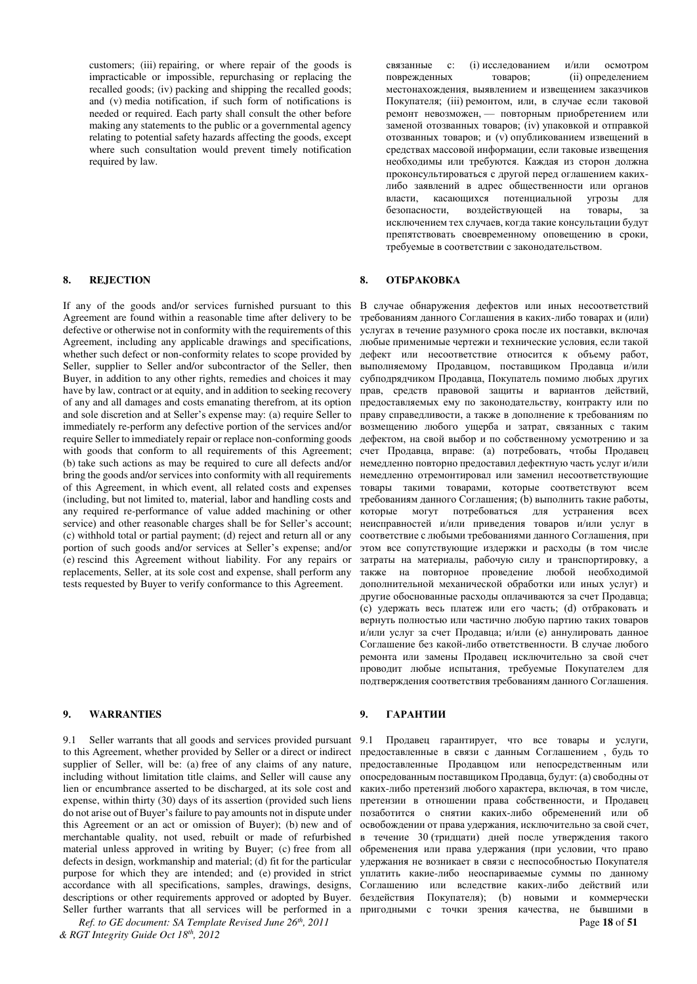customers; (iii) repairing, or where repair of the goods is impracticable or impossible, repurchasing or replacing the recalled goods; (iv) packing and shipping the recalled goods; and (v) media notification, if such form of notifications is needed or required. Each party shall consult the other before making any statements to the public or a governmental agency relating to potential safety hazards affecting the goods, except where such consultation would prevent timely notification required by law.

If any of the goods and/or services furnished pursuant to this Agreement are found within a reasonable time after delivery to be defective or otherwise not in conformity with the requirements of this Agreement, including any applicable drawings and specifications, whether such defect or non-conformity relates to scope provided by Seller, supplier to Seller and/or subcontractor of the Seller, then Buyer, in addition to any other rights, remedies and choices it may have by law, contract or at equity, and in addition to seeking recovery of any and all damages and costs emanating therefrom, at its option and sole discretion and at Seller's expense may: (a) require Seller to immediately re-perform any defective portion of the services and/or require Seller to immediately repair or replace non-conforming goods with goods that conform to all requirements of this Agreement; (b) take such actions as may be required to cure all defects and/or bring the goods and/or services into conformity with all requirements of this Agreement, in which event, all related costs and expenses (including, but not limited to, material, labor and handling costs and any required re-performance of value added machining or other service) and other reasonable charges shall be for Seller's account; (c) withhold total or partial payment; (d) reject and return all or any portion of such goods and/or services at Seller's expense; and/or (e) rescind this Agreement without liability. For any repairs or replacements, Seller, at its sole cost and expense, shall perform any tests requested by Buyer to verify conformance to this Agreement.

### **9. WARRANTIES 9. ΓΑΡΑΗΤИИ**

9.1 Seller warrants that all goods and services provided pursuant to this Agreement, whether provided by Seller or a direct or indirect supplier of Seller, will be: (a) free of any claims of any nature, including without limitation title claims, and Seller will cause any lien or encumbrance asserted to be discharged, at its sole cost and expense, within thirty (30) days of its assertion (provided such liens do not arise out of Buyer's failure to pay amounts not in dispute under this Agreement or an act or omission of Buyer); (b) new and of merchantable quality, not used, rebuilt or made of refurbished material unless approved in writing by Buyer; (c) free from all defects in design, workmanship and material; (d) fit for the particular purpose for which they are intended; and (e) provided in strict accordance with all specifications, samples, drawings, designs, descriptions or other requirements approved or adopted by Buyer.

*Ref. to GE document: SA Template Revised June 26th, 2011* Page **18** of **51** *& RGT Integrity Guide Oct 18th, 2012* 

связанные с: (i) исследованием и/или осмотром поврежденных товаров; (ii) определением местонахождения, выявлением и извешением заказчиков Покупателя; (iii) ремонтом, или, в случае если таковой ремонт невозможен, - повторным приобретением или заменой отозванных товаров; (iv) упаковкой и отправкой отозванных товаров; и (у) опубликованием извещений в средствах массовой информации, если таковые извещения необходимы или требуются. Каждая из сторон должна проконсультироваться с другой перед оглашением какихлибо заявлений в адрес общественности или органов власти, касающихся потенциальной угрозы для<br>безопасности, воздействующей на товары, за воздействующей на товары, за исключением тех случаев, когда такие консультации будут препятствовать своевременному оповещению в сроки, требуемые в соответствии с законодательством.

#### **8. REJECTION 8. OTEPAKOBKA**

В случае обнаружения дефектов или иных несоответствий требованиям данного Соглашения в каких-либо товарах и (или) услугах в течение разумного срока после их поставки, включая июбые применимые чертежи и технические условия, если такой дефект или несоответствие относится к объему работ, выполняемому Продавцом, поставщиком Продавца и/или субподрядчиком Продавца, Покупатель помимо любых других прав, средств правовой защиты и вариантов действий, предоставляемых ему по законодательству, контракту или по праву справедливости, а также в дополнение к требованиям по возмещению любого ущерба и затрат, связанных с таким дефектом, на свой выбор и по собственному усмотрению и за счет Продавца, вправе: (а) потребовать, чтобы Продавец немедленно повторно предоставил дефектную часть услуг и/или немедленно отремонтировал или заменил несоответствующие товары такими товарами, которые соответствуют всем требованиям данного Соглашения; (b) выполнить такие работы, которые могут потребоваться для устранения всех неисправностей и/или приведения товаров и/или услуг в соответствие с любыми требованиями данного Соглашения, при этом все сопутствующие издержки и расходы (в том числе затраты на материалы, рабочую силу и транспортировку, а также на повторное проведение любой необходимой дополнительной механической обработки или иных услуг) и другие обоснованные расходы оплачиваются за счет Продавца; (c) удержать весь платеж или его часть; (d) отбраковать и вернуть полностью или частично любую партию таких товаров и/или услуг за счет Продавца; и/или (е) аннулировать данное Соглашение без какой-либо ответственности. В случае любого ремонта или замены Продавец исключительно за свой счет проводит любые испытания, требуемые Покупателем для подтверждения соответствия требованиям данного Соглашения.

Seller further warrants that all services will be performed in а пригодными с точки зрения качества, не бывшими в 9.1 Продавец гарантирует, что все товары и услуги, предоставленные в связи с данным Соглашением, будь то предоставленные Продавцом или непосредственным или опосредованным поставщиком Продавца, будут: (а) свободны от каких-либо претензий любого характера, включая, в том числе, претензии в отношении права собственности, и Продавец позаботится о снятии каких-либо обременений или об освобождении от права удержания, исключительно за свой счет, в течение 30 (тридцати) дней после утверждения такого обременения или права удержания (при условии, что право удержания не возникает в связи с неспособностью Покупателя уплатить какие-либо неоспариваемые суммы по данному Соглашению или вследствие каких-либо действий или бездействия Покупателя); (b) новыми и коммерчески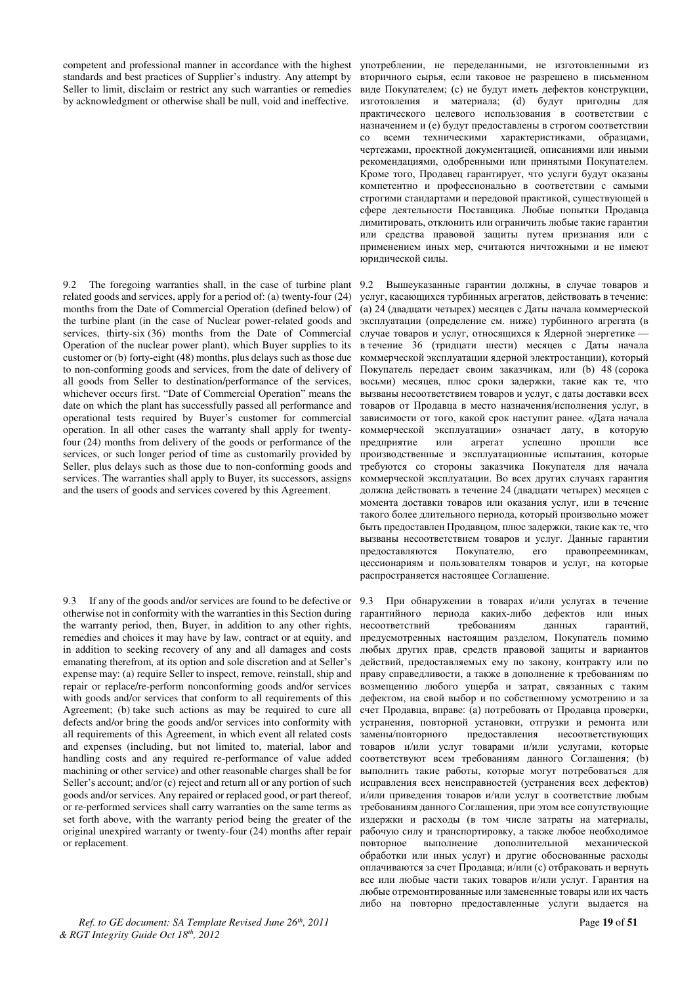competent and professional manner in accordance with the highest standards and best practices of Supplier's industry. Any attempt by Seller to limit, disclaim or restrict any such warranties or remedies by acknowledgment or otherwise shall be null, void and ineffective.

9.2 The foregoing warranties shall, in the case of turbine plant related goods and services, apply for a period of: (a) twenty-four (24) months from the Date of Commercial Operation (defined below) of the turbine plant (in the case of Nuclear power-related goods and services, thirty-six (36) months from the Date of Commercial Operation of the nuclear power plant), which Buyer supplies to its customer or (b) forty-eight (48) months, plus delays such as those due to non-conforming goods and services, from the date of delivery of all goods from Seller to destination/performance of the services, whichever occurs first. "Date of Commercial Operation" means the date on which the plant has successfully passed all performance and operational tests required by Buyer's customer for commercial operation. In all other cases the warranty shall apply for twentyfour (24) months from delivery of the goods or performance of the services, or such longer period of time as customarily provided by Seller, plus delays such as those due to non-conforming goods and services. The warranties shall apply to Buyer, its successors, assigns and the users of goods and services covered by this Agreement.

9.3 If any of the goods and/or services are found to be defective or otherwise not in conformity with the warranties in this Section during the warranty period, then, Buyer, in addition to any other rights, remedies and choices it may have by law, contract or at equity, and in addition to seeking recovery of any and all damages and costs emanating therefrom, at its option and sole discretion and at Seller's expense may: (a) require Seller to inspect, remove, reinstall, ship and repair or replace/re-perform nonconforming goods and/or services with goods and/or services that conform to all requirements of this Agreement; (b) take such actions as may be required to cure all defects and/or bring the goods and/or services into conformity with all requirements of this Agreement, in which event all related costs and expenses (including, but not limited to, material, labor and handling costs and any required re-performance of value added machining or other service) and other reasonable charges shall be for Seller's account; and/or  $(c)$  reject and return all or any portion of such goods and/or services. Any repaired or replaced good, or part thereof, or re-performed services shall carry warranties on the same terms as set forth above, with the warranty period being the greater of the original unexpired warranty or twenty-four (24) months after repair or replacement.

*Ref. to GE document: SA Template Revised June 26th, 2011* Page **19** of **51** *& RGT Integrity Guide Oct 18th, 2012* 

употреблении, не переделанными, не изготовленными из вторичного сырья, если таковое не разрешено в письменном виде Покупателем; (с) не будут иметь дефектов конструкции, изготовления и материала; (d) будут пригодны для практического целевого использования в соответствии с назначением и (е) будут предоставлены в строгом соответствии со всеми техническими характеристиками, образцами, чертежами, проектной документацией, описаниями или иными рекомендациями, одобренными или принятыми Покупателем. Кроме того, Продавец гарантирует, что услуги будут оказаны компетентно и профессионально в соответствии с самыми строгими стандартами и передовой практикой, существующей в сфере деятельности Поставщика. Любые попытки Продавца лимитировать, отклонить или ограничить любые такие гарантии или средства правовой защиты путем признания или с применением иных мер, считаются ничтожными и не имеют юридической силы.

9.2 Вышеуказанные гарантии должны, в случае товаров и услуг, касающихся турбинных агрегатов, действовать в течение: (а) 24 (двадцати четырех) месяцев с Даты начала коммерческой эксплуатации (определение см. ниже) турбинного агрегата (в случае товаров и услуг, относящихся к Ядерной энергетике в течение 36 (тридцати шести) месяцев с Даты начала коммерческой эксплуатации ядерной электростанции), который Покупатель передает своим заказчикам, или (b) 48 (сорока восьми) месяцев, плюс сроки задержки, такие как те, что вызваны несоответствием товаров и услуг, с даты доставки всех товаров от Продавца в место назначения/исполнения услуг, в зависимости от того, какой срок наступит ранее. «Дата начала коммерческой эксплуатации» означает дату, в которую предприятие или агрегат успешно прошли все производственные и эксплуатационные испытания, которые требуются со стороны заказчика Покупателя для начала коммерческой эксплуатации. Во всех других случаях гарантия должна действовать в течение 24 (двадцати четырех) месяцев с момента доставки товаров или оказания услуг, или в течение такого более длительного периода, который произвольно может быть предоставлен Продавцом, плюс задержки, такие как те, что вызваны несоответствием товаров и услуг. Данные гарантии предоставляются Покупателю, его правопреемникам, цессионариям и пользователям товаров и услуг, на которые распространяется настоящее Соглашение.

9.3 При обнаружении в товарах и/или услугах в течение гарантийного периода каких-либо дефектов или иных несоответствий требованиям данных гарантий, предусмотренных настоящим разделом, Покупатель помимо любых других прав, средств правовой защиты и вариантов действий, предоставляемых ему по закону, контракту или по праву справедливости, а также в дополнение к требованиям по возмешению любого ушерба и затрат, связанных с таким дефектом, на свой выбор и по собственному усмотрению и за счет Продавца, вправе: (а) потребовать от Продавца проверки, устранения, повторной установки, отгрузки и ремонта или замены/повторного предоставления несоответствующих замены/повторного товаров и/или услуг товарами и/или услугами, которые соответствуют всем требованиям данного Соглашения; (b) выполнить такие работы, которые могут потребоваться для исправления всех неисправностей (устранения всех дефектов) и/или приведения товаров и/или услуг в соответствие любым требованиям данного Соглашения, при этом все сопутствующие издержки и расходы (в том числе затраты на материалы, рабочую силу и транспортировку, а также любое необходимое иовторное ивыполнение дополнительной механической повторное выполнение дополнительной обработки или иных услуг) и другие обоснованные расходы оплачиваются за счет Продавца; и/или (с) отбраковать и вернуть все или любые части таких товаров и/или услуг. Гарантия на любые отремонтированные или замененные товары или их часть либо на повторно предоставленные услуги выдается на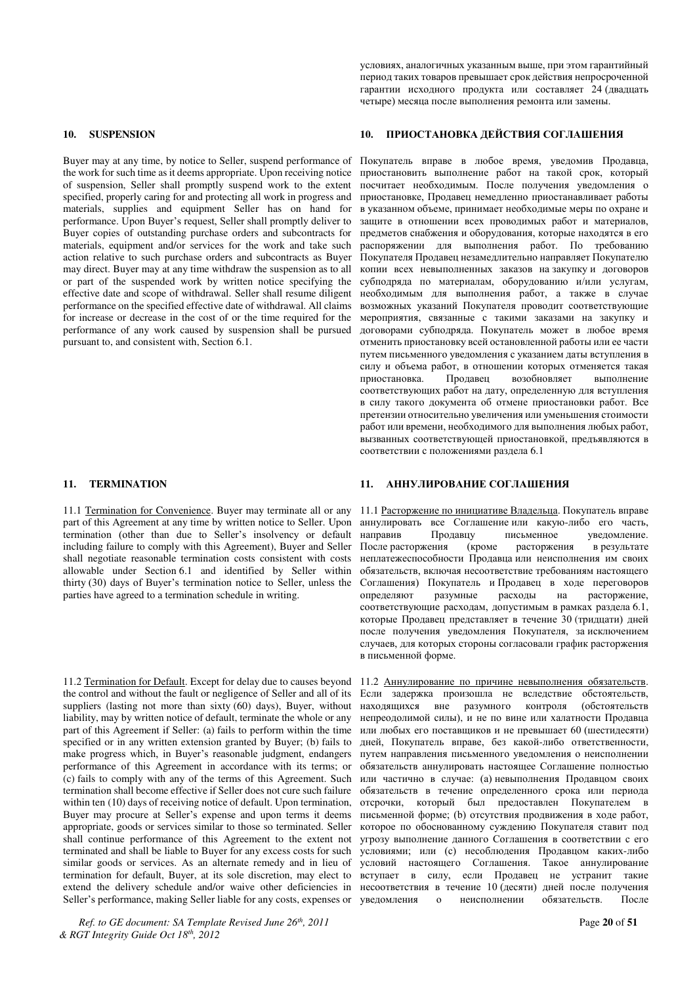Buyer may at any time, by notice to Seller, suspend performance of the work for such time as it deems appropriate. Upon receiving notice of suspension, Seller shall promptly suspend work to the extent specified, properly caring for and protecting all work in progress and materials, supplies and equipment Seller has on hand for performance. Upon Buyer's request, Seller shall promptly deliver to Buyer copies of outstanding purchase orders and subcontracts for materials, equipment and/or services for the work and take such action relative to such purchase orders and subcontracts as Buyer may direct. Buyer may at any time withdraw the suspension as to all or part of the suspended work by written notice specifying the effective date and scope of withdrawal. Seller shall resume diligent performance on the specified effective date of withdrawal. All claims for increase or decrease in the cost of or the time required for the performance of any work caused by suspension shall be pursued pursuant to, and consistent with, Section 6.1.

11.1 Termination for Convenience. Buyer may terminate all or any part of this Agreement at any time by written notice to Seller. Upon termination (other than due to Seller's insolvency or default including failure to comply with this Agreement), Buyer and Seller shall negotiate reasonable termination costs consistent with costs allowable under Section 6.1 and identified by Seller within thirty (30) days of Buyer's termination notice to Seller, unless the parties have agreed to a termination schedule in writing.

11.2 Termination for Default. Except for delay due to causes beyond the control and without the fault or negligence of Seller and all of its suppliers (lasting not more than sixty (60) days), Buyer, without liability, may by written notice of default, terminate the whole or any part of this Agreement if Seller: (a) fails to perform within the time specified or in any written extension granted by Buyer; (b) fails to make progress which, in Buyer's reasonable judgment, endangers performance of this Agreement in accordance with its terms; or (c) fails to comply with any of the terms of this Agreement. Such termination shall become effective if Seller does not cure such failure within ten (10) days of receiving notice of default. Upon termination, Buyer may procure at Seller's expense and upon terms it deems appropriate, goods or services similar to those so terminated. Seller shall continue performance of this Agreement to the extent not terminated and shall be liable to Buyer for any excess costs for such similar goods or services. As an alternate remedy and in lieu of termination for default, Buyer, at its sole discretion, may elect to extend the delivery schedule and/or waive other deficiencies in Seller's performance, making Seller liable for any costs, expenses or

*Ref. to GE document: SA Template Revised June 26th, 2011* Page **20** of **51** *& RGT Integrity Guide Oct 18th, 2012* 

условиях, аналогичных указанным выше, при этом гарантийный период таких товаров превышает срок действия непросроченной гарантии исходного продукта или составляет 24 (двадцать четыре) месяца после выполнения ремонта или замены.

#### **10. SUSPENSION 10. ɉɊɂɈɋɌȺɇɈȼɄȺ ȾȿɃɋɌȼɂə ɋɈȽɅȺɒȿɇɂə**

Покупатель вправе в любое время, уведомив Продавца, приостановить выполнение работ на такой срок, который лосчитает необходимым. После получения уведомления о приостановке, Продавец немедленно приостанавливает работы в указанном объеме, принимает необходимые меры по охране и защите в отношении всех проводимых работ и материалов, предметов снабжения и оборудования, которые находятся в его распоряжении для выполнения работ. По требованию Покупателя Продавец незамедлительно направляет Покупателю копии всех невыполненных заказов на закупку и договоров субподряда по материалам, оборудованию и/или услугам, необходимым для выполнения работ, а также в случае возможных указаний Покупателя проводит соответствующие мероприятия, связанные с такими заказами на закупку и договорами субподряда. Покупатель может в любое время отменить приостановку всей остановленной работы или ее части путем письменного уведомления с указанием даты вступления в силу и объема работ, в отношении которых отменяется такая приостановка. Продавец возобновляет выполнение соответствующих работ на дату, определенную для вступления в силу такого документа об отмене приостановки работ. Все претензии относительно увеличения или уменьшения стоимости работ или времени, необходимого для выполнения любых работ, вызванных соответствующей приостановкой, предъявляются в соответствии с положениями раздела 6.1

### **11. ТЕRMINATION 11. АННУЛИРОВАНИЕ СОГЛАШЕНИЯ**

11.1 Расторжение по инициативе Владельца. Покупатель вправе аннулировать все Соглашение или какую-либо его часть,<br>направив Продавцу исьменное уведомление. письменное уведомление. После расторжения (кроме расторжения в результате неплатежеспособности Продавца или неисполнения им своих обязательств, включая несоответствие требованиям настоящего Соглашения) Покупатель и Продавец в ходе переговоров определяют разумные расходы на расторжение, расходы на расторжение, соответствующие расходам, допустимым в рамках раздела 6.1, которые Продавец представляет в течение 30 (тридцати) дней после получения уведомления Покупателя, за исключением случаев, для которых стороны согласовали график расторжения в письменной форме.

11.2 Аннулирование по причине невыполнения обязательств. Если задержка произошла не вследствие обстоятельств, находящихся вне разумного контроля (обстоятельств непреодолимой силы), и не по вине или халатности Продавца или любых его поставщиков и не превышает 60 (шестидесяти) дней, Покупатель вправе, без какой-либо ответственности, путем направления письменного уведомления о неисполнении обязательств аннулировать настоящее Соглашение полностью или частично в случае: (а) невыполнения Продавцом своих обязательств в течение определенного срока или периода отсрочки, который был предоставлен Покупателем в письменной форме; (b) отсутствия продвижения в ходе работ. которое по обоснованному суждению Покупателя ставит под угрозу выполнение данного Соглашения в соответствии с его условиями; или (с) несоблюдения Продавцом каких-либо условий настоящего Соглашения. Такое аннулирование вступает в силу, если Продавец не устранит такие несоответствия в течение 10 (десяти) дней после получения<br>уведомления и о неисполнении обязательств. После неисполнении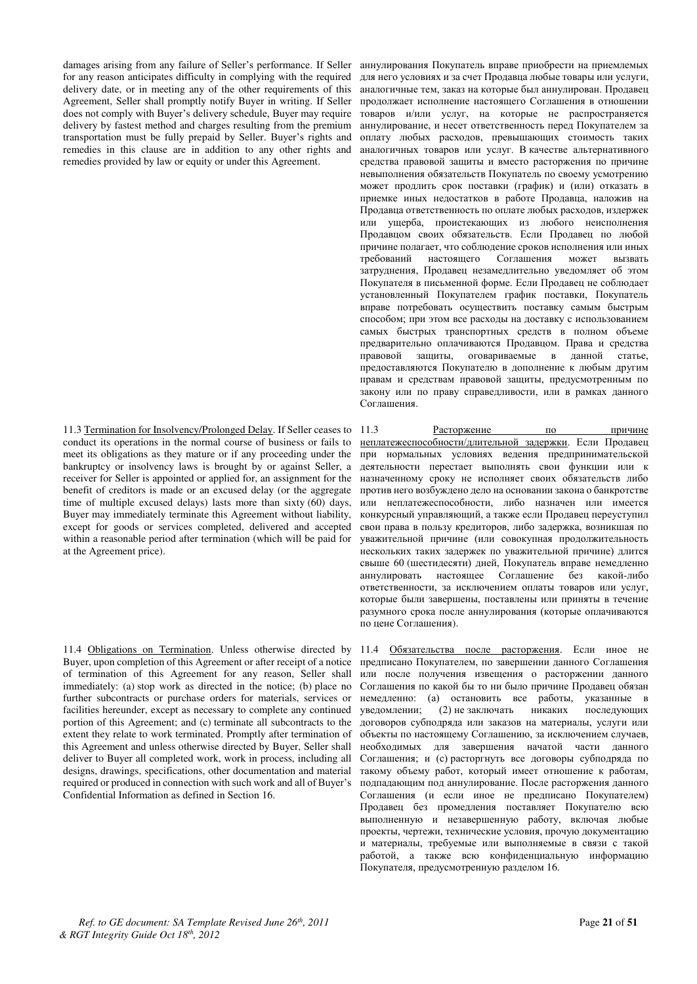damages arising from any failure of Seller's performance. If Seller for any reason anticipates difficulty in complying with the required delivery date, or in meeting any of the other requirements of this Agreement, Seller shall promptly notify Buyer in writing. If Seller does not comply with Buyer's delivery schedule, Buyer may require delivery by fastest method and charges resulting from the premium transportation must be fully prepaid by Seller. Buyer's rights and remedies in this clause are in addition to any other rights and remedies provided by law or equity or under this Agreement.

11.3 Termination for Insolvency/Prolonged Delay. If Seller ceases to conduct its operations in the normal course of business or fails to meet its obligations as they mature or if any proceeding under the bankruptcy or insolvency laws is brought by or against Seller, a receiver for Seller is appointed or applied for, an assignment for the benefit of creditors is made or an excused delay (or the aggregate time of multiple excused delays) lasts more than sixty (60) days, Buyer may immediately terminate this Agreement without liability, except for goods or services completed, delivered and accepted within a reasonable period after termination (which will be paid for at the Agreement price).

11.4 Obligations on Termination. Unless otherwise directed by Buyer, upon completion of this Agreement or after receipt of a notice of termination of this Agreement for any reason, Seller shall immediately: (a) stop work as directed in the notice; (b) place no further subcontracts or purchase orders for materials, services or facilities hereunder, except as necessary to complete any continued portion of this Agreement; and (c) terminate all subcontracts to the extent they relate to work terminated. Promptly after termination of this Agreement and unless otherwise directed by Buyer, Seller shall deliver to Buyer all completed work, work in process, including all designs, drawings, specifications, other documentation and material required or produced in connection with such work and all of Buyer's Confidential Information as defined in Section 16.

аннулирования Покупатель вправе приобрести на приемлемых для него условиях и за счет Продавца любые товары или услуги, аналогичные тем. заказ на которые был аннулирован. Продавец продолжает исполнение настоящего Соглашения в отношении товаров и/или услуг, на которые не распространяется аннулирование, и несет ответственность перед Покупателем за оплату любых расходов, превышающих стоимость таких аналогичных товаров или услуг. В качестве альтернативного средства правовой защиты и вместо расторжения по причине невыполнения обязательств Покупатель по своему усмотрению может продлить срок поставки (график) и (или) отказать в приемке иных недостатков в работе Продавца, наложив на Продавца ответственность по оплате любых расходов, издержек или ущерба, проистекающих из любого неисполнения Продавцом своих обязательств. Если Продавец по любой причине полагает, что соблюдение сроков исполнения или иных требований настоящего Соглашения может вызвать затруднения, Продавец незамедлительно уведомляет об этом Покупателя в письменной форме. Если Продавец не соблюдает установленный Покупателем график поставки, Покупатель вправе потребовать осуществить поставку самым быстрым способом; при этом все расходы на доставку с использованием самых быстрых транспортных средств в полном объеме предварительно оплачиваются Продавцом. Права и средства правовой защиты, оговариваемые в данной статье, предоставляются Покупателю в дополнение к любым другим правам и средствам правовой защиты, предусмотренным по ɡɚɤɨɧɭ ɢɥɢ ɩɨ ɩɪɚɜɭ ɫɩɪɚɜɟɞɥɢɜɨɫɬɢ, ɢɥɢ ɜ ɪɚɦɤɚɯ ɞɚɧɧɨɝɨ Соглашения.

11.3 Расторжение по причине <u>неплатежеспособности/длительной задержки</u>. Если Продавец при нормальных условиях ведения предпринимательской деятельности перестает выполнять свои функции или к назначенному сроку не исполняет своих обязательств либо против него возбуждено дело на основании закона о банкротстве или неплатежеспособности, либо назначен или имеется конкурсный управляющий, а также если Продавец переуступил свои права в пользу кредиторов, либо задержка, возникшая по уважительной причине (или совокупная продолжительность нескольких таких задержек по уважительной причине) длится свыше 60 (шестидесяти) дней, Покупатель вправе немедленно аннулировать настоящее Соглашение без какой-либо ответственности, за исключением оплаты товаров или услуг, которые были завершены, поставлены или приняты в течение разумного срока после аннулирования (которые оплачиваются по цене Соглашения).

11.4 Обязательства после расторжения. Если иное не предписано Покупателем, по завершении данного Соглашения или после получения извещения о расторжении данного Соглашения по какой бы то ни было причине Продавец обязан немедленно: (а) остановить все работы, указанные в уведомлении; (2) не заключать никаких последующих уведомлении; (2) не заключать никаких договоров субподряда или заказов на материалы, услуги или объекты по настоящему Соглашению, за исключением случаев, необходимых для завершения начатой части данного Соглашения; и (с) расторгнуть все договоры субподряда по такому объему работ, который имеет отношение к работам, подпадающим под аннулирование. После расторжения данного Соглашения (и если иное не предписано Покупателем) Продавец без промедления поставляет Покупателю всю выполненную и незавершенную работу, включая любые проекты, чертежи, технические условия, прочую документацию и материалы, требуемые или выполняемые в связи с такой работой, а также всю конфиденциальную информацию Покупателя, предусмотренную разделом 16.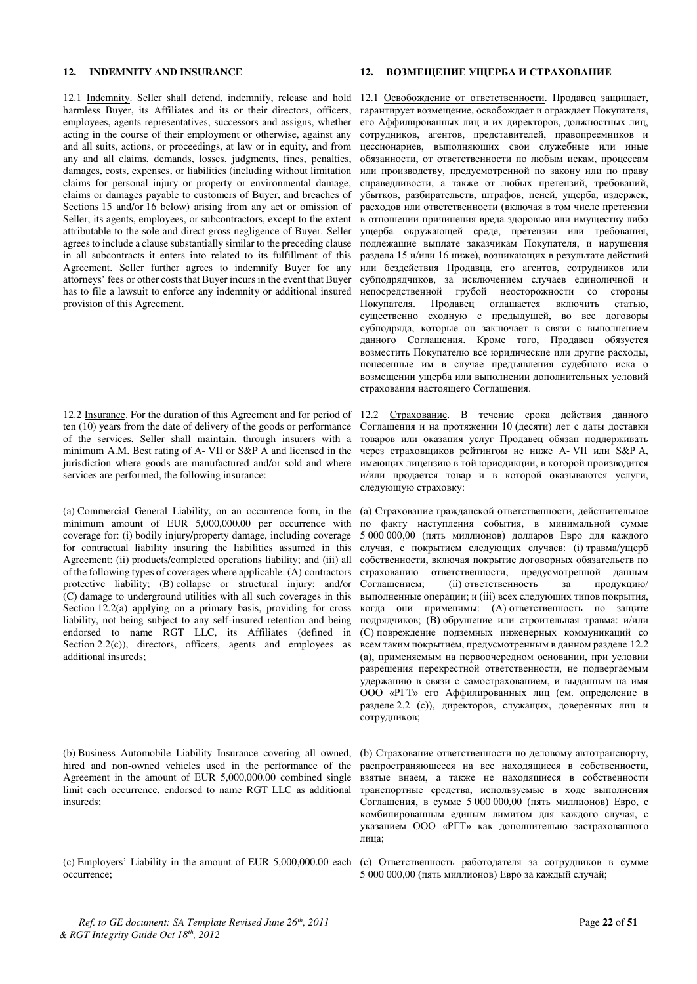harmless Buyer, its Affiliates and its or their directors, officers, employees, agents representatives, successors and assigns, whether acting in the course of their employment or otherwise, against any and all suits, actions, or proceedings, at law or in equity, and from any and all claims, demands, losses, judgments, fines, penalties, damages, costs, expenses, or liabilities (including without limitation claims for personal injury or property or environmental damage, claims or damages payable to customers of Buyer, and breaches of Sections 15 and/or 16 below) arising from any act or omission of Seller, its agents, employees, or subcontractors, except to the extent attributable to the sole and direct gross negligence of Buyer. Seller agrees to include a clause substantially similar to the preceding clause in all subcontracts it enters into related to its fulfillment of this Agreement. Seller further agrees to indemnify Buyer for any attorneys' fees or other costs that Buyer incurs in the event that Buyer has to file a lawsuit to enforce any indemnity or additional insured provision of this Agreement.

12.2 Insurance. For the duration of this Agreement and for period of ten (10) years from the date of delivery of the goods or performance of the services, Seller shall maintain, through insurers with a minimum A.M. Best rating of A- VII or S&P A and licensed in the jurisdiction where goods are manufactured and/or sold and where services are performed, the following insurance:

(a) Commercial General Liability, on an occurrence form, in the minimum amount of EUR 5,000,000.00 per occurrence with coverage for: (i) bodily injury/property damage, including coverage for contractual liability insuring the liabilities assumed in this Agreement; (ii) products/completed operations liability; and (iii) all of the following types of coverages where applicable: (A) contractors protective liability; (B) collapse or structural injury; and/or (C) damage to underground utilities with all such coverages in this Section 12.2(a) applying on a primary basis, providing for cross liability, not being subject to any self-insured retention and being endorsed to name RGT LLC, its Affiliates (defined in Section 2.2(c)), directors, officers, agents and employees as additional insureds;

(b) Business Automobile Liability Insurance covering all owned, hired and non-owned vehicles used in the performance of the Agreement in the amount of EUR 5,000,000.00 combined single limit each occurrence, endorsed to name RGT LLC as additional insureds;

occurrence;

### **12. INDEMNITY AND INSURANCE 12. BO3MEILLEHME YILLEPEA U CTPAXOBAHME**

12.1 Indemnity. Seller shall defend, indemnify, release and hold 12.1 Освобождение от ответственности. Продавец защищает, гарантирует возмещение, освобождает и ограждает Покупателя, его Аффилированных лиц и их директоров, должностных лиц, сотрудников, агентов, представителей, правопреемников и цессионариев, выполняющих свои служебные или иные обязанности, от ответственности по любым искам, процессам или производству, предусмотренной по закону или по праву справедливости, а также от любых претензий, требований, убытков, разбирательств, штрафов, пеней, ущерба, издержек, расходов или ответственности (включая в том числе претензии в отношении причинения вреда здоровью или имуществу либо ущерба окружающей среде, претензии или требования, подлежащие выплате заказчикам Покупателя, и нарушения раздела 15 и/или 16 ниже), возникающих в результате действий или бездействия Продавца, его агентов, сотрудников или субполрялчиков, за исключением случаев елиноличной и непосредственной грубой неосторожности со стороны Покупателя. Продавец оглашается включить статью, существенно сходную с предыдущей, во все договоры субподряда, которые он заключает в связи с выполнением данного Соглашения. Кроме того, Продавец обязуется возместить Покупателю все юридические или другие расходы, понесенные им в случае предъявления судебного иска о возмещении ущерба или выполнении дополнительных условий страхования настоящего Соглашения.

> 12.2 Страхование. В течение срока действия данного Соглашения и на протяжении 10 (десяти) лет с даты доставки товаров или оказания услуг Продавец обязан поддерживать через страховщиков рейтингом не ниже A- VII или S&P A, имеющих лицензию в той юрисдикции, в которой производится и/или продается товар и в которой оказываются услуги, следующую страховку:

> (а) Страхование гражданской ответственности, действительное по факту наступления события, в минимальной сумме 5 000 000,00 (ɩɹɬɶ ɦɢɥɥɢɨɧɨɜ) ɞɨɥɥɚɪɨɜ ȿɜɪɨ ɞɥɹ ɤɚɠɞɨɝɨ случая, с покрытием следующих случаев: (i) травма/ущерб собственности, включая покрытие договорных обязательств по страхованию ответственности, предусмотренной данным  $\overline{C}$ оглашением: (ii) ответственность за продукцию/ выполненные операции; и (iii) всех следующих типов покрытия, когда они применимы: (А) ответственность по защите подрядчиков; (В) обрушение или строительная травма: и/или (С) повреждение подземных инженерных коммуникаций со всем таким покрытием, предусмотренным в данном разделе 12.2 (а), применяемым на первоочередном основании, при условии разрешения перекрестной ответственности, не подвергаемым удержанию в связи с самострахованием, и выданным на имя ООО «PГТ» его Аффилированных лиц (см. определение в разделе 2.2 (c)), директоров, служащих, доверенных лиц и •<br>сотрудников;

> (b) Страхование ответственности по деловому автотранспорту, распространяющееся на все находящиеся в собственности, взятые внаем, а также не находящиеся в собственности транспортные средства, используемые в ходе выполнения  $\text{Corraunehus, }$  в сумме  $\text{5 000 000,00}$  (пять миллионов) Евро, с комбинированным елиным лимитом для каждого случая, с указанием ООО «PГТ» как дополнительно застрахованного лица;

(c) Employers' Liability in the amount of EUR 5,000,000.00 each (c) Ответственность работодателя за сотрудников в сумме 5 000 000,00 (пять миллионов) Евро за каждый случай;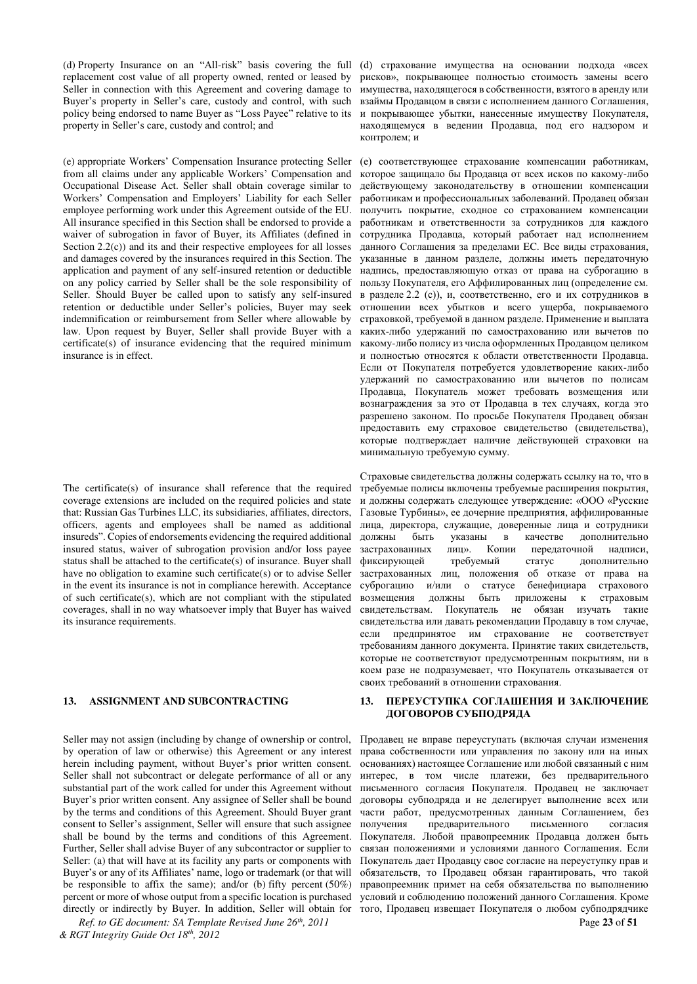(d) Property Insurance on an "All-risk" basis covering the full replacement cost value of all property owned, rented or leased by Seller in connection with this Agreement and covering damage to Buyer's property in Seller's care, custody and control, with such policy being endorsed to name Buyer as "Loss Payee" relative to its property in Seller's care, custody and control; and

(e) appropriate Workers' Compensation Insurance protecting Seller from all claims under any applicable Workers' Compensation and Occupational Disease Act. Seller shall obtain coverage similar to Workers' Compensation and Employers' Liability for each Seller employee performing work under this Agreement outside of the EU. All insurance specified in this Section shall be endorsed to provide a waiver of subrogation in favor of Buyer, its Affiliates (defined in Section  $2.2(c)$  and its and their respective employees for all losses and damages covered by the insurances required in this Section. The application and payment of any self-insured retention or deductible on any policy carried by Seller shall be the sole responsibility of Seller. Should Buyer be called upon to satisfy any self-insured retention or deductible under Seller's policies, Buyer may seek indemnification or reimbursement from Seller where allowable by law. Upon request by Buyer, Seller shall provide Buyer with a certificate(s) of insurance evidencing that the required minimum insurance is in effect.

The certificate(s) of insurance shall reference that the required coverage extensions are included on the required policies and state that: Russian Gas Turbines LLC, its subsidiaries, affiliates, directors, officers, agents and employees shall be named as additional insureds". Copies of endorsements evidencing the required additional insured status, waiver of subrogation provision and/or loss payee status shall be attached to the certificate(s) of insurance. Buyer shall have no obligation to examine such certificate(s) or to advise Seller in the event its insurance is not in compliance herewith. Acceptance of such certificate(s), which are not compliant with the stipulated coverages, shall in no way whatsoever imply that Buyer has waived its insurance requirements.

Seller may not assign (including by change of ownership or control, by operation of law or otherwise) this Agreement or any interest herein including payment, without Buyer's prior written consent. Seller shall not subcontract or delegate performance of all or any substantial part of the work called for under this Agreement without Buyer's prior written consent. Any assignee of Seller shall be bound by the terms and conditions of this Agreement. Should Buyer grant consent to Seller's assignment, Seller will ensure that such assignee shall be bound by the terms and conditions of this Agreement. Further, Seller shall advise Buyer of any subcontractor or supplier to Seller: (a) that will have at its facility any parts or components with Buyer's or any of its Affiliates' name, logo or trademark (or that will be responsible to affix the same); and/or (b) fifty percent (50%) percent or more of whose output from a specific location is purchased directly or indirectly by Buyer. In addition, Seller will obtain for

(d) страхование имущества на основании подхода «всех рисков», покрывающее полностью стоимость замены всего имущества, находящегося в собственности, взятого в аренду или взаймы Продавцом в связи с исполнением данного Соглашения, и покрывающее убытки, нанесенные имуществу Покупателя, находящемуся в ведении Продавца, под его надзором и контролем; и

(е) соответствующее страхование компенсации работникам, которое защищало бы Продавца от всех исков по какому-либо действующему законодательству в отношении компенсации работникам и профессиональных заболеваний. Продавец обязан получить покрытие, сходное со страхованием компенсации работникам и ответственности за сотрудников для каждого аза сотрудника Продавца, который работает над исполнением данного Соглашения за пределами ЕС. Все виды страхования, указанные в данном разделе, должны иметь передаточную надпись, предоставляющую отказ от права на суброгацию в пользу Покупателя, его Аффилированных лиц (определение см. в разделе 2.2 (c)), и, соответственно, его и их сотрудников в отношении всех убытков и всего ущерба, покрываемого страховкой, требуемой в данном разделе. Применение и выплата каких-либо удержаний по самострахованию или вычетов по какому-либо полису из числа оформленных Продавцом целиком и полностью относятся к области ответственности Продавца. Если от Покупателя потребуется удовлетворение каких-либо удержаний по самострахованию или вычетов по полисам inoдавца, Покупатель может требовать возмещения или вознаграждения за это от Продавца в тех случаях, когда это разрешено законом. По просьбе Покупателя Продавец обязан предоставить ему страховое свидетельство (свидетельства), которые подтверждает наличие действующей страховки на минимальную требуемую сумму.

Страховые свидетельства должны содержать ссылку на то, что в требуемые полисы включены требуемые расширения покрытия, и должны содержать следующее утверждение: «ООО «Русские Газовые Турбины», ее дочерние предприятия, аффилированные лица, директора, служащие, доверенные лица и сотрудники должны быть указаны в качестве дополнительно застрахованных лиц». Копии передаточной надписи, фиксирующей требуемый статус дополнительно застрахованных лиц, положения об отказе от права на суброгацию и/или о статусе бенефициара страхового возмещения должны быть приложены к страховым свидетельствам. Покупатель не обязан изучать такие свидетельства или давать рекомендации Продавцу в том случае, если предпринятое им страхование не соответствует требованиям данного документа. Принятие таких свидетельств, которые не соответствуют предусмотренным покрытиям, ни в коем разе не подразумевает, что Покупатель отказывается от своих требований в отношении страхования.

#### **13. ASSIGNMENT AND SUBCONTRACTING 13. ɉȿɊȿɍɋɌɍɉɄȺ ɋɈȽɅȺɒȿɇɂə ɂ ɁȺɄɅɘɑȿɇɂȿ ЛОГОВОРОВ СУБПОЛРЯЛА**

Продавец не вправе переуступать (включая случаи изменения права собственности или управления по закону или на иных основаниях) настоящее Соглашение или любой связанный с ним интерес, в том числе платежи, без предварительного письменного согласия Покупателя. Продавец не заключает договоры субподряда и не делегирует выполнение всех или части работ, предусмотренных данным Соглашением, без получения предварительного письменного согласия Покупателя. Любой правопреемник Продавца должен быть связан положениями и условиями данного Соглашения. Если Покупатель дает Продавцу свое согласие на переуступку прав и обязательств, то Продавец обязан гарантировать, что такой правопреемник примет на себя обязательства по выполнению условий и соблюдению положений данного Соглашения. Кроме того, Продавец извещает Покупателя о любом субподрядчике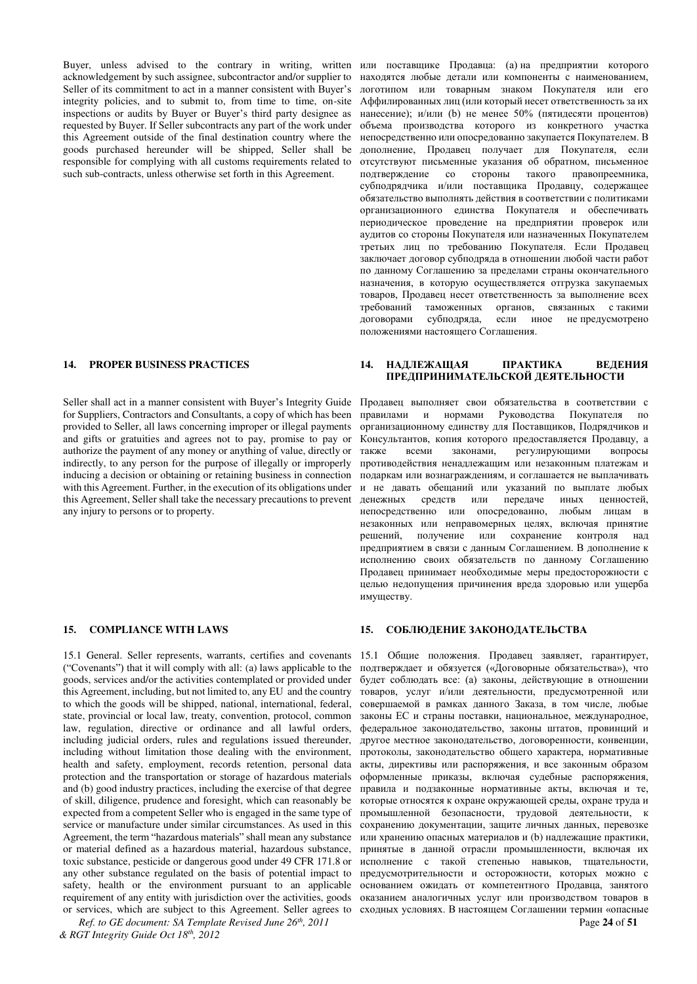Buyer, unless advised to the contrary in writing, written acknowledgement by such assignee, subcontractor and/or supplier to Seller of its commitment to act in a manner consistent with Buver's integrity policies, and to submit to, from time to time, on-site inspections or audits by Buyer or Buyer's third party designee as requested by Buyer. If Seller subcontracts any part of the work under this Agreement outside of the final destination country where the goods purchased hereunder will be shipped, Seller shall be responsible for complying with all customs requirements related to such sub-contracts, unless otherwise set forth in this Agreement.

Seller shall act in a manner consistent with Buyer's Integrity Guide for Suppliers, Contractors and Consultants, a copy of which has been provided to Seller, all laws concerning improper or illegal payments and gifts or gratuities and agrees not to pay, promise to pay or authorize the payment of any money or anything of value, directly or indirectly, to any person for the purpose of illegally or improperly inducing a decision or obtaining or retaining business in connection with this Agreement. Further, in the execution of its obligations under this Agreement, Seller shall take the necessary precautions to prevent any injury to persons or to property.

15.1 General. Seller represents, warrants, certifies and covenants ("Covenants") that it will comply with all: (a) laws applicable to the goods, services and/or the activities contemplated or provided under this Agreement, including, but not limited to, any EU and the country to which the goods will be shipped, national, international, federal, state, provincial or local law, treaty, convention, protocol, common law, regulation, directive or ordinance and all lawful orders, including judicial orders, rules and regulations issued thereunder, including without limitation those dealing with the environment, health and safety, employment, records retention, personal data protection and the transportation or storage of hazardous materials and (b) good industry practices, including the exercise of that degree of skill, diligence, prudence and foresight, which can reasonably be expected from a competent Seller who is engaged in the same type of service or manufacture under similar circumstances. As used in this Agreement, the term "hazardous materials" shall mean any substance or material defined as a hazardous material, hazardous substance, toxic substance, pesticide or dangerous good under 49 CFR 171.8 or any other substance regulated on the basis of potential impact to safety, health or the environment pursuant to an applicable requirement of any entity with jurisdiction over the activities, goods or services, which are subject to this Agreement. Seller agrees to

*Ref. to GE document: SA Template Revised June 26th, 2011* Page **24** of **51** *& RGT Integrity Guide Oct 18th, 2012* 

или поставщике Продавца: (а) на предприятии которого находятся любые детали или компоненты с наименованием, логотипом или товарным знаком Покупателя или его Аффилированных лиц (или который несет ответственность за их нанесение); и/или (b) не менее 50% (пятидесяти процентов) объема производства которого из конкретного участка непосредственно или опосредованно закупается Покупателем. В дополнение, Продавец получает для Покупателя, если отсутствуют письменные указания об обратном, письменное подтверждение со стороны такого правопреемника, субподрядчика и/или поставщика Продавцу, содержащее обязательство выполнять действия в соответствии с политиками организационного единства Покупателя и обеспечивать периодическое проведение на предприятии проверок или аудитов со стороны Покупателя или назначенных Покупателем третьих лиц по требованию Покупателя. Если Продавец заключает договор субподряда в отношении любой части работ по данному Соглашению за пределами страны окончательного назначения, в которую осуществляется отгрузка закупаемых товаров, Продавец несет ответственность за выполнение всех требований таможенных органов, связанных с такими<br>договорами субподряда, если иное не-предусмотрено договорами субподряда, если иное непредусмотрено положениями настоящего Соглашения.

### **14. PROPER BUSINESS PRACTICES 14. ɇȺȾɅȿɀȺɓȺə ɉɊȺɄɌɂɄȺ ȼȿȾȿɇɂə**  ПРЕДПРИНИМАТЕЛЬСКОЙ ДЕЯТЕЛЬНОСТИ

Продавец выполняет свои обязательства в соответствии с правилами и нормами Руководства Покупателя по организационному единству для Поставщиков, Подрядчиков и Консультантов, копия которого предоставляется Продавцу, а также всеми законами, регулирующими вопросы противодействия ненадлежащим или незаконным платежам и подаркам или вознаграждениям, и соглашается не выплачивать и не давать обещаний или указаний по выплате любых денежных средств или передаче иных ценностей, непосредственно или опосредованно, любым лицам в незаконных или неправомерных целях, включая принятие решений, получение или сохранение контроля над предприятием в связи с данным Соглашением. В дополнение к исполнению своих обязательств по данному Соглашению Продавец принимает необходимые меры предосторожности с целью недопущения причинения вреда здоровью или ущерба имуществу.

#### **15. СОМРLIANCE WITH LAWS 15. СОБЛЮДЕНИЕ ЗАКОНОДАТЕЛЬСТВА**

15.1 Общие положения. Продавец заявляет, гарантирует, подтверждает и обязуется («Договорные обязательства»), что будет соблюдать все: (а) законы, действующие в отношении товаров, услуг и/или деятельности, предусмотренной или совершаемой в рамках данного Заказа, в том числе, любые законы ЕС и страны поставки, национальное, международное, федеральное законодательство, законы штатов, провинций и другое местное законодательство, договоренности, конвенции, протоколы, законодательство общего характера, нормативные акты, директивы или распоряжения, и все законным образом оформленные приказы, включая судебные распоряжения, правила и подзаконные нормативные акты, включая и те, которые относятся к охране окружающей среды, охране труда и промышленной безопасности, трудовой деятельности, к сохранению документации, защите личных данных, перевозке или хранению опасных материалов и (b) надлежащие практики, принятые в данной отрасли промышленности, включая их исполнение с такой степенью навыков, тщательности, предусмотрительности и осторожности, которых можно с основанием ожидать от компетентного Продавца, занятого оказанием аналогичных услуг или производством товаров в сходных условиях. В настоящем Соглашении термин «опасные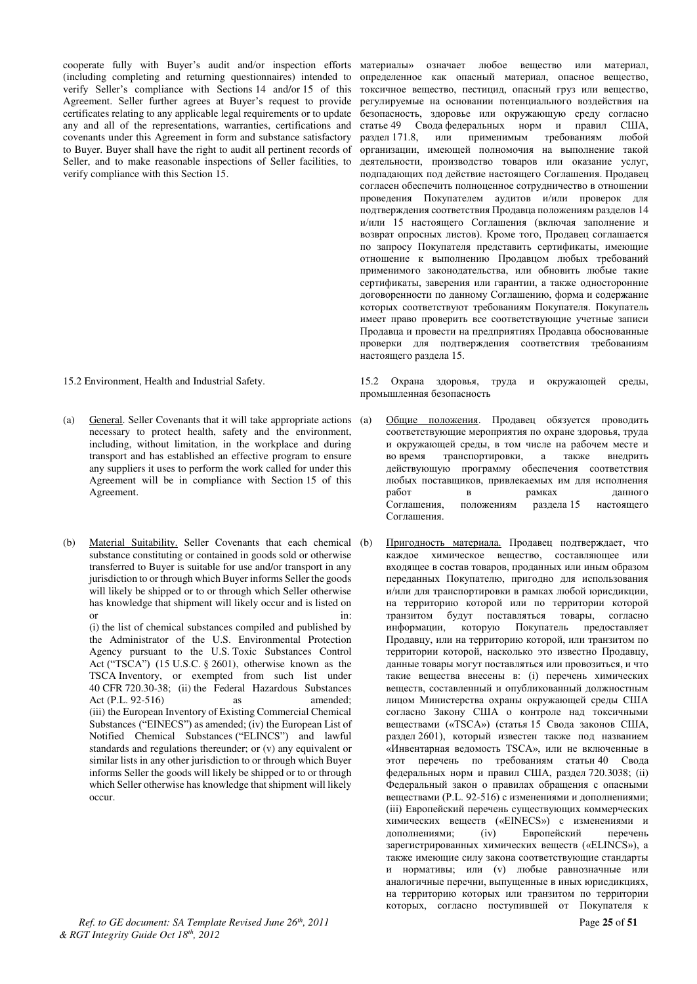cooperate fully with Buyer's audit and/or inspection efforts (including completing and returning questionnaires) intended to verify Seller's compliance with Sections 14 and/or 15 of this Agreement. Seller further agrees at Buyer's request to provide certificates relating to any applicable legal requirements or to update any and all of the representations, warranties, certifications and covenants under this Agreement in form and substance satisfactory to Buyer. Buyer shall have the right to audit all pertinent records of Seller, and to make reasonable inspections of Seller facilities, to verify compliance with this Section 15.

(a) General. Seller Covenants that it will take appropriate actions necessary to protect health, safety and the environment, including, without limitation, in the workplace and during transport and has established an effective program to ensure any suppliers it uses to perform the work called for under this Agreement will be in compliance with Section 15 of this Agreement.

(b) Material Suitability. Seller Covenants that each chemical (b) substance constituting or contained in goods sold or otherwise transferred to Buyer is suitable for use and/or transport in any jurisdiction to or through which Buyer informs Seller the goods will likely be shipped or to or through which Seller otherwise has knowledge that shipment will likely occur and is listed on or in: (i) the list of chemical substances compiled and published by the Administrator of the U.S. Environmental Protection Agency pursuant to the U.S. Toxic Substances Control Act ("TSCA") (15 U.S.C. § 2601), otherwise known as the TSCA Inventory, or exempted from such list under 40 CFR 720.30-38; (ii) the Federal Hazardous Substances Act (P.L. 92-516) as amended; (iii) the European Inventory of Existing Commercial Chemical Substances ("EINECS") as amended; (iv) the European List of Notified Chemical Substances ("ELINCS") and lawful standards and regulations thereunder; or (v) any equivalent or similar lists in any other jurisdiction to or through which Buyer informs Seller the goods will likely be shipped or to or through which Seller otherwise has knowledge that shipment will likely occur.

токсичное вещество, пестицид, опасный груз или вещество, регулируемые на основании потенциального воздействия на безопасность, здоровье или окружающую среду согласно статье 49 Свода федеральных норм и правил США, раздел 171.8. или применимым требованиям любой применимым требованиям любой организации, имеющей полномочия на выполнение такой леятельности, производство товаров или оказание услуг, подпадающих под действие настоящего Соглашения. Продавец согласен обеспечить полноценное сотрудничество в отношении проведения Покупателем аудитов и/или проверок для  $\overline{10}$ подтверждения соответствия Продавца положениям разделов 14 и/или 15 настоящего Соглашения (включая заполнение и возврат опросных листов). Кроме того, Продавец соглашается по запросу Покупателя представить сертификаты, имеющие отношение к выполнению Продавцом любых требований применимого законодательства, или обновить любые такие сертификаты, заверения или гарантии, а также односторонние договоренности по данному Соглашению, форма и содержание которых соответствуют требованиям Покупателя. Покупатель имеет право проверить все соответствующие учетные записи Продавца и провести на предприятиях Продавца обоснованные проверки для подтверждения соответствия требованиям

материалы» означает любое вещество или материал, определенное как опасный материал, опасное вещество,

15.2 Environment, Health and Industrial Safety. 15.2 Охрана здоровья, труда и окружающей среды, промышленная безопасность

настоящего раздела 15.

- Общие положения. Продавец обязуется проводить соответствующие мероприятия по охране здоровья, труда и окружающей среды, в том числе на рабочем месте и во время транспортировки, а также внедрить действующую программу обеспечения соответствия любых поставщиков, привлекаемых им для исполнения работ в панного в рамках Соглашения, положениям раздела 15 настоящего Cornameния
- Пригодность материала. Продавец подтверждает, что каждое химическое вещество, составляющее или входящее в состав товаров, проданных или иным образом переданных Покупателю, пригодно для использования и/или для транспортировки в рамках любой юрисдикции, на территорию которой или по территории которой транзитом будут поставляться товары, согласно информации, которую Покупатель предоставляет Продавцу, или на территорию которой, или транзитом по территории которой, насколько это известно Продавцу, данные товары могут поставляться или провозиться, и что такие вещества внесены в: (i) перечень химических веществ, составленный и опубликованный должностным лицом Министерства охраны окружающей среды США согласно Закону США о контроле над токсичными веществами («TSCA») (статья 15 Свода законов США, раздел 2601), который известен также под названием «Инвентарная ведомость TSCA», или не включенные в этот перечень по требованиям статьи 40 Свода федеральных норм и правил США, раздел 720.3038; (ii) Федеральный закон о правилах обращения с опасными веществами (Р.L. 92-516) с изменениями и дополнениями; (iii) Европейский перечень существующих коммерческих химических веществ («EINECS») с изменениями и дополнениями; (iv) Европейский перечень зарегистрированных химических веществ («ELINCS»), а также имеющие силу закона соответствующие стандарты и нормативы; или (v) любые равнозначные или аналогичные перечни, выпущенные в иных юрисдикциях, на территорию которых или транзитом по территории которых, согласно поступившей от Покупателя к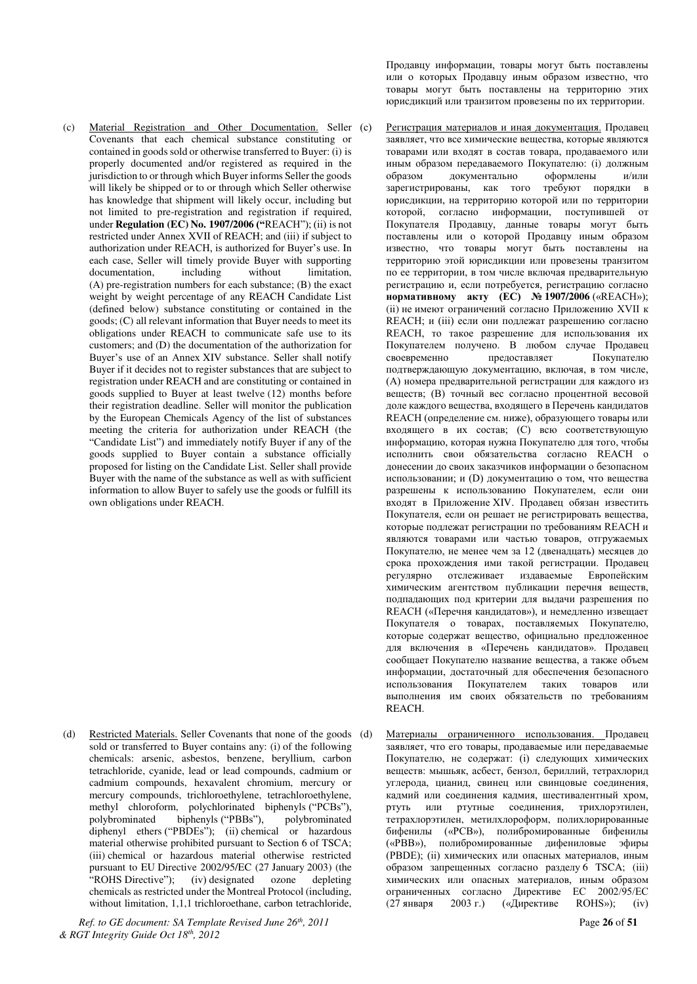(c) Material Registration and Other Documentation. Seller Covenants that each chemical substance constituting or contained in goods sold or otherwise transferred to Buyer: (i) is properly documented and/or registered as required in the jurisdiction to or through which Buyer informs Seller the goods will likely be shipped or to or through which Seller otherwise has knowledge that shipment will likely occur, including but not limited to pre-registration and registration if required, under **Regulation (EC) No. 1907/2006 ("REACH"); (ii) is not** restricted under Annex XVII of REACH; and (iii) if subject to authorization under REACH, is authorized for Buyer's use. In each case, Seller will timely provide Buyer with supporting documentation, including without limitation, (A) pre-registration numbers for each substance; (B) the exact weight by weight percentage of any REACH Candidate List (defined below) substance constituting or contained in the goods; (C) all relevant information that Buyer needs to meet its obligations under REACH to communicate safe use to its customers; and (D) the documentation of the authorization for Buyer's use of an Annex XIV substance. Seller shall notify Buyer if it decides not to register substances that are subject to registration under REACH and are constituting or contained in goods supplied to Buyer at least twelve (12) months before their registration deadline. Seller will monitor the publication by the European Chemicals Agency of the list of substances meeting the criteria for authorization under REACH (the "Candidate List") and immediately notify Buyer if any of the goods supplied to Buyer contain a substance officially proposed for listing on the Candidate List. Seller shall provide Buyer with the name of the substance as well as with sufficient information to allow Buyer to safely use the goods or fulfill its own obligations under REACH.

(d) Restricted Materials. Seller Covenants that none of the goods (d) sold or transferred to Buyer contains any: (i) of the following chemicals: arsenic, asbestos, benzene, beryllium, carbon tetrachloride, cyanide, lead or lead compounds, cadmium or cadmium compounds, hexavalent chromium, mercury or mercury compounds, trichloroethylene, tetrachloroethylene, methyl chloroform, polychlorinated biphenyls ("PCBs"), polybrominated biphenyls ("PBBs"), polybrominated diphenyl ethers ("PBDEs"); (ii) chemical or hazardous material otherwise prohibited pursuant to Section 6 of TSCA; (iii) chemical or hazardous material otherwise restricted pursuant to EU Directive 2002/95/EC (27 January 2003) (the "ROHS Directive"); (iv) designated ozone depleting  $(iv)$  designated ozone chemicals as restricted under the Montreal Protocol (including, without limitation, 1,1,1 trichloroethane, carbon tetrachloride,

*Ref. to GE document: SA Template Revised June 26th, 2011* Page **26** of **51** *& RGT Integrity Guide Oct 18th, 2012* 

Продавцу информации, товары могут быть поставлены или о которых Продавцу иным образом известно, что товары могут быть поставлены на территорию этих юрисдикций или транзитом провезены по их территории.

Регистрация материалов и иная документация. Продавец заявляет, что все химические вещества, которые являются товарами или входят в состав товара, продаваемого или иным образом передаваемого Покупателю: (i) должным образом документально оформлены и/или зарегистрированы, как того требуют порядки в юрисдикции, на территорию которой или по территории которой, согласно информации, поступившей от Покупателя Продавцу, данные товары могут быть поставлены или о которой Продавцу иным образом известно, что товары могут быть поставлены на территорию этой юрисдикции или провезены транзитом по ее территории, в том числе включая предварительную регистрацию и, если потребуется, регистрацию согласно **НОРМАТИВНОМУ АКТУ (ЕС) №1907/2006** («REACH»); (ii) не имеют ограничений согласно Приложению XVII к REACH; и (iii) если они подлежат разрешению согласно REACH, то такое разрешение для использования их Покупателем получено. В любом случае Продавец своевременно предоставляет Покупателю подтверждающую документацию, включая, в том числе, (А) номера предварительной регистрации для каждого из веществ; (В) точный вес согласно процентной весовой доле каждого вещества, входящего в Перечень кандидатов REACH (определение см. ниже), образующего товары или входящего в их состав:  $(C)$  всю соответствующую информацию, которая нужна Покупателю для того, чтобы исполнить свои обязательства согласно REACH о донесении до своих заказчиков информации о безопасном использовании; и (D) документацию о том, что вещества разрешены к использованию Покупателем, если они входят в Приложение XIV. Продавец обязан известить Покупателя, если он решает не регистрировать вещества, которые подлежат регистрации по требованиям REACH и являются товарами или частью товаров, отгружаемых Покупателю, не менее чем за 12 (двенадцать) месяцев до срока прохождения ими такой регистрации. Продавец регулярно отслеживает издаваемые Европейским химическим агентством публикации перечня веществ, подпадающих под критерии для выдачи разрешения по REACH («Перечня кандидатов»), и немедленно извещает Покупателя о товарах, поставляемых Покупателю, которые содержат вещество, официально предложенное для включения в «Перечень кандидатов». Продавец сообщает Покупателю название вещества, а также объем информации, достаточный для обеспечения безопасного использования Покупателем таких товаров или выполнения им своих обязательств по требованиям REACH.

Материалы ограниченного использования. Продавец заявляет, что его товары, продаваемые или передаваемые Покупателю, не содержат: (i) следующих химических веществ: мышьяк, асбест, бензол, бериллий, тетрахлорид углерода, цианид, свинец или свинцовые соединения, кадмий или соединения кадмия, шестивалентный хром, ртуть или ртутные соединения, трихлорэтилен, тетрахлорэтилен, метилхлороформ, полихлорированные бифенилы («РСВ»), полибромированные бифенилы («PBB»), полибромированные дифениловые эфиры (PBDE); (ii) химических или опасных материалов, иным образом запрещенных согласно разделу 6 TSCA; (iii) химических или опасных материалов, иным образом ограниченных согласно Директиве ЕС 2002/95/EC<br>(27 января 2003 г.) («Директиве ROHS»); (iv) (27 января 2003 г.) («Директиве ROHS»); (iv)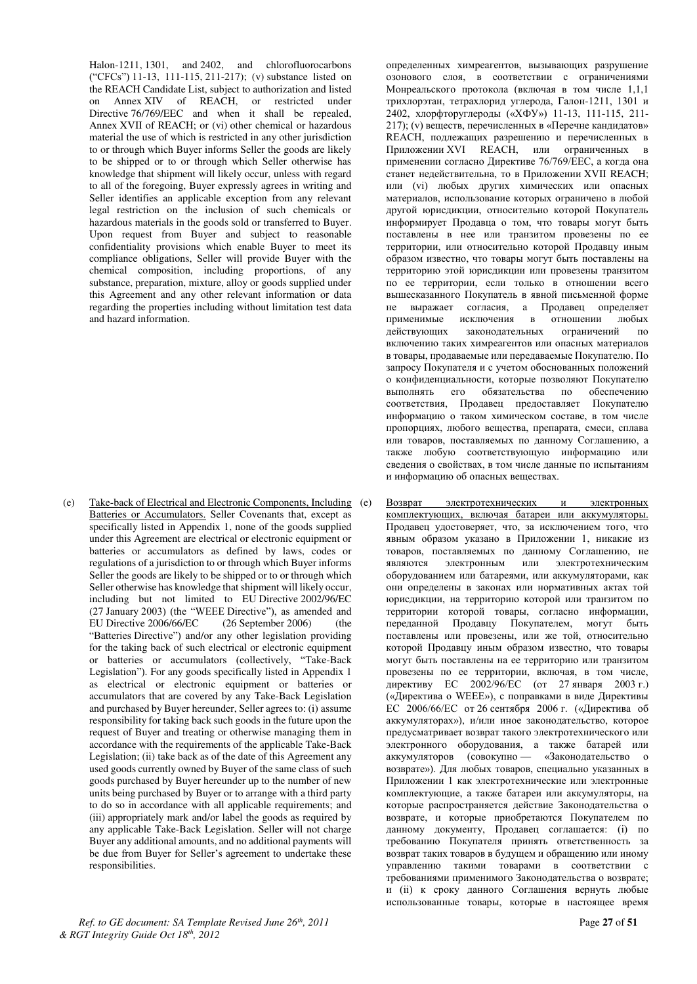Halon-1211, 1301, and 2402, and chlorofluorocarbons ("CFCs") 11-13, 111-115, 211-217); (v) substance listed on the REACH Candidate List, subject to authorization and listed on Annex XIV of REACH, or restricted under Directive 76/769/EEC and when it shall be repealed, Annex XVII of REACH; or (vi) other chemical or hazardous material the use of which is restricted in any other jurisdiction to or through which Buyer informs Seller the goods are likely to be shipped or to or through which Seller otherwise has knowledge that shipment will likely occur, unless with regard to all of the foregoing, Buyer expressly agrees in writing and Seller identifies an applicable exception from any relevant legal restriction on the inclusion of such chemicals or hazardous materials in the goods sold or transferred to Buyer. Upon request from Buyer and subject to reasonable confidentiality provisions which enable Buyer to meet its compliance obligations, Seller will provide Buyer with the chemical composition, including proportions, of any substance, preparation, mixture, alloy or goods supplied under this Agreement and any other relevant information or data regarding the properties including without limitation test data and hazard information.

(e) Take-back of Electrical and Electronic Components, Including Batteries or Accumulators. Seller Covenants that, except as specifically listed in Appendix 1, none of the goods supplied under this Agreement are electrical or electronic equipment or batteries or accumulators as defined by laws, codes or regulations of a jurisdiction to or through which Buyer informs Seller the goods are likely to be shipped or to or through which Seller otherwise has knowledge that shipment will likely occur, including but not limited to EU Directive 2002/96/EC (27 January 2003) (the "WEEE Directive"), as amended and EU Directive 2006/66/EC (26 September 2006) (the "Batteries Directive") and/or any other legislation providing for the taking back of such electrical or electronic equipment or batteries or accumulators (collectively, "Take-Back Legislation"). For any goods specifically listed in Appendix 1 as electrical or electronic equipment or batteries or accumulators that are covered by any Take-Back Legislation and purchased by Buyer hereunder, Seller agrees to: (i) assume responsibility for taking back such goods in the future upon the request of Buyer and treating or otherwise managing them in accordance with the requirements of the applicable Take-Back Legislation; (ii) take back as of the date of this Agreement any used goods currently owned by Buyer of the same class of such goods purchased by Buyer hereunder up to the number of new units being purchased by Buyer or to arrange with a third party to do so in accordance with all applicable requirements; and (iii) appropriately mark and/or label the goods as required by any applicable Take-Back Legislation. Seller will not charge Buyer any additional amounts, and no additional payments will be due from Buyer for Seller's agreement to undertake these responsibilities.

определенных химреагентов, вызывающих разрушение озонового слоя, в соответствии с ограничениями Монреальского протокола (включая в том числе 1,1,1 трихлорэтан, тетрахлорид углерода, Галон-1211, 1301 и 2402, хлорфторуглероды («ХФУ») 11-13, 111-115, 211-217); (v) веществ, перечисленных в «Перечне кандидатов» REACH, подлежащих разрешению и перечисленных в Приложении XVI REACH, или ограниченных в применении согласно Директиве 76/769/ЕЕС, а когда она станет недействительна, то в Приложении XVII REACH; или (vi) любых других химических или опасных материалов, использование которых ограничено в любой другой юрисдикции, относительно которой Покупатель информирует Продавца о том, что товары могут быть поставлены в нее или транзитом провезены по ее территории, или относительно которой Продавцу иным образом известно, что товары могут быть поставлены на территорию этой юрисдикции или провезены транзитом по ее территории, если только в отношении всего вышесказанного Покупатель в явной письменной форме не выражает согласия, а Продавец определяет<br>применимые исключения в отношении любых применимые исключения в отношении любых действующих законодательных ограничений по включению таких химреагентов или опасных материалов в товары, продаваемые или передаваемые Покупателю. По запросу Покупателя и с учетом обоснованных положений о конфиденциальности, которые позволяют Покупателю выполнять его обязательства по обеспечению соответствия, Продавец предоставляет Покупателю информацию о таком химическом составе, в том числе пропорциях, любого вещества, препарата, смеси, сплава или товаров, поставляемых по данному Соглашению, а также любую соответствующую информацию или сведения о свойствах, в том числе данные по испытаниям и информацию об опасных веществах.

Возврат электротехнических и электронных комплектующих, включая батареи или аккумуляторы. Продавец удостоверяет, что, за исключением того, что явным образом указано в Приложении 1, никакие из товаров, поставляемых по данному Соглашению, не являются электронным или электротехническим оборудованием или батареями, или аккумуляторами, как они определены в законах или нормативных актах той юрисдикции, на территорию которой или транзитом по территории которой товары, согласно информации, переданной Продавцу Покупателем, могут быть поставлены или провезены, или же той, относительно которой Продавцу иным образом известно, что товары могут быть поставлены на ее территорию или транзитом провезены по ее территории, включая, в том числе, директиву ЕС 2002/96/ЕС (от 27 января 2003 г.) («Директива о WEEE»), с поправками в виде Директивы ЕС 2006/66/ЕС от 26 сентября 2006 г. («Директива об аккумуляторах»), и/или иное законодательство, которое предусматривает возврат такого электротехнического или электронного оборудования, а также батарей или аккумуляторов (совокупно — «Законодательство о возврате»). Для любых товаров, специально указанных в Приложении 1 как электротехнические или электронные комплектующие, а также батареи или аккумуляторы, на которые распространяется действие Законодательства о возврате, и которые приобретаются Покупателем по данному документу, Продавец соглашается: (i) по требованию Покупателя принять ответственность за возврат таких товаров в будущем и обращению или иному управлению такими товарами в соответствии требованиями применимого Законодательства о возврате; и (ii) к сроку данного Соглашения вернуть любые использованные товары, которые в настоящее время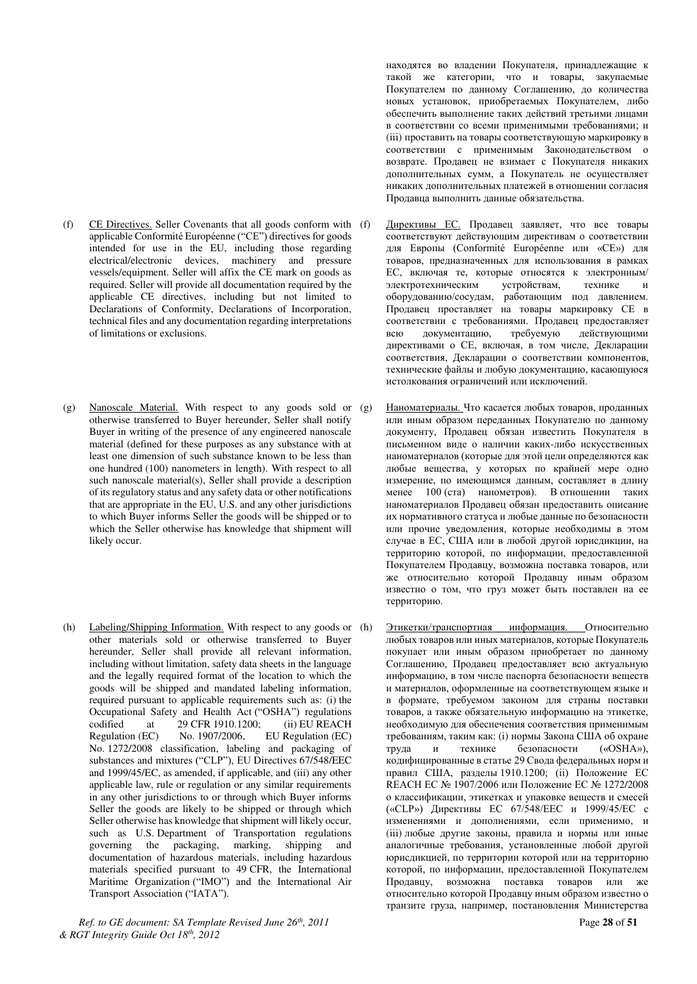- (f) CE Directives. Seller Covenants that all goods conform with applicable Conformité Européenne ("CE") directives for goods intended for use in the EU, including those regarding electrical/electronic devices, machinery and pressure vessels/equipment. Seller will affix the CE mark on goods as required. Seller will provide all documentation required by the applicable CE directives, including but not limited to Declarations of Conformity, Declarations of Incorporation, technical files and any documentation regarding interpretations of limitations or exclusions.
- (g) Nanoscale Material. With respect to any goods sold or otherwise transferred to Buyer hereunder, Seller shall notify Buyer in writing of the presence of any engineered nanoscale material (defined for these purposes as any substance with at least one dimension of such substance known to be less than one hundred (100) nanometers in length). With respect to all such nanoscale material(s), Seller shall provide a description of its regulatory status and any safety data or other notifications that are appropriate in the EU, U.S. and any other jurisdictions to which Buyer informs Seller the goods will be shipped or to which the Seller otherwise has knowledge that shipment will likely occur.
- (h) Labeling/Shipping Information. With respect to any goods or (h) other materials sold or otherwise transferred to Buyer hereunder, Seller shall provide all relevant information, including without limitation, safety data sheets in the language and the legally required format of the location to which the goods will be shipped and mandated labeling information, required pursuant to applicable requirements such as: (i) the Occupational Safety and Health Act ("OSHA") regulations codified at 29 CFR 1910.1200; (ii) EU REACH<br>Regulation (EC) No. 1907/2006, EU Regulation (EC) EU Regulation (EC) No. 1272/2008 classification, labeling and packaging of substances and mixtures ("CLP"), EU Directives 67/548/EEC and 1999/45/EC, as amended, if applicable, and (iii) any other applicable law, rule or regulation or any similar requirements in any other jurisdictions to or through which Buyer informs Seller the goods are likely to be shipped or through which Seller otherwise has knowledge that shipment will likely occur, such as U.S. Department of Transportation regulations governing the packaging, marking, shipping and documentation of hazardous materials, including hazardous materials specified pursuant to 49 CFR, the International Maritime Organization ("IMO") and the International Air Transport Association ("IATA").

*Ref. to GE document: SA Template Revised June 26th, 2011* Page **28** of **51** *& RGT Integrity Guide Oct 18th, 2012* 

находятся во владении Покупателя, принадлежащие к такой же категории, что и товары, закупаемые Покупателем по данному Соглашению, до количества новых установок, приобретаемых Покупателем, либо обеспечить выполнение таких действий третьими лицами в соответствии со всеми применимыми требованиями; и (iii) проставить на товары соответствующую маркировку в соответствии с применимым Законодательством о возврате. Продавец не взимает с Покупателя никаких дополнительных сумм, а Покупатель не осуществляет никаких дополнительных платежей в отношении согласия Продавца выполнить данные обязательства.

- Директивы ЕС. Продавец заявляет, что все товары соответствуют действующим директивам о соответствии для Европы (Conformité Européenne или «СЕ») для товаров, предназначенных для использования в рамках ЕС, включая те, которые относятся к электронным/ электротехническим устройствам, технике и оборудованию/сосудам, работающим под давлением. Продавец проставляет на товары маркировку СЕ в соответствии с требованиями. Продавец предоставляет всю документацию, требуемую действующими директивами о СЕ, включая, в том числе, Декларации соответствия, Декларации о соответствии компонентов, технические файлы и любую документацию, касающуюся истолкования ограничений или исключений.
- Наноматериалы. Что касается любых товаров, проданных или иным образом переданных Покупателю по данному документу, Продавец обязан известить Покупателя в письменном виде о наличии каких-либо искусственных наноматериалов (которые для этой цели определяются как любые вещества, у которых по крайней мере одно измерение, по имеющимся данным, составляет в длину менее 100 (ста) нанометров). В отношении таких наноматериалов Продавец обязан предоставить описание их нормативного статуса и любые данные по безопасности или прочие уведомления, которые необходимы в этом случае в ЕС, США или в любой другой юрисдикции, на территорию которой, по информации, предоставленной Покупателем Продавцу, возможна поставка товаров, или же относительно которой Продавцу иным образом известно о том, что груз может быть поставлен на ее территорию.
- Этикетки/транспортная информация. Относительно любых товаров или иных материалов, которые Покупатель покупает или иным образом приобретает по данному Соглашению, Продавец предоставляет всю актуальную информацию, в том числе паспорта безопасности веществ и материалов, оформленные на соответствующем языке и в формате, требуемом законом для страны поставки товаров, а также обязательную информацию на этикетке. необходимую для обеспечения соответствия применимым требованиям, таким как: (i) нормы Закона США об охране<br>труда и технике безопасности («OSHA»), труда и технике безопасности кодифицированные в статье 29 Свода федеральных норм и правил США, разделы 1910.1200; (ii) Положение ЕС REACH ЕС № 1907/2006 или Положение ЕС № 1272/2008 о классификации, этикетках и упаковке веществ и смесей («CLP») Директивы ЕС 67/548/ЕЕС и 1999/45/ЕС с изменениями и дополнениями, если применимо, и (iii) любые другие законы, правила и нормы или иные аналогичные требования, установленные любой другой юрисдикцией, по территории которой или на территорию которой, по информации, предоставленной Покупателем Продавцу, возможна поставка товаров или же относительно которой Продавцу иным образом известно о транзите груза, например, постановления Министерства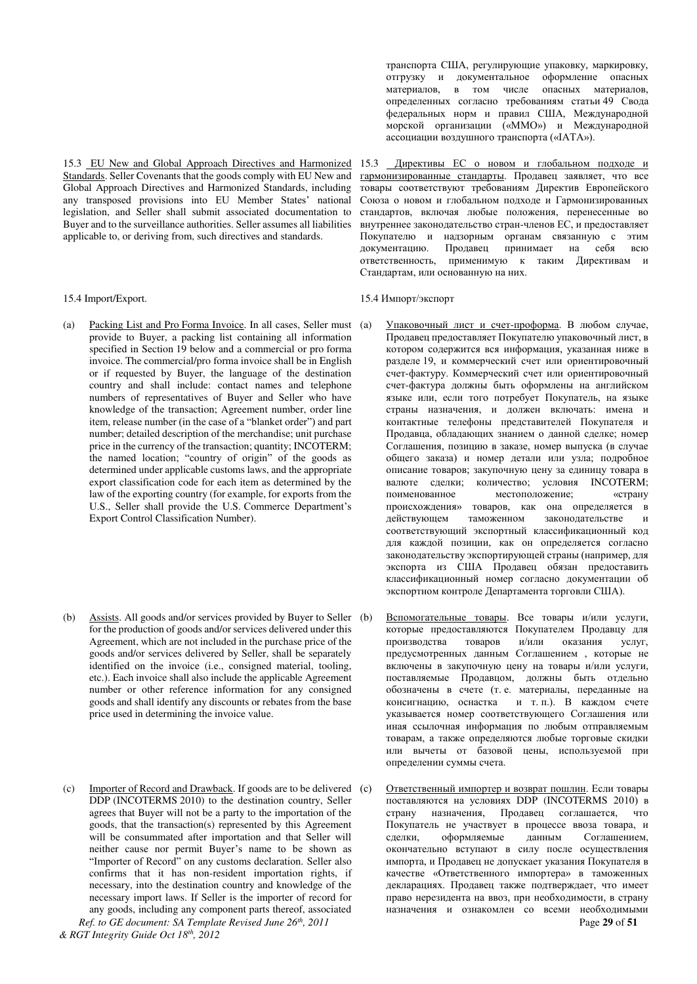Standards. Seller Covenants that the goods comply with EU New and Global Approach Directives and Harmonized Standards, including any transposed provisions into EU Member States' national legislation, and Seller shall submit associated documentation to Buyer and to the surveillance authorities. Seller assumes all liabilities applicable to, or deriving from, such directives and standards.

- (a) Packing List and Pro Forma Invoice. In all cases, Seller must provide to Buyer, a packing list containing all information specified in Section 19 below and a commercial or pro forma invoice. The commercial/pro forma invoice shall be in English or if requested by Buyer, the language of the destination country and shall include: contact names and telephone numbers of representatives of Buyer and Seller who have knowledge of the transaction; Agreement number, order line item, release number (in the case of a "blanket order") and part number; detailed description of the merchandise; unit purchase price in the currency of the transaction; quantity; INCOTERM; the named location; "country of origin" of the goods as determined under applicable customs laws, and the appropriate export classification code for each item as determined by the law of the exporting country (for example, for exports from the U.S., Seller shall provide the U.S. Commerce Department's Export Control Classification Number).
- (b) Assists. All goods and/or services provided by Buyer to Seller for the production of goods and/or services delivered under this Agreement, which are not included in the purchase price of the goods and/or services delivered by Seller, shall be separately identified on the invoice (i.e., consigned material, tooling, etc.). Each invoice shall also include the applicable Agreement number or other reference information for any consigned goods and shall identify any discounts or rebates from the base price used in determining the invoice value.
- *Ref. to GE document: SA Template Revised June 26th, 2011* Page **29** of **51** (c) Importer of Record and Drawback. If goods are to be delivered DDP (INCOTERMS 2010) to the destination country, Seller agrees that Buyer will not be a party to the importation of the goods, that the transaction(s) represented by this Agreement will be consummated after importation and that Seller will neither cause nor permit Buyer's name to be shown as "Importer of Record" on any customs declaration. Seller also confirms that it has non-resident importation rights, if necessary, into the destination country and knowledge of the necessary import laws. If Seller is the importer of record for any goods, including any component parts thereof, associated

транспорта США, регулирующие упаковку, маркировку, отгрузку и документальное оформление опасных материалов, в том числе опасных материалов, определенных согласно требованиям статьи 49 Свода федеральных норм и правил США, Международной морской организации («ММО») и Международной ассоциации воздушного транспорта («IATA»).

15.3 EU New and Global Approach Directives and Harmonized 15.3 Директивы ЕС о новом и глобальном подходе и гармонизированные стандарты. Продавец заявляет, что все TOBADЫ СООТВЕТСТВУЮТ ТРЕОБОВАНИЯМ ЛИРЕКТИВ ЕВРОПЕЙСКОГО Союза о новом и глобальном подходе и Гармонизированных стандартов, включая любые положения, перенесенные во внутреннее законодательство стран-членов ЕС, и предоставляет Покупателю и надзорным органам связанную с этим документацию. Продавец принимает на себя всю документацию. продавец припимает на есоя всю Стандартам, или основанную на них.

#### 15.4 Import/Export. 15.4 Import/Σκεπορτ

- Упаковочный лист и счет-проформа. В любом случае, Продавец предоставляет Покупателю упаковочный лист, в котором содержится вся информация, указанная ниже в разделе 19, и коммерческий счет или ориентировочный счет-фактуру. Коммерческий счет или ориентировочный счет-фактура должны быть оформлены на английском языке или, если того потребует Покупатель, на языке страны назначения, и должен включать: имена и контактные телефоны представителей Покупателя и Продавца, обладающих знанием о данной сделке; номер Соглашения, позицию в заказе, номер выпуска (в случае общего заказа) и номер детали или узла; подробное описание товаров; закупочную цену за единицу товара в валюте сделки; количество; условия INCOTERM; поименованное местоположение; «страну происхождения» товаров, как она определяется в действующем таможенном законодательстве и соответствующий экспортный классификационный код для каждой позиции, как он определяется согласно законодательству экспортирующей страны (например, для экспорта из США Продавец обязан предоставить классификационный номер согласно документации об экспортном контроле Департамента торговли США).
- Вспомогательные товары. Все товары и/или услуги, которые предоставляются Покупателем Продавцу для производства товаров и/или оказания услуг, предусмотренных данным Соглашением, которые не включены в закупочную цену на товары и/или услуги, поставляемые Продавцом, должны быть отдельно обозначены в счете (т. е. материалы, переданные на консигнацию, оснастка и т. п.). В каждом счете указывается номер соответствующего Соглашения или иная ссылочная информация по любым отправляемым товарам, а также определяются любые торговые скидки или вычеты от базовой цены, используемой при определении суммы счета.
- Ответственный импортер и возврат пошлин. Если товары поставляются на условиях DDP (INCOTERMS 2010) в страну назначения, Продавец соглашается, что Покупатель не участвует в процессе ввоза товара, и сделки, соформляемые и данным Соглашением, сделки, оформляемые окончательно вступают в силу после осуществления импорта, и Продавец не допускает указания Покупателя в качестве «Ответственного импортера» в таможенных декларациях. Продавец также подтверждает, что имеет право нерезидента на ввоз, при необходимости, в страну назначения и ознакомлен со всеми необходимыми

*<sup>&</sup>amp; RGT Integrity Guide Oct 18th, 2012*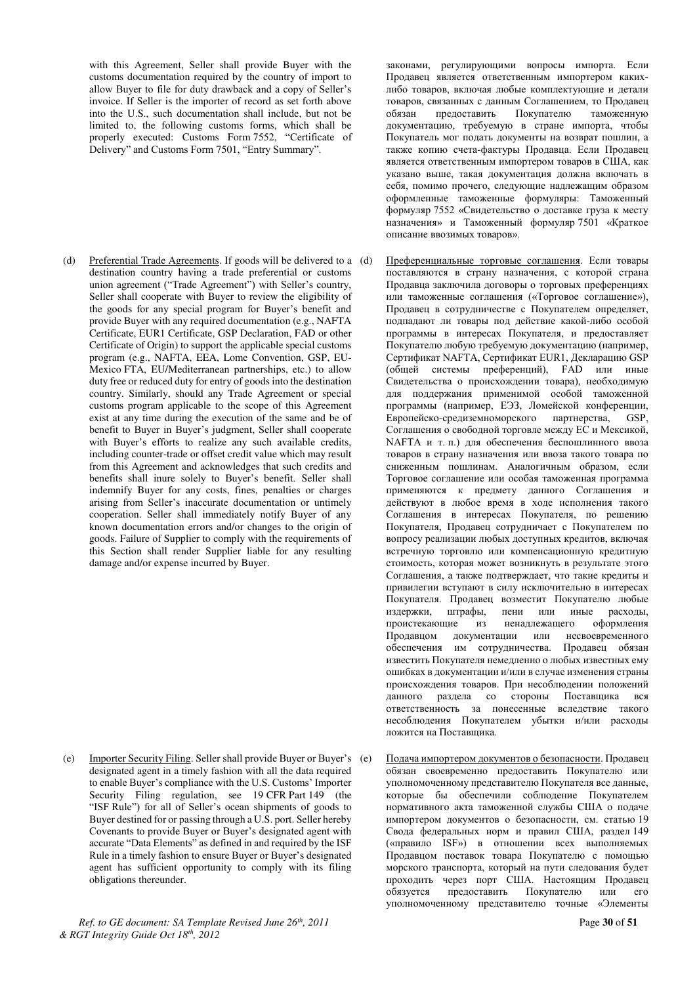with this Agreement, Seller shall provide Buyer with the customs documentation required by the country of import to allow Buyer to file for duty drawback and a copy of Seller's invoice. If Seller is the importer of record as set forth above into the U.S., such documentation shall include, but not be limited to, the following customs forms, which shall be properly executed: Customs Form 7552, "Certificate of Delivery" and Customs Form 7501, "Entry Summary".

(d) Preferential Trade Agreements. If goods will be delivered to a (d) destination country having a trade preferential or customs union agreement ("Trade Agreement") with Seller's country, Seller shall cooperate with Buyer to review the eligibility of the goods for any special program for Buyer's benefit and provide Buyer with any required documentation (e.g., NAFTA Certificate, EUR1 Certificate, GSP Declaration, FAD or other Certificate of Origin) to support the applicable special customs program (e.g., NAFTA, EEA, Lome Convention, GSP, EU-Mexico FTA, EU/Mediterranean partnerships, etc.) to allow duty free or reduced duty for entry of goods into the destination country. Similarly, should any Trade Agreement or special customs program applicable to the scope of this Agreement exist at any time during the execution of the same and be of benefit to Buyer in Buyer's judgment, Seller shall cooperate with Buyer's efforts to realize any such available credits, including counter-trade or offset credit value which may result from this Agreement and acknowledges that such credits and benefits shall inure solely to Buyer's benefit. Seller shall indemnify Buyer for any costs, fines, penalties or charges arising from Seller's inaccurate documentation or untimely cooperation. Seller shall immediately notify Buyer of any known documentation errors and/or changes to the origin of goods. Failure of Supplier to comply with the requirements of this Section shall render Supplier liable for any resulting damage and/or expense incurred by Buyer.

(e) Importer Security Filing. Seller shall provide Buyer or Buyer's (e) designated agent in a timely fashion with all the data required to enable Buyer's compliance with the U.S. Customs' Importer Security Filing regulation, see 19 CFR Part 149 (the "ISF Rule") for all of Seller's ocean shipments of goods to Buyer destined for or passing through a U.S. port. Seller hereby Covenants to provide Buyer or Buyer's designated agent with accurate "Data Elements" as defined in and required by the ISF Rule in a timely fashion to ensure Buyer or Buyer's designated agent has sufficient opportunity to comply with its filing obligations thereunder.

*Ref. to GE document: SA Template Revised June 26th, 2011* Page **30** of **51** *& RGT Integrity Guide Oct 18th, 2012* 

законами, регулирующими вопросы импорта. Если Продавец является ответственным импортером какихлибо товаров, включая любые комплектующие и детали товаров, связанных с данным Соглашением, то Продавец<br>обязан ипедоставить Покупателю таможенную обязан предоставить Покупателю документацию, требуемую в стране импорта, чтобы Покупатель мог подать документы на возврат пошлин, а также копию счета-фактуры Продавца. Если Продавец является ответственным импортером товаров в США, как указано выше, такая документация должна включать в себя, помимо прочего, следующие надлежащим образом оформленные таможенные формуляры: Таможенный  $\overline{1552}$  «Свидетельство о доставке груза к месту назначения» и Таможенный формуляр 7501 «Краткое описание ввозимых товаров».

- Преференциальные торговые соглашения. Если товары поставляются в страну назначения, с которой страна Продавца заключила договоры о торговых преференциях или таможенные соглашения («Торговое соглашение»), Продавец в сотрудничестве с Покупателем определяет, подпадают ли товары под действие какой-либо особой программы в интересах Покупателя, и предоставляет Покупателю любую требуемую документацию (например, Сертификат NAFTA, Сертификат EUR1, Декларацию GSP (общей системы преференций), FAD или иные Свидетельства о происхождении товара), необходимую для поддержания применимой особой таможенной программы (например, ЕЭЗ, Ломейской конференции, Европейско-средиземноморского партнерства, GSP, Соглашения о свободной торговле между ЕС и Мексикой. NAFTA и т. п.) для обеспечения беспошлинного ввоза товаров в страну назначения или ввоза такого товара по сниженным пошлинам. Аналогичным образом, если Торговое соглашение или особая таможенная программа применяются к предмету данного Соглашения и действуют в любое время в ходе исполнения такого Соглашения в интересах Покупателя, по решению Покупателя, Продавец сотрудничает с Покупателем по вопросу реализации любых доступных кредитов, включая встречную торговлю или компенсационную кредитную стоимость, которая может возникнуть в результате этого Соглашения, а также подтверждает, что такие кредиты и привилегии вступают в силу исключительно в интересах Покупателя. Продавец возместит Покупателю любые издержки, штрафы, пени или иные расходы, проистекающие из ненадлежащего оформления Продавцом документации или несвоевременного обеспечения им сотрудничества. Продавец обязан известить Покупателя немедленно о любых известных ему ошибках в документации и/или в случае изменения страны происхождения товаров. При несоблюдении положений данного раздела со стороны Поставщика вся ответственность за понесенные вследствие такого несоблюдения Покупателем убытки и/или расходы ложится на Поставщика.
- Подача импортером документов о безопасности. Продавец обязан своевременно предоставить Покупателю или уполномоченному представителю Покупателя все данные, которые бы обеспечили соблюдение Покупателем нормативного акта таможенной службы США о подаче импортером документов о безопасности, см. статью 19 Свода федеральных норм и правил США, раздел 149 («правило ISF») в отношении всех выполняемых Продавцом поставок товара Покупателю с помощью морского транспорта, который на пути следования будет проходить через порт США. Настоящим Продавец обязуется предоставить Покупателю или его уполномоченному представителю точные «Элементы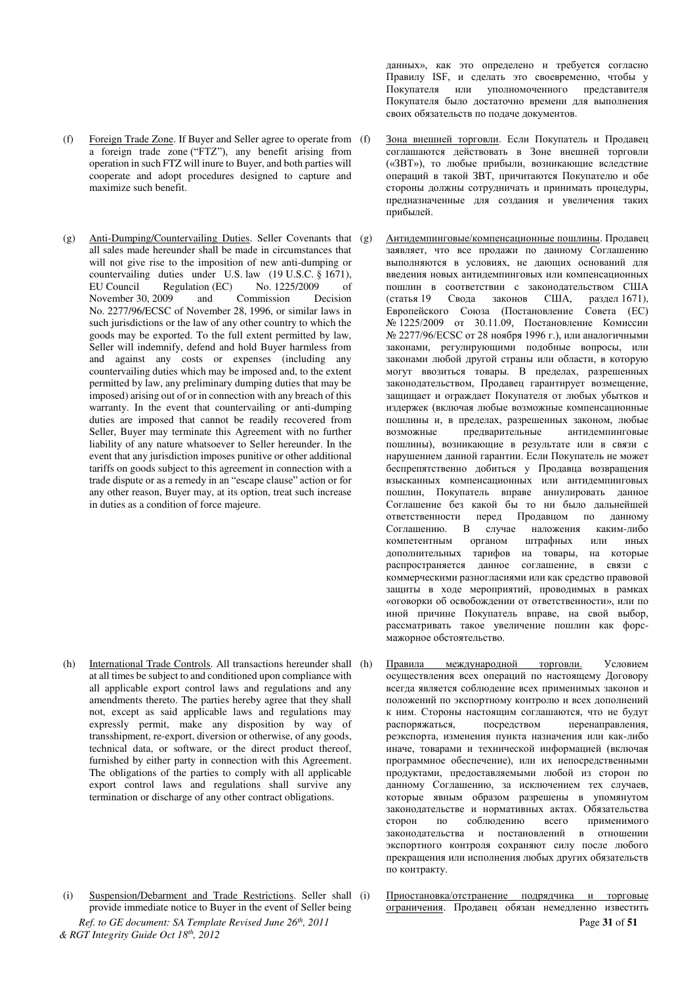- (f) Foreign Trade Zone. If Buyer and Seller agree to operate from a foreign trade zone ("FTZ"), any benefit arising from operation in such FTZ will inure to Buyer, and both parties will cooperate and adopt procedures designed to capture and maximize such benefit.
- (g) Anti-Dumping/Countervailing Duties. Seller Covenants that all sales made hereunder shall be made in circumstances that will not give rise to the imposition of new anti-dumping or countervailing duties under U.S. law (19 U.S.C.  $\hat{\S}$  1671),<br>EU Council Regulation (EC) No. 1225/2009 of Regulation (EC) No. 1225/2009 of<br>009 and Commission Decision November 30, 2009 No. 2277/96/ECSC of November 28, 1996, or similar laws in such jurisdictions or the law of any other country to which the goods may be exported. To the full extent permitted by law, Seller will indemnify, defend and hold Buyer harmless from and against any costs or expenses (including any countervailing duties which may be imposed and, to the extent permitted by law, any preliminary dumping duties that may be imposed) arising out of or in connection with any breach of this warranty. In the event that countervailing or anti-dumping duties are imposed that cannot be readily recovered from Seller, Buyer may terminate this Agreement with no further liability of any nature whatsoever to Seller hereunder. In the event that any jurisdiction imposes punitive or other additional tariffs on goods subject to this agreement in connection with a trade dispute or as a remedy in an "escape clause" action or for any other reason, Buyer may, at its option, treat such increase in duties as a condition of force majeure.

- (h) International Trade Controls. All transactions hereunder shall at all times be subject to and conditioned upon compliance with all applicable export control laws and regulations and any amendments thereto. The parties hereby agree that they shall not, except as said applicable laws and regulations may expressly permit, make any disposition by way of transshipment, re-export, diversion or otherwise, of any goods, technical data, or software, or the direct product thereof, furnished by either party in connection with this Agreement. The obligations of the parties to comply with all applicable export control laws and regulations shall survive any termination or discharge of any other contract obligations.
- *Ref. to GE document: SA Template Revised June 26th, 2011* Page **31** of **51** *& RGT Integrity Guide Oct 18th, 2012*  (i) Suspension/Debarment and Trade Restrictions. Seller shall (i) provide immediate notice to Buyer in the event of Seller being

данных», как это определено и требуется согласно Правилу ISF, и сделать это своевременно, чтобы у Покупателя или уполномоченного представителя Покупателя было достаточно времени для выполнения своих обязательств по подаче документов.

- Зона внешней торговли. Если Покупатель и Продавец соглашаются действовать в Зоне внешней торговли («ЗВТ»), то любые прибыли, возникающие вследствие операций в такой ЗВТ, причитаются Покупателю и обе стороны должны сотрудничать и принимать процедуры. предназначенные для создания и увеличения таких прибылей.
- Антидемпинговые/компенсационные пошлины. Продавец заявляет, что все продажи по данному Соглашению выполняются в условиях, не дающих оснований для введения новых антидемпинговых или компенсационных пошлин в соответствии с законодательством США (статья 19 Свода законов США, раздел 1671), Европейского Союза (Постановление Совета (ЕС) № 1225/2009 от 30.11.09, Постановление Комиссии № 2277/96/ЕСSС от 28 ноября 1996 г.), или аналогичными законами, регулирующими подобные вопросы, или законами любой другой страны или области, в которую могут ввозиться товары. В пределах, разрешенных законодательством, Продавец гарантирует возмещение, защищает и ограждает Покупателя от любых убытков и издержек (включая любые возможные компенсационные пошлины и, в пределах, разрешенных законом, любые возможные предварительные антидемпинговые пошлины), возникающие в результате или в связи с нарушением данной гарантии. Если Покупатель не может беспрепятственно добиться у Продавца возвращения взысканных компенсационных или антидемпинговых пошлин, Покупатель вправе аннулировать данное Соглашение без какой бы то ни было дальнейшей ответственности перед Продавцом по данному<br>Соглашению. В случае наложения каким-либо Соглашению. В случае наложения компетентным органом штрафных или иных дополнительных тарифов на товары, на которые распространяется данное соглашение, в связи с коммерческими разногласиями или как средство правовой защиты в ходе мероприятий, проводимых в рамках «оговорки об освобождении от ответственности», или по иной причине Покупатель вправе, на свой выбор, рассматривать такое увеличение пошлин как форсмажорное обстоятельство.
- Правила международной торговли. Условием осуществления всех операций по настоящему Договору всегда является соблюдение всех применимых законов и положений по экспортному контролю и всех дополнений к ним. Стороны настоящим соглашаются, что не будут распоряжаться, посредством перенаправления, • реэкспорта, изменения пункта назначения или как-либо иначе, товарами и технической информацией (включая программное обеспечение), или их непосредственными продуктами, предоставляемыми любой из сторон по данному Соглашению, за исключением тех случаев, которые явным образом разрешены в упомянутом законодательстве и нормативных актах. Обязательства сторон по соблюдению всего применимого законодательства и постановлений в отношении экспортного контроля сохраняют силу после любого прекращения или исполнения любых других обязательств по контракту.
	- Приостановка/отстранение подрядчика и торговые ограничения. Продавец обязан немедленно известить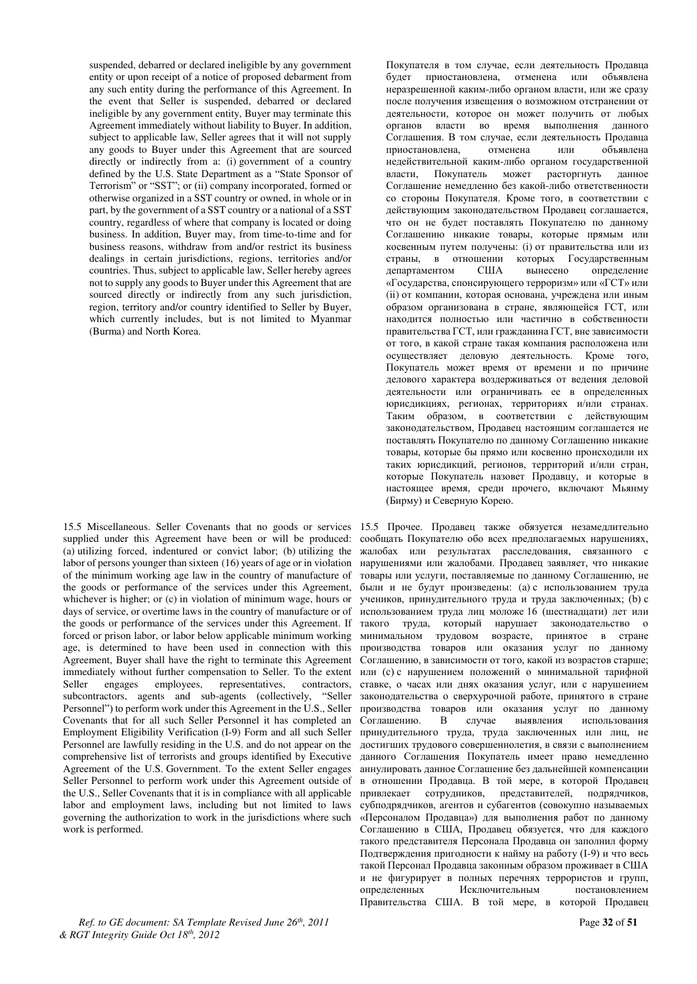suspended, debarred or declared ineligible by any government entity or upon receipt of a notice of proposed debarment from any such entity during the performance of this Agreement. In the event that Seller is suspended, debarred or declared ineligible by any government entity, Buyer may terminate this Agreement immediately without liability to Buyer. In addition, subject to applicable law, Seller agrees that it will not supply any goods to Buyer under this Agreement that are sourced directly or indirectly from a: (i) government of a country defined by the U.S. State Department as a "State Sponsor of Terrorism" or "SST"; or (ii) company incorporated, formed or otherwise organized in a SST country or owned, in whole or in part, by the government of a SST country or a national of a SST country, regardless of where that company is located or doing business. In addition, Buyer may, from time-to-time and for business reasons, withdraw from and/or restrict its business dealings in certain jurisdictions, regions, territories and/or countries. Thus, subject to applicable law, Seller hereby agrees not to supply any goods to Buyer under this Agreement that are sourced directly or indirectly from any such jurisdiction, region, territory and/or country identified to Seller by Buyer, which currently includes, but is not limited to Myanmar (Burma) and North Korea.

15.5 Miscellaneous. Seller Covenants that no goods or services supplied under this Agreement have been or will be produced: (a) utilizing forced, indentured or convict labor; (b) utilizing the labor of persons younger than sixteen (16) years of age or in violation of the minimum working age law in the country of manufacture of the goods or performance of the services under this Agreement, whichever is higher; or (c) in violation of minimum wage, hours or days of service, or overtime laws in the country of manufacture or of the goods or performance of the services under this Agreement. If forced or prison labor, or labor below applicable minimum working age, is determined to have been used in connection with this Agreement, Buyer shall have the right to terminate this Agreement immediately without further compensation to Seller. To the extent Seller engages employees, representatives, contractors, subcontractors, agents and sub-agents (collectively, "Seller Personnel") to perform work under this Agreement in the U.S., Seller Covenants that for all such Seller Personnel it has completed an Employment Eligibility Verification (I-9) Form and all such Seller Personnel are lawfully residing in the U.S. and do not appear on the comprehensive list of terrorists and groups identified by Executive Agreement of the U.S. Government. To the extent Seller engages Seller Personnel to perform work under this Agreement outside of the U.S., Seller Covenants that it is in compliance with all applicable labor and employment laws, including but not limited to laws governing the authorization to work in the jurisdictions where such work is performed.

*Ref. to GE document: SA Template Revised June 26th, 2011* Page **32** of **51** *& RGT Integrity Guide Oct 18th, 2012* 

Покупателя в том случае, если деятельность Продавца будет приостановлена, отменена или объявлена неразрешенной каким-либо органом власти, или же сразу после получения извещения о возможном отстранении от деятельности, которое он может получить от любых органов власти во время выполнения данного Соглашения. В том случае, если деятельность Продавца приостановлена, отменена или объявлена приостановлена, отменена или объявлена недействительной каким-либо органом государственной власти, Покупатель может расторгнуть данное Соглашение немедленно без какой-либо ответственности со стороны Покупателя. Кроме того, в соответствии с действующим законодательством Продавец соглашается, что он не будет поставлять Покупателю по данному Соглашению никакие товары, которые прямым или косвенным путем получены: (i) от правительства или из страны, в отношении которых Государственным департаментом США вынесено определение «Государства, спонсирующего терроризм» или «ГСТ» или (ii) от компании, которая основана, учреждена или иным образом организована в стране, являющейся ГСТ, или находится полностью или частично в собственности правительства ГСТ, или гражданина ГСТ, вне зависимости от того, в какой стране такая компания расположена или осуществляет деловую деятельность. Кроме того, Покупатель может время от времени и по причине делового характера воздерживаться от ведения деловой деятельности или ограничивать ее в определенных юрисдикциях, регионах, территориях и/или странах. Таким образом, в соответствии с действующим законодательством, Продавец настоящим соглашается не поставлять Покупателю по данному Соглашению никакие товары, которые бы прямо или косвенно происходили их таких юрисдикций, регионов, территорий и/или стран, которые Покупатель назовет Продавцу, и которые в настоящее время, среди прочего, включают Мьянму (Бирму) и Северную Корею.

15.5 Прочее. Продавец также обязуется незамедлительно сообщать Покупателю обо всех предполагаемых нарушениях, жалобах или результатах расследования, связанного с нарушениями или жалобами. Продавец заявляет, что никакие товары или услуги, поставляемые по данному Соглашению, не были и не будут произведены: (а) с использованием труда учеников, принудительного труда и труда заключенных; (b) с использованием труда лиц моложе 16 (шестнадцати) лет или такого труда, который нарушает законодательство о минимальном трудовом возрасте, принятое в стране производства товаров или оказания услуг по данному Соглашению, в зависимости от того, какой из возрастов старше; или (с) с нарушением положений о минимальной тарифной ставке, о часах или днях оказания услуг, или с нарушением законодательства о сверхурочной работе, принятого в стране производства товаров или оказания услуг по данному Соглашению. В случае выявления использования принудительного труда, труда заключенных или лиц, не достигших трудового совершеннолетия, в связи с выполнением данного Соглашения Покупатель имеет право немедленно аннулировать данное Соглашение без дальнейшей компенсации в отношении Продавца. В той мере, в которой Продавец привлекает сотрудников, представителей, подрядчиков, субподрядчиков, агентов и субагентов (совокупно называемых «Персоналом Продавца») для выполнения работ по данному Соглашению в США, Продавец обязуется, что для каждого такого представителя Персонала Продавца он заполнил форму Подтверждения пригодности к найму на работу (I-9) и что весь такой Персонал Продавца законным образом проживает в США и не фигурирует в полных перечнях террористов и групп, определенных Исключительным постановлением Правительства США. В той мере, в которой Продавец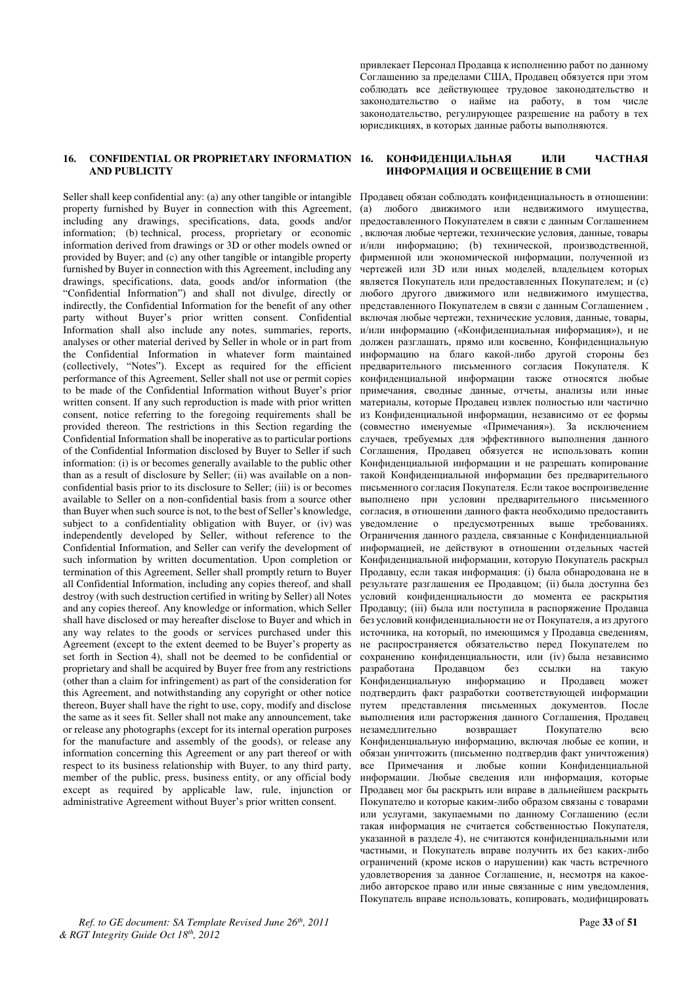привлекает Персонал Продавца к исполнению работ по данному Соглашению за пределами США, Продавец обязуется при этом соблюдать все действующее трудовое законодательство и законодательство о найме на работу, в том числе законодательство, регулирующее разрешение на работу в тех юрисдикциях, в которых данные работы выполняются.

### **16. CONFIDENTIAL OR PROPRIETARY INFORMATION AND PUBLICITY**

Seller shall keep confidential any: (a) any other tangible or intangible property furnished by Buyer in connection with this Agreement, including any drawings, specifications, data, goods and/or information; (b) technical, process, proprietary or economic information derived from drawings or 3D or other models owned or provided by Buyer; and (c) any other tangible or intangible property furnished by Buyer in connection with this Agreement, including any drawings, specifications, data, goods and/or information (the "Confidential Information") and shall not divulge, directly or indirectly, the Confidential Information for the benefit of any other party without Buyer's prior written consent. Confidential Information shall also include any notes, summaries, reports, analyses or other material derived by Seller in whole or in part from the Confidential Information in whatever form maintained (collectively, "Notes"). Except as required for the efficient performance of this Agreement, Seller shall not use or permit copies to be made of the Confidential Information without Buyer's prior written consent. If any such reproduction is made with prior written consent, notice referring to the foregoing requirements shall be provided thereon. The restrictions in this Section regarding the Confidential Information shall be inoperative as to particular portions of the Confidential Information disclosed by Buyer to Seller if such information: (i) is or becomes generally available to the public other than as a result of disclosure by Seller; (ii) was available on a nonconfidential basis prior to its disclosure to Seller; (iii) is or becomes available to Seller on a non-confidential basis from a source other than Buyer when such source is not, to the best of Seller's knowledge, subject to a confidentiality obligation with Buyer, or (iv) was independently developed by Seller, without reference to the Confidential Information, and Seller can verify the development of such information by written documentation. Upon completion or termination of this Agreement, Seller shall promptly return to Buyer all Confidential Information, including any copies thereof, and shall destroy (with such destruction certified in writing by Seller) all Notes and any copies thereof. Any knowledge or information, which Seller shall have disclosed or may hereafter disclose to Buyer and which in any way relates to the goods or services purchased under this Agreement (except to the extent deemed to be Buyer's property as set forth in Section 4), shall not be deemed to be confidential or proprietary and shall be acquired by Buyer free from any restrictions (other than a claim for infringement) as part of the consideration for this Agreement, and notwithstanding any copyright or other notice thereon, Buyer shall have the right to use, copy, modify and disclose the same as it sees fit. Seller shall not make any announcement, take or release any photographs (except for its internal operation purposes for the manufacture and assembly of the goods), or release any information concerning this Agreement or any part thereof or with respect to its business relationship with Buyer, to any third party, member of the public, press, business entity, or any official body except as required by applicable law, rule, injunction or administrative Agreement without Buyer's prior written consent.

#### **КОНФИЛЕНІЙАЛЬНАЯ ИЛИ ЧАСТНАЯ** ИНФОРМАЦИЯ И ОСВЕЩЕНИЕ В СМИ

Продавец обязан соблюдать конфиденциальность в отношении: (а) любого движимого или недвижимого имущества, предоставленного Покупателем в связи с данным Соглашением , включая любые чертежи, технические условия, данные, товары и/или информацию; (b) технической, производственной, фирменной или экономической информации, полученной из чертежей или 3D или иных молелей, владельцем которых является Покупатель или предоставленных Покупателем; и (с) любого другого движимого или недвижимого имущества, представленного Покупателем в связи с данным Соглашением. включая любые чертежи, технические условия, данные, товары, и/или информацию («Конфиденциальная информация»), и не должен разглашать, прямо или косвенно, Конфиденциальную информацию на благо какой-либо другой стороны без предварительного письменного согласия Покупателя. К конфиденциальной информации также относятся любые примечания, сводные данные, отчеты, анализы или иные материалы, которые Продавец извлек полностью или частично из Конфиденциальной информации, независимо от ее формы (совместно именуемые «Примечания»). За исключением случаев, требуемых для эффективного выполнения данного Соглашения, Продавец обязуется не использовать копии Конфиденциальной информации и не разрешать копирование такой Конфиденциальной информации без предварительного письменного согласия Покупателя. Если такое воспроизведение выполнено при условии предварительного письменного согласия, в отношении данного факта необходимо предоставить уведомление о предусмотренных выше требованиях. Ограничения данного раздела, связанные с Конфиденциальной информацией, не действуют в отношении отдельных частей Конфиденциальной информации, которую Покупатель раскрыл Продавцу, если такая информация: (і) была обнародована не в результате разглашения ее Продавцом: (ii) была доступна без үсловий конфиденциальности до момента ее раскрытия Продавцу; (ііі) была или поступила в распоряжение Продавца без условий конфиденциальности не от Покупателя, а из другого источника, на который, по имеющимся у Продавца сведениям, не распространяется обязательство перед Покупателем по сохранению конфиденциальности, или (iv) была независимо разработана Продавцом без ссылки на такую<br>Конфиденциальную информацию и Продавец может Конфиденциальную информацию и Продавец может подтвердить факт разработки соответствующей информации путем представления письменных документов. После выполнения или расторжения данного Соглашения, Продавец<br>незамеллительно и возвращает Покупателю всю незамедлительно возвращает Покупателю всю Конфиденциальную информацию, включая любые ее копии, и обязан уничтожить (письменно подтвердив факт уничтожения) все Примечания и любые копии Конфиденциальной информации. Любые сведения или информация, которые Продавец мог бы раскрыть или вправе в дальнейшем раскрыть Покупателю и которые каким-либо образом связаны с товарами или услугами, закупаемыми по данному Соглашению (если такая информация не считается собственностью Покупателя, указанной в разделе 4), не считаются конфиденциальными или частными, и Покупатель вправе получить их без каких-либо ограничений (кроме исков о нарушении) как часть встречного удовлетворения за данное Соглашение, и, несмотря на какоелибо авторское право или иные связанные с ним уведомления, Покупатель вправе использовать, копировать, модифицировать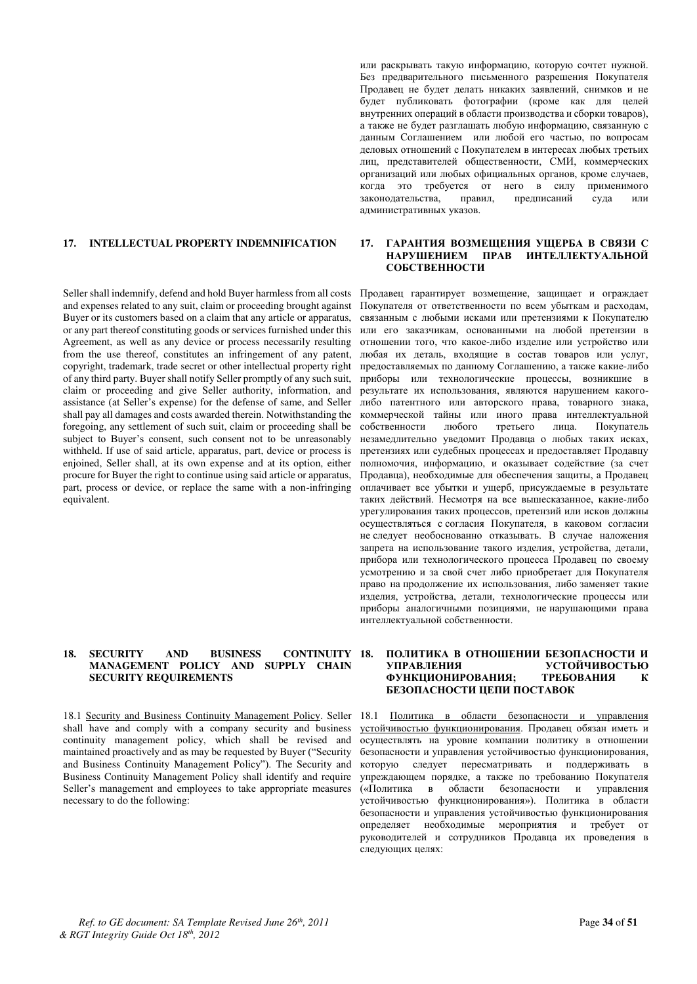Seller shall indemnify, defend and hold Buyer harmless from all costs and expenses related to any suit, claim or proceeding brought against Buyer or its customers based on a claim that any article or apparatus, or any part thereof constituting goods or services furnished under this Agreement, as well as any device or process necessarily resulting from the use thereof, constitutes an infringement of any patent, copyright, trademark, trade secret or other intellectual property right of any third party. Buyer shall notify Seller promptly of any such suit, claim or proceeding and give Seller authority, information, and assistance (at Seller's expense) for the defense of same, and Seller shall pay all damages and costs awarded therein. Notwithstanding the foregoing, any settlement of such suit, claim or proceeding shall be subject to Buyer's consent, such consent not to be unreasonably withheld. If use of said article, apparatus, part, device or process is enjoined, Seller shall, at its own expense and at its option, either procure for Buyer the right to continue using said article or apparatus, part, process or device, or replace the same with a non-infringing equivalent.

### 18. SECURITY AND BUSINESS CONTINUITY 18. **MANAGEMENT POLICY AND SUPPLY CHAIN SECURITY REQUIREMENTS**

18.1 Security and Business Continuity Management Policy. Seller shall have and comply with a company security and business continuity management policy, which shall be revised and maintained proactively and as may be requested by Buyer ("Security" and Business Continuity Management Policy"). The Security and Business Continuity Management Policy shall identify and require Seller's management and employees to take appropriate measures necessary to do the following:

или раскрывать такую информацию, которую сочтет нужной. Без предварительного письменного разрешения Покупателя Продавец не будет делать никаких заявлений, снимков и не будет публиковать фотографии (кроме как для целей внутренних операций в области производства и сборки товаров), а также не будет разглашать любую информацию, связанную с данным Соглашением или любой его частью, по вопросам деловых отношений с Покупателем в интересах любых третьих лиц, представителей общественности, СМИ, коммерческих организаций или любых официальных органов, кроме случаев, когда это требуется от него в силу применимого<br>законодательства, правил, предписаний суда или законодательства, правил, предписаний суда или административных указов.

### **17. INTELLECTUAL PROPERTY INDEMNIFICATION 17. LAPAHTUЯ ВОЗМЕШЕНИЯ УШЕРБА В СВЯЗИ С** НАРУШЕНИЕМ ПРАВ ИНТЕЛЛЕКТУАЛЬНОЙ СОБСТВЕННОСТИ

Продавец гарантирует возмещение, защищает и ограждает Покупателя от ответственности по всем убыткам и расходам, связанным с любыми исками или претензиями к Покупателю или его заказчикам, основанными на любой претензии в отношении того, что какое-либо изделие или устройство или любая их деталь, входящие в состав товаров или услуг, предоставляемых по данному Соглашению, а также какие-либо приборы или технологические процессы, возникшие в результате их использования, являются нарушением какоголибо патентного или авторского права, товарного знака, коммерческой тайны или иного права интеллектуальной<br>собственности любого третьего лица. Покупатель собственности незамедлительно уведомит Продавца о любых таких исках, претензиях или судебных процессах и предоставляет Продавцу полномочия, информацию, и оказывает содействие (за счет Продавца), необходимые для обеспечения защиты, а Продавец оплачивает все убытки и ущерб, присуждаемые в результате таких действий. Несмотря на все вышесказанное, какие-либо урегулирования таких процессов, претензий или исков должны осуществляться с согласия Покупателя, в каковом согласии не следует необоснованно отказывать. В случае наложения запрета на использование такого изделия, устройства, детали, прибора или технологического процесса Продавец по своему усмотрению и за свой счет либо приобретает для Покупателя право на продолжение их использования, либо заменяет такие изделия, устройства, детали, технологические процессы или приборы аналогичными позициями, не нарушающими права интеллектуальной собственности.

### ПОЛИТИКА В ОТНОШЕНИИ БЕЗОПАСНОСТИ И<br>УСТОЙЧИВОСТЬЮ **УСТОЙЧИВОСТЬЮ** ФУНКЦИОНИРОВАНИЯ; ТРЕБОВАНИЯ К БЕЗОПАСНОСТИ ЦЕПИ ПОСТАВОК

18.1 Политика в области безопасности и управления устойчивостью функционирования. Продавец обязан иметь и осуществлять на уровне компании политику в отношении безопасности и управления устойчивостью функционирования, которую следует пересматривать и поддерживать в упреждающем порядке, а также по требованию Покупателя («Политика в области безопасности и управления устойчивостью функционирования»). Политика в области безопасности и управления устойчивостью функционирования определяет необходимые мероприятия и требует от руководителей и сотрудников Продавца их проведения в следующих целях: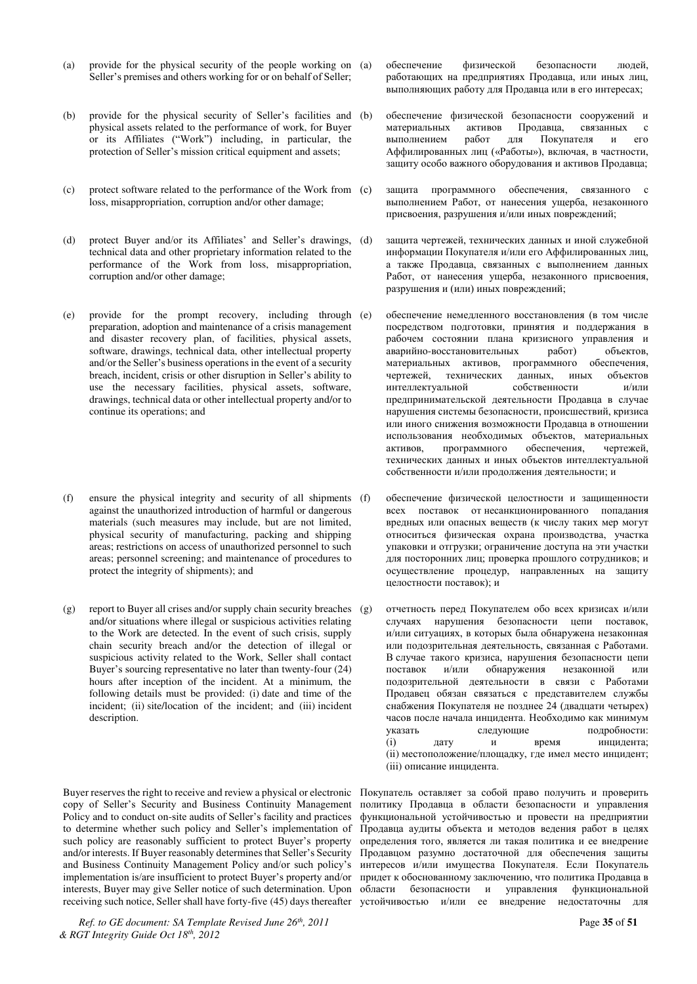- (a) provide for the physical security of the people working on (a) Seller's premises and others working for or on behalf of Seller;
- (b) provide for the physical security of Seller's facilities and (b) physical assets related to the performance of work, for Buyer or its Affiliates ("Work") including, in particular, the protection of Seller's mission critical equipment and assets;
- (c) protect software related to the performance of the Work from loss, misappropriation, corruption and/or other damage;
- (d) protect Buyer and/or its Affiliates' and Seller's drawings, (d) technical data and other proprietary information related to the performance of the Work from loss, misappropriation, corruption and/or other damage;
- (e) provide for the prompt recovery, including through preparation, adoption and maintenance of a crisis management and disaster recovery plan, of facilities, physical assets, software, drawings, technical data, other intellectual property and/or the Seller's business operations in the event of a security breach, incident, crisis or other disruption in Seller's ability to use the necessary facilities, physical assets, software, drawings, technical data or other intellectual property and/or to continue its operations; and
- (f) ensure the physical integrity and security of all shipments against the unauthorized introduction of harmful or dangerous materials (such measures may include, but are not limited, physical security of manufacturing, packing and shipping areas; restrictions on access of unauthorized personnel to such areas; personnel screening; and maintenance of procedures to protect the integrity of shipments); and
- (g) report to Buyer all crises and/or supply chain security breaches (g) and/or situations where illegal or suspicious activities relating to the Work are detected. In the event of such crisis, supply chain security breach and/or the detection of illegal or suspicious activity related to the Work, Seller shall contact Buyer's sourcing representative no later than twenty-four (24) hours after inception of the incident. At a minimum, the following details must be provided: (i) date and time of the incident; (ii) site/location of the incident; and (iii) incident description.

Buyer reserves the right to receive and review a physical or electronic copy of Seller's Security and Business Continuity Management Policy and to conduct on-site audits of Seller's facility and practices to determine whether such policy and Seller's implementation of such policy are reasonably sufficient to protect Buyer's property and/or interests. If Buyer reasonably determines that Seller's Security and Business Continuity Management Policy and/or such policy's implementation is/are insufficient to protect Buyer's property and/or interests, Buyer may give Seller notice of such determination. Upon

*Ref. to GE document: SA Template Revised June 26th, 2011* Page **35** of **51** *& RGT Integrity Guide Oct 18th, 2012* 

обеспечение физической безопасности людей, работающих на предприятиях Продавца, или иных лиц, выполняющих работу для Продавца или в его интересах;

- обеспечение физической безопасности сооружений и материальных активов Продавца, связанных с выполнением работ для Покупателя и его выполнением работ для Покупателя и его Аффилированных лиц («Работы»), включая, в частности, защиту особо важного оборудования и активов Продавца;
- защита программного обеспечения, связанного с выполнением Работ, от нанесения ущерба, незаконного присвоения, разрушения и/или иных повреждений;
- защита чертежей, технических данных и иной служебной информации Покупателя и/или его Аффилированных лиц, а также Продавца, связанных с выполнением данных Работ, от нанесения ущерба, незаконного присвоения, разрушения и (или) иных повреждений;
- обеспечение немедленного восстановления (в том числе посредством подготовки, принятия и поддержания в рабочем состоянии плана кризисного управления и аварийно-восстановительных работ) объектов, материальных активов, программного обеспечения,<br>чертежей, технических данных, иных объектов технических данных, иных объектов интеллектуальной собственности и/или предпринимательской деятельности Продавца в случае нарушения системы безопасности, происшествий, кризиса или иного снижения возможности Продавца в отношении использования необходимых объектов, материальных<br>активов, программного обеспечения, чертежей, активов, программного обеспечения, чертежей, технических данных и иных объектов интеллектуальной собственности и/или продолжения деятельности; и
- обеспечение физической целостности и защищенности всех поставок от несанкционированного попадания вредных или опасных веществ (к числу таких мер могут относиться физическая охрана производства, участка упаковки и отгрузки; ограничение доступа на эти участки цля посторонних лиц; проверка прошлого сотрудников; и осуществление процедур, направленных на защиту целостности поставок); и
- отчетность перед Покупателем обо всех кризисах и/или случаях нарушения безопасности цепи поставок, и/или ситуациях, в которых была обнаружена незаконная или подозрительная деятельность, связанная с Работами. В случае такого кризиса, нарушения безопасности цепи<br>поставок и/или обнаружения незаконной или обнаружения незаконной или подозрительной деятельности в связи с Работами Продавец обязан связаться с представителем службы снабжения Покупателя не позднее 24 (двадцати четырех) часов после начала инцидента. Необходимо как минимум указать следующие подробности: (1) дату и время инцидента; (ii) местоположение/площадку, где имел место инцидент; (iii) описание инпилента.

receiving such notice, Seller shall have forty-five (45) days thereafter устойчивостью и/или ее внедрение недостаточны для Покупатель оставляет за собой право получить и проверить политику Продавца в области безопасности и управления функциональной устойчивостью и провести на предприятии Продавца аудиты объекта и методов ведения работ в целях определения того, является ли такая политика и ее внедрение Продавцом разумно достаточной для обеспечения защиты интересов и/или имущества Покупателя. Если Покупатель придет к обоснованному заключению, что политика Продавца в области безопасности и управления функциональной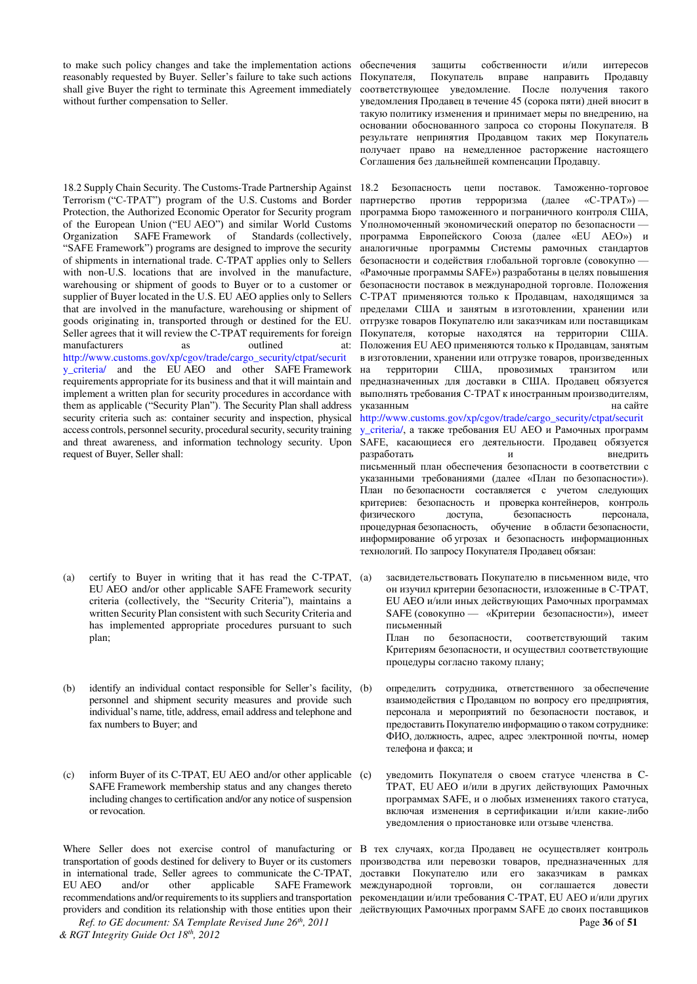to make such policy changes and take the implementation actions reasonably requested by Buyer. Seller's failure to take such actions shall give Buyer the right to terminate this Agreement immediately without further compensation to Seller.

18.2 Supply Chain Security. The Customs-Trade Partnership Against Terrorism ("C-TPAT") program of the U.S. Customs and Border Protection, the Authorized Economic Operator for Security program of the European Union ("EU AEO") and similar World Customs<br>Organization SAFE Framework of Standards (collectively, Standards (collectively, "SAFE Framework") programs are designed to improve the security of shipments in international trade. C-TPAT applies only to Sellers with non-U.S. locations that are involved in the manufacture, warehousing or shipment of goods to Buyer or to a customer or supplier of Buyer located in the U.S. EU AEO applies only to Sellers that are involved in the manufacture, warehousing or shipment of goods originating in, transported through or destined for the EU. Seller agrees that it will review the C-TPAT requirements for foreign manufacturers as outlined at: http://www.customs.gov/xp/cgov/trade/cargo\_security/ctpat/securit y\_criteria/ and the EU AEO and other SAFE Framework requirements appropriate for its business and that it will maintain and implement a written plan for security procedures in accordance with them as applicable ("Security Plan"). The Security Plan shall address security criteria such as: container security and inspection, physical access controls, personnel security, procedural security, security training and threat awareness, and information technology security. Upon request of Buyer, Seller shall:

- (a) certify to Buyer in writing that it has read the C-TPAT, EU AEO and/or other applicable SAFE Framework security criteria (collectively, the "Security Criteria"), maintains a written Security Plan consistent with such Security Criteria and has implemented appropriate procedures pursuant to such plan;
- (b) identify an individual contact responsible for Seller's facility, (b) personnel and shipment security measures and provide such individual's name, title, address, email address and telephone and fax numbers to Buyer; and
- (c) inform Buyer of its C-TPAT, EU AEO and/or other applicable SAFE Framework membership status and any changes thereto including changes to certification and/or any notice of suspension or revocation.

in international trade, Seller agrees to communicate the C-TPAT,<br>EU AEO and/or other applicable SAFE Framework EU AEO and/or other applicable SAFE Framework

*Ref. to GE document: SA Template Revised June 26th, 2011* Page **36** of **51** *& RGT Integrity Guide Oct 18th, 2012* 

обеспечения защиты собственности и/или интересов Покупателя, Покупатель вправе направить Продавцу соответствующее уведомление. После получения такого уведомления Продавец в течение 45 (сорока пяти) дней вносит в такую политику изменения и принимает меры по внедрению, на **основании обоснованного запроса со стороны Покупателя. В** результате непринятия Продавцом таких мер Покупатель получает право на немедленное расторжение настоящего Соглашения без дальнейшей компенсации Продавцу.

18.2 Безопасность непи поставок Таможенно-торговое партнерство против терроризма (далее «С-ТРАТ»)программа Бюро таможенного и пограничного контроля США, Уполномоченный экономический оператор по безопасности программа Европейского Союза (далее «EU AEO») и аналогичные программы Системы рамочных стандартов безопасности и содействия глобальной торговле (совокупно -«Рамочные программы SAFE») разработаны в целях повышения безопасности поставок в международной торговле. Положения С-ТРАТ применяются только к Продавцам, находящимся за пределами США и занятым в изготовлении, хранении или отгрузке товаров Покупателю или заказчикам или поставщикам Покупателя, которые находятся на территории США. Положения EU AEO применяются только к Продавцам, занятым в изготовлении, хранении или отгрузке товаров, произведенных на территории США, провозимых транзитом или предназначенных для доставки в США. Продавец обязуется выполнять требования C-TPAT к иностранным производителям, VKaзанным на сайте [http://www.customs.gov/xp/cgov/trade/cargo\\_security/ctpat/securit](http://www.customs.gov/xp/cgov/trade/cargo_security/ctpat/security_criteria/) [y\\_criteria/](http://www.customs.gov/xp/cgov/trade/cargo_security/ctpat/security_criteria/), а также требования EU AEO и Рамочных программ SAFE, касающиеся его деятельности. Продавец обязуется разработать и недрить письменный план обеспечения безопасности в соответствии с указанными требованиями (далее «План по безопасности»). План по безопасности составляется с учетом следующих

критериев: безопасность и проверка контейнеров, контроль физического доступа, безопасность персонала, процедурная безопасность, обучение в области безопасности, информирование об угрозах и безопасность информационных технологий. По запросу Покупателя Продавец обязан:

- засвидетельствовать Покупателю в письменном виде, что он изучил критерии безопасности, изложенные в С-ТРАТ, EU AEO и/или иных действующих Рамочных программах SAFE (совокупно — «Критерии безопасности»), имеет письменный План по безопасности, соответствующий таким Критериям безопасности, и осуществил соответствующие процедуры согласно такому плану;
- определить сотрудника, ответственного заобеспечение взаимодействия с Продавцом по вопросу его предприятия, персонала и мероприятий по безопасности поставок, и предоставить Покупателю информацию о таком сотруднике: ФИО, должность, адрес, адрес электронной почты, номер телефона и факса; и
- уведомить Покупателя о своем статусе членства в С-ТРАТ, EU AEO и/или в других действующих Рамочных программах SAFE, и о любых изменениях такого статуса, включая изменения в сертификации и/или какие-либо уведомления о приостановке или отзыве членства.

Where Seller does not exercise control of manufacturing or B тех случаях, когда Продавец не осуществляет контроль transportation of goods destined for delivery to Buyer or its customers производства или перевозки товаров, предназначенных для recommendations and/or requirements to its suppliers and transportation рекомендации и/или требования C-TPAT, EU AEO и/или других providers and condition its relationship with those entities upon their действующих Рамочных программ SAFE до своих поставщиков доставки Покупателю или его заказчикам в рамках международной торговли, он соглашается довести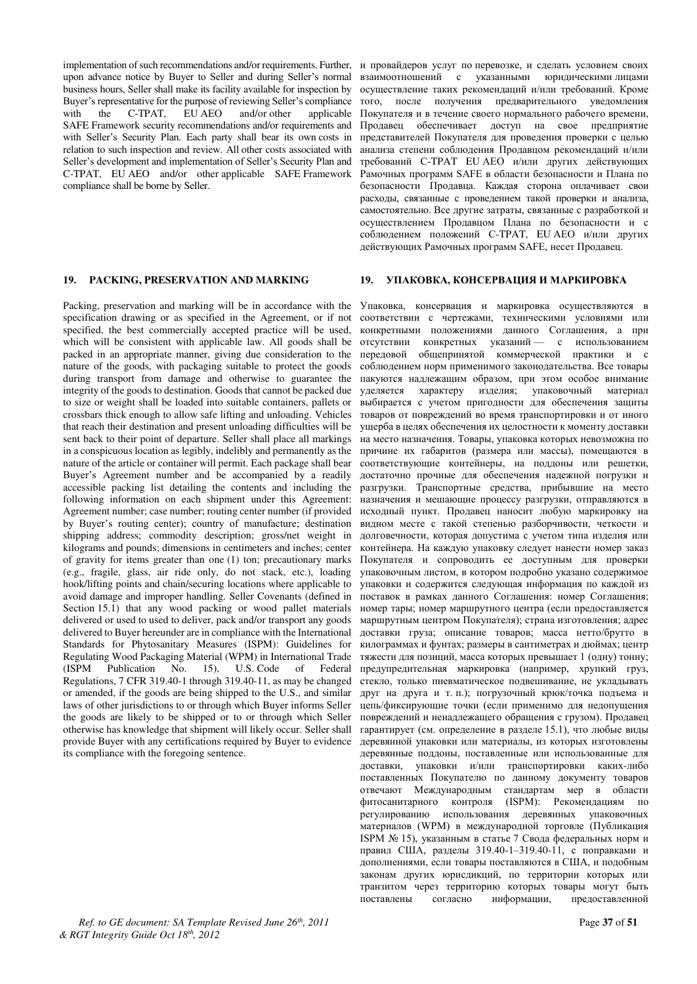implementation of such recommendations and/or requirements. Further, upon advance notice by Buyer to Seller and during Seller's normal business hours, Seller shall make its facility available for inspection by Buyer's representative for the purpose of reviewing Seller's compliance<br>with the C-TPAT. EU AEO and/or other applicable with the C-TPAT, EU AEO and/or other applicable SAFE Framework security recommendations and/or requirements and with Seller's Security Plan. Each party shall bear its own costs in relation to such inspection and review. All other costs associated with Seller's development and implementation of Seller's Security Plan and C-TPAT, EU AEO and/or other applicable SAFE Framework compliance shall be borne by Seller.

Packing, preservation and marking will be in accordance with the specification drawing or as specified in the Agreement, or if not specified, the best commercially accepted practice will be used, which will be consistent with applicable law. All goods shall be packed in an appropriate manner, giving due consideration to the nature of the goods, with packaging suitable to protect the goods during transport from damage and otherwise to guarantee the integrity of the goods to destination. Goods that cannot be packed due to size or weight shall be loaded into suitable containers, pallets or crossbars thick enough to allow safe lifting and unloading. Vehicles that reach their destination and present unloading difficulties will be sent back to their point of departure. Seller shall place all markings in a conspicuous location as legibly, indelibly and permanently as the nature of the article or container will permit. Each package shall bear Buyer's Agreement number and be accompanied by a readily accessible packing list detailing the contents and including the following information on each shipment under this Agreement: Agreement number; case number; routing center number (if provided by Buyer's routing center); country of manufacture; destination shipping address; commodity description; gross/net weight in kilograms and pounds; dimensions in centimeters and inches; center of gravity for items greater than one (1) ton; precautionary marks (e.g., fragile, glass, air ride only, do not stack, etc.), loading hook/lifting points and chain/securing locations where applicable to avoid damage and improper handling. Seller Covenants (defined in Section 15.1) that any wood packing or wood pallet materials delivered or used to used to deliver, pack and/or transport any goods delivered to Buyer hereunder are in compliance with the International Standards for Phytosanitary Measures (ISPM): Guidelines for Regulating Wood Packaging Material (WPM) in International Trade<br>(ISPM Publication No. 15), U.S. Code of Federal Publication No. 15), U.S. Code of Federal Regulations, 7 CFR 319.40-1 through 319.40-11, as may be changed or amended, if the goods are being shipped to the U.S., and similar laws of other jurisdictions to or through which Buyer informs Seller the goods are likely to be shipped or to or through which Seller otherwise has knowledge that shipment will likely occur. Seller shall provide Buyer with any certifications required by Buyer to evidence its compliance with the foregoing sentence.

*Ref. to GE document: SA Template Revised June 26th, 2011* Page **37** of **51** *& RGT Integrity Guide Oct 18th, 2012* 

и провайдеров услуг по перевозке, и сделать условием своих взаимоотношений с указанными юридическими лицами осуществление таких рекомендаций и/или требований. Кроме того, после получения предварительного уведомления Покупателя и в течение своего нормального рабочего времени, Продавец обеспечивает доступ на свое предприятие представителей Покупателя для проведения проверки с целью анализа степени соблюдения Продавцом рекомендаций и/или требований C-TPAT EU AEO и/или других действующих Рамочных программ SAFE в области безопасности и Плана по безопасности Продавца. Каждая сторона оплачивает свои расходы, связанные с проведением такой проверки и анализа, •<br>самостоятельно. Все другие затраты, связанные с разработкой и осуществлением Продавцом Плана по безопасности и с соблюдением положений C-TPAT, EU AEO и/или других действующих Рамочных программ SAFE, несет Продавец.

### **19. PACKING, PRESERVATION AND MARKING 19. YIIAKOBKA, KOHCEPBAIIVA VI MAPKVPOBKA**

Упаковка, консервация и маркировка осуществляются в соответствии с чертежами, техническими условиями или конкретными положениями данного Соглашения, а при отсутствии конкретных указаний — с использованием передовой общепринятой коммерческой практики и с соблюдением норм применимого законодательства. Все товары пакуются надлежащим образом, при этом особое внимание уделяется характеру изделия; упаковочный материал выбирается с учетом пригодности для обеспечения защиты товаров от повреждений во время транспортировки и от иного ущерба в целях обеспечения их целостности к моменту доставки на место назначения. Товары, упаковка которых невозможна по причине их габаритов (размера или массы), помещаются в соответствующие контейнеры, на поддоны или решетки, достаточно прочные для обеспечения надежной погрузки и разгрузки. Транспортные средства, прибывшие на место назначения и мешающие процессу разгрузки, отправляются в исходный пункт. Продавец наносит любую маркировку на видном месте с такой степенью разборчивости, четкости и долговечности, которая допустима с учетом типа изделия или контейнера. На каждую упаковку следует нанести номер заказ Покупателя и сопроводить ее доступным для проверки упаковочным листом, в котором подробно указано содержимое .<br>vпаковки и содержится следующая информация по каждой из поставок в рамках данного Соглашения: номер Соглашения; номер тары; номер маршрутного центра (если предоставляется маршрутным центром Покупателя); страна изготовления; адрес доставки груза; описание товаров; масса нетто/брутто в килограммах и фунтах; размеры в сантиметрах и дюймах; центр тяжести для позиций, масса которых превышает 1 (одну) тонну; предупредительная маркировка (например, хрупкий груз, стекло, только пневматическое подвешивание, не укладывать друг на друга и т. п.); погрузочный крюк/точка подъема и цепь/фиксирующие точки (если применимо для недопущения повреждений и ненадлежащего обращения с грузом). Продавец гарантирует (см. определение в разделе 15.1), что любые виды деревянной упаковки или материалы, из которых изготовлены деревянные поддоны, поставленные или использованные для доставки, упаковки и/или транспортировки каких-либо поставленных Покупателю по данному документу товаров отвечают Международным стандартам мер в области фитосанитарного контроля (ISPM): Рекомендациям по а<br>регулированию использования деревянных упаковочных материалов (WPM) в международной торговле (Публикация ISPM № 15), указанным в статье 7 Свода федеральных норм и правил США, разделы 319.40-1-319.40-11, с поправками и дополнениями, если товары поставляются в США, и подобным законам других юрисдикций, по территории которых или транзитом через территорию которых товары могут быть поставлены согласно информации, предоставленной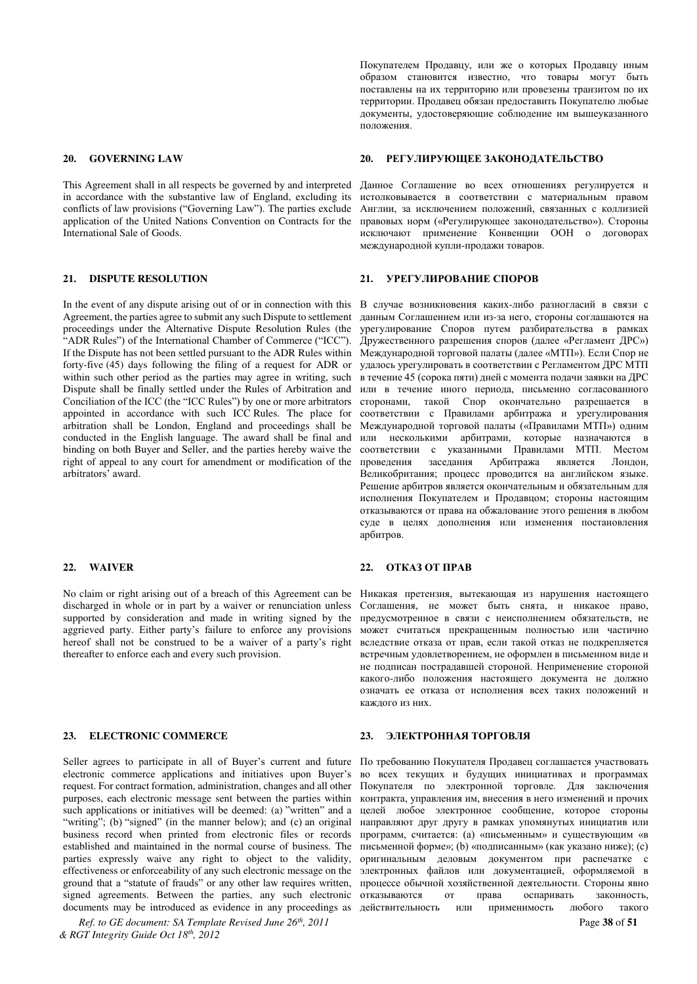This Agreement shall in all respects be governed by and interpreted in accordance with the substantive law of England, excluding its conflicts of law provisions ("Governing Law"). The parties exclude application of the United Nations Convention on Contracts for the International Sale of Goods.

In the event of any dispute arising out of or in connection with this Agreement, the parties agree to submit any such Dispute to settlement proceedings under the Alternative Dispute Resolution Rules (the "ADR Rules") of the International Chamber of Commerce ("ICC"). If the Dispute has not been settled pursuant to the ADR Rules within forty-five (45) days following the filing of a request for ADR or within such other period as the parties may agree in writing, such Dispute shall be finally settled under the Rules of Arbitration and Conciliation of the ICC (the "ICC Rules") by one or more arbitrators appointed in accordance with such ICC Rules. The place for arbitration shall be London, England and proceedings shall be conducted in the English language. The award shall be final and binding on both Buyer and Seller, and the parties hereby waive the right of appeal to any court for amendment or modification of the arbitrators' award.

No claim or right arising out of a breach of this Agreement can be discharged in whole or in part by a waiver or renunciation unless supported by consideration and made in writing signed by the aggrieved party. Either party's failure to enforce any provisions hereof shall not be construed to be a waiver of a party's right thereafter to enforce each and every such provision.

### **23. ELECTRONIC COMMERCE 23. ЭЛЕКТРОННАЯ ТОРГОВЛЯ**

Seller agrees to participate in all of Buyer's current and future electronic commerce applications and initiatives upon Buyer's request. For contract formation, administration, changes and all other purposes, each electronic message sent between the parties within such applications or initiatives will be deemed: (a) "written" and a "writing"; (b) "signed" (in the manner below); and (c) an original business record when printed from electronic files or records established and maintained in the normal course of business. The parties expressly waive any right to object to the validity, effectiveness or enforceability of any such electronic message on the ground that a "statute of frauds" or any other law requires written, signed agreements. Between the parties, any such electronic documents may be introduced as evidence in any proceedings as

*Ref. to GE document: SA Template Revised June 26th, 2011* Page **38** of **51** *& RGT Integrity Guide Oct 18th, 2012* 

Покупателем Продавцу, или же о которых Продавцу иным образом становится известно, что товары могут быть поставлены на их территорию или провезены транзитом по их территории. Продавец обязан предоставить Покупателю любые документы, удостоверяющие соблюдение им вышеуказанного положения.

#### **20. GOVERNING LAW 20. PETYJIMPYIOIIIEE 3AKOHOДATEJIbCTBO**

Данное Соглашение во всех отношениях регулируется и истолковывается в соответствии с материальным правом Англии, за исключением положений, связанных с коллизией правовых норм («Регулирующее законодательство»). Стороны исключают применение Конвенции ООН о договорах международной купли-продажи товаров.

#### **21. DISPUTE RESOLUTION 21. ΥΡΕΓΥΛΗΡΟΒΑΗΝΕ CΠΟΡΟΒ**

В случае возникновения каких-либо разногласий в связи с данным Соглашением или из-за него, стороны соглашаются на урегулирование Споров путем разбирательства в рамках Дружественного разрешения споров (далее «Регламент ДРС») Международной торговой палаты (далее «МТП»). Если Спор не удалось урегулировать в соответствии с Регламентом ДРС МТП в течение 45 (сорока пяти) дней с момента подачи заявки на ДРС или в течение иного периода, письменно согласованного сторонами, такой Спор окончательно разрешается в соответствии с Правилами арбитража и урегулирования Международной торговой палаты («Правилами МТП») одним или несколькими арбитрами, которые назначаются в соответствии с указанными Правилами МТП. Местом проведения заседания Арбитража является Лондон, Великобритания; процесс проводится на английском языке. Решение арбитров является окончательным и обязательным для исполнения Покупателем и Продавцом; стороны настоящим отказываются от права на обжалование этого решения в любом суде в целях дополнения или изменения постановления арбитров.

### **22. WAIVER 22. OTKA3 OT IIPAB**

Никакая претензия, вытекающая из нарушения настоящего Соглашения, не может быть снята, и никакое право, предусмотренное в связи с неисполнением обязательств, не может считаться прекращенным полностью или частично вследствие отказа от прав, если такой отказ не подкрепляется встречным удовлетворением, не оформлен в письменном виде и не подписан пострадавшей стороной. Неприменение стороной какого-либо положения настоящего документа не должно означать ее отказа от исполнения всех таких положений и кажлого из них

По требованию Покупателя Продавец соглашается участвовать во всех текущих и будущих инициативах и программах Покупателя по электронной торговле. Для заключения контракта, управления им, внесения в него изменений и прочих целей любое электронное сообщение, которое стороны направляют друг другу в рамках упомянутых инициатив или программ, считается: (а) «письменным» и существующим «в письменной форме»; (b) «подписанным» (как указано ниже); (c) оригинальным деловым документом при распечатке с электронных файлов или документацией, оформляемой в процессе обычной хозяйственной деятельности. Стороны явно отказываются от права оспаривать законность, действительность или применимость любого такого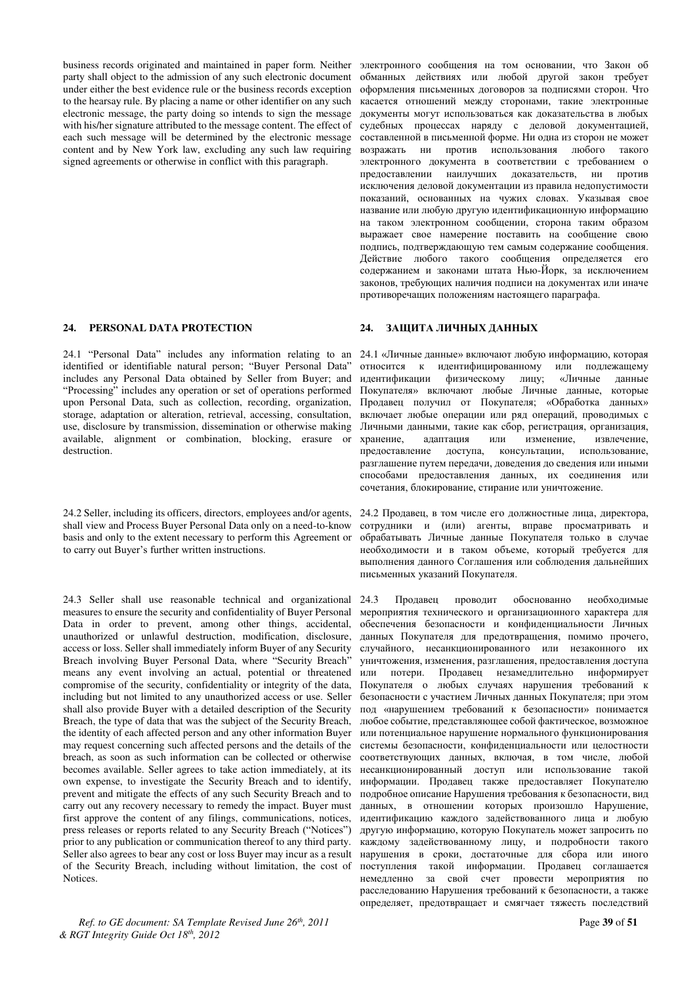business records originated and maintained in paper form. Neither party shall object to the admission of any such electronic document under either the best evidence rule or the business records exception to the hearsay rule. By placing a name or other identifier on any such electronic message, the party doing so intends to sign the message with his/her signature attributed to the message content. The effect of each such message will be determined by the electronic message content and by New York law, excluding any such law requiring signed agreements or otherwise in conflict with this paragraph.

### **24. PERSONAL DATA PROTECTION 24. 3 ΑΙΠΝΤΑ ΠΝΨΗΝΑ ΣΤΑΗΗΝΑ**

24.1 "Personal Data" includes any information relating to an identified or identifiable natural person; "Buyer Personal Data" includes any Personal Data obtained by Seller from Buyer; and "Processing" includes any operation or set of operations performed upon Personal Data, such as collection, recording, organization, storage, adaptation or alteration, retrieval, accessing, consultation, use, disclosure by transmission, dissemination or otherwise making available, alignment or combination, blocking, erasure or destruction.

24.2 Seller, including its officers, directors, employees and/or agents, shall view and Process Buyer Personal Data only on a need-to-know basis and only to the extent necessary to perform this Agreement or to carry out Buyer's further written instructions.

24.3 Seller shall use reasonable technical and organizational measures to ensure the security and confidentiality of Buyer Personal Data in order to prevent, among other things, accidental, unauthorized or unlawful destruction, modification, disclosure, access or loss. Seller shall immediately inform Buyer of any Security Breach involving Buyer Personal Data, where "Security Breach" means any event involving an actual, potential or threatened compromise of the security, confidentiality or integrity of the data, including but not limited to any unauthorized access or use. Seller shall also provide Buyer with a detailed description of the Security Breach, the type of data that was the subject of the Security Breach, the identity of each affected person and any other information Buyer may request concerning such affected persons and the details of the breach, as soon as such information can be collected or otherwise becomes available. Seller agrees to take action immediately, at its own expense, to investigate the Security Breach and to identify, prevent and mitigate the effects of any such Security Breach and to carry out any recovery necessary to remedy the impact. Buyer must first approve the content of any filings, communications, notices, press releases or reports related to any Security Breach ("Notices") prior to any publication or communication thereof to any third party. Seller also agrees to bear any cost or loss Buyer may incur as a result of the Security Breach, including without limitation, the cost of Notices.

*Ref. to GE document: SA Template Revised June 26th, 2011* Page **39** of **51** *& RGT Integrity Guide Oct 18th, 2012* 

электронного сообщения на том основании, что Закон об обманных действиях или любой другой закон требует оформления письменных договоров за подписями сторон. Что касается отношений между сторонами, такие электронные документы могут использоваться как доказательства в любых судебных процессах наряду с деловой документацией, составленной в письменной форме. Ни одна из сторон не может возражать ни против использования любого такого электронного документа в соответствии с требованием о предоставлении наилучших доказательств, ни против исключения деловой документации из правила недопустимости показаний, основанных на чужих словах. Указывая свое название или любую другую идентификационную информацию на таком электронном сообщении, сторона таким образом выражает свое намерение поставить на сообщение свою подпись, подтверждающую тем самым содержание сообщения. Действие любого такого сообщения определяется его содержанием и законами штата Нью-Йорк, за исключением законов, требующих наличия подписи на документах или иначе противоречащих положениям настоящего параграфа.

24.1 «Личные данные» включают любую информацию, которая относится к идентифицированному или подлежащему идентификации физическому лицу; «Личные данные Покупателя» включают любые Личные данные, которые Продавец получил от Покупателя; «Обработка данных» аключает любые операции или ряд операций, проводимых с Личными данными, такие как сбор, регистрация, организация, хранение, адаптация или изменение, извлечение, изменение, предоставление доступа, консультации, использование, разглашение путем передачи, доведения до сведения или иными способами предоставления данных, их соединения или сочетания, блокирование, стирание или уничтожение.

24.2 Продавец, в том числе его должностные лица, директора, сотрудники и (или) агенты, вправе просматривать и обрабатывать Личные данные Покупателя только в случае необходимости и в таком объеме, который требуется для выполнения ланного Соглашения или соблюдения лальнейших письменных указаний Покупателя.

24.3 Продавец проводит обоснованно необходимые мероприятия технического и организационного характера для обеспечения безопасности и конфиденциальности Личных данных Покупателя для предотвращения, помимо прочего, случайного, несанкционированного или незаконного их уничтожения, изменения, разглашения, предоставления доступа или потери. Продавец незамедлительно информирует Покупателя о любых случаях нарушения требований к безопасности с участием Личных данных Покупателя; при этом под «нарушением требований к безопасности» понимается любое событие, представляющее собой фактическое, возможное или потенциальное нарушение нормального функционирования системы безопасности, конфиденциальности или целостности соответствующих данных, включая, в том числе, любой несанкционированный доступ или использование такой информации. Продавец также предоставляет Покупателю подробное описание Нарушения требования к безопасности, вид данных, в отношении которых произошло Нарушение, идентификацию каждого задействованного лица и любую другую информацию, которую Покупатель может запросить по каждому задействованному лицу, и подробности такого нарушения в сроки, достаточные для сбора или иного поступления такой информации. Продавец соглашается немедленно за свой счет провести мероприятия по расследованию Нарушения требований к безопасности, а также определяет, предотвращает и смягчает тяжесть последствий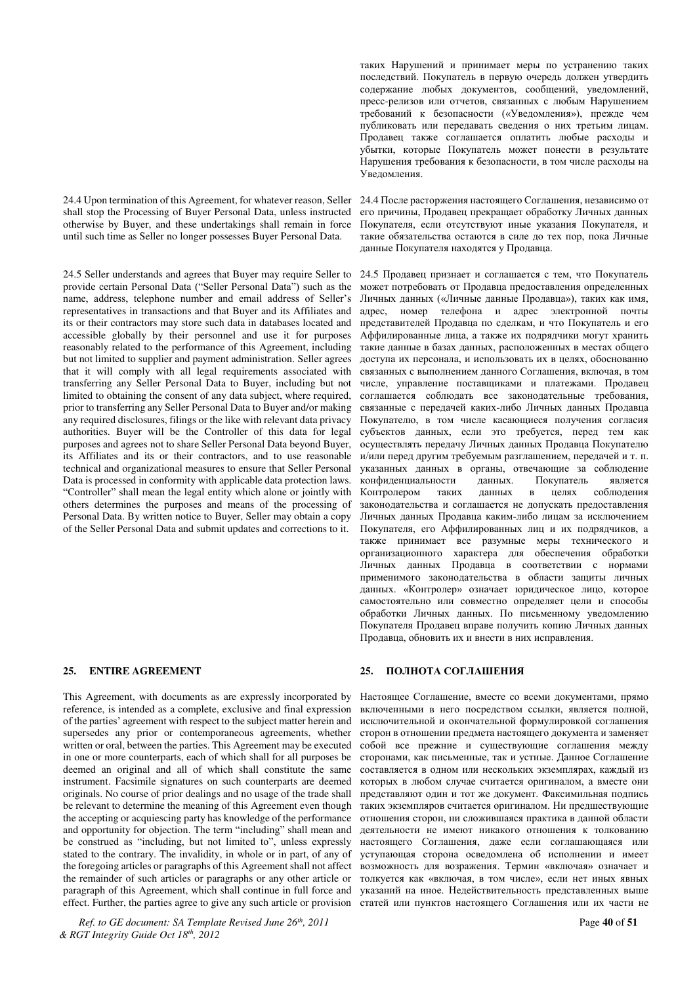shall stop the Processing of Buyer Personal Data, unless instructed otherwise by Buyer, and these undertakings shall remain in force until such time as Seller no longer possesses Buyer Personal Data.

24.5 Seller understands and agrees that Buyer may require Seller to provide certain Personal Data ("Seller Personal Data") such as the name, address, telephone number and email address of Seller's representatives in transactions and that Buyer and its Affiliates and its or their contractors may store such data in databases located and accessible globally by their personnel and use it for purposes reasonably related to the performance of this Agreement, including but not limited to supplier and payment administration. Seller agrees that it will comply with all legal requirements associated with transferring any Seller Personal Data to Buyer, including but not limited to obtaining the consent of any data subject, where required, prior to transferring any Seller Personal Data to Buyer and/or making any required disclosures, filings or the like with relevant data privacy authorities. Buyer will be the Controller of this data for legal purposes and agrees not to share Seller Personal Data beyond Buyer, its Affiliates and its or their contractors, and to use reasonable technical and organizational measures to ensure that Seller Personal Data is processed in conformity with applicable data protection laws. "Controller" shall mean the legal entity which alone or jointly with others determines the purposes and means of the processing of Personal Data. By written notice to Buyer, Seller may obtain a copy of the Seller Personal Data and submit updates and corrections to it.

This Agreement, with documents as are expressly incorporated by reference, is intended as a complete, exclusive and final expression of the parties' agreement with respect to the subject matter herein and supersedes any prior or contemporaneous agreements, whether written or oral, between the parties. This Agreement may be executed in one or more counterparts, each of which shall for all purposes be deemed an original and all of which shall constitute the same instrument. Facsimile signatures on such counterparts are deemed originals. No course of prior dealings and no usage of the trade shall be relevant to determine the meaning of this Agreement even though the accepting or acquiescing party has knowledge of the performance and opportunity for objection. The term "including" shall mean and be construed as "including, but not limited to", unless expressly stated to the contrary. The invalidity, in whole or in part, of any of the foregoing articles or paragraphs of this Agreement shall not affect the remainder of such articles or paragraphs or any other article or paragraph of this Agreement, which shall continue in full force and effect. Further, the parties agree to give any such article or provision

*Ref. to GE document: SA Template Revised June 26th, 2011* Page **40** of **51** *& RGT Integrity Guide Oct 18th, 2012* 

таких Нарушений и принимает меры по устранению таких последствий. Покупатель в первую очередь должен утвердить содержание любых документов, сообщений, уведомлений, пресс-релизов или отчетов, связанных с любым Нарушением требований к безопасности («Уведомления»), прежде чем публиковать или передавать сведения о них третьим лицам. Продавец также соглашается оплатить любые расходы и VÕЫТКИ, КОТОРЫЕ ПОКУПАТЕЛЬ МОЖЕТ ПОНЕСТИ в результате Нарушения требования к безопасности, в том числе расходы на Увеломления.

24.4 Upon termination of this Agreement, for whatever reason, Seller 24.4 После расторжения настоящего Соглашения, независимо от его причины, Продавец прекращает обработку Личных данных Покупателя, если отсутствуют иные указания Покупателя, и такие обязательства остаются в силе до тех пор, пока Личные данные Покупателя находятся у Продавца.

> 24.5 Продавец признает и соглашается с тем, что Покупатель может потребовать от Продавца предоставления определенных Личных данных («Личные данные Продавца»), таких как имя, адрес, номер телефона и адрес электронной почты представителей Продавца по сделкам, и что Покупатель и его Аффилированные лица, а также их подрядчики могут хранить такие данные в базах данных, расположенных в местах общего доступа их персонала, и использовать их в целях, обоснованно связанных с выполнением ланного Соглашения, включая, в том числе, управление поставщиками и платежами. Продавец соглашается соблюдать все законодательные требования, связанные с передачей каких-либо Личных данных Продавца Покупателю, в том числе касающиеся получения согласия субъектов данных, если это требуется, перед тем как • осуществлять передачу Личных данных Продавца Покупателю и/или перед другим требуемым разглашением, передачей и т. п. указанных данных в органы, отвечающие за соблюдение<br>конфиденциальности и данных. Покупатель является конфиденциальности данных. Покупатель является<br>Контролером таких данных в целях соблюдения Контролером таких данных в законодательства и соглашается не допускать предоставления Личных данных Продавца каким-либо лицам за исключением Покупателя, его Аффилированных лиц и их подрядчиков, а также принимает все разумные меры технического и организационного характера для обеспечения обработки Личных данных Продавца в соответствии с нормами применимого законодательства в области защиты личных данных. «Контролер» означает юридическое лицо, которое самостоятельно или совместно определяет цели и способы обработки Личных данных. По письменному уведомлению Покупателя Продавец вправе получить копию Личных данных Продавца, обновить их и внести в них исправления.

### 25. ENTIRE AGREEMENT 25. ΠΟЛΗΟΤΑ COΓЛАШΕΗИЯ

Настоящее Соглашение, вместе со всеми документами, прямо включенными в него посредством ссылки, является полной, исключительной и окончательной формулировкой соглашения сторон в отношении предмета настоящего документа и заменяет собой все прежние и существующие соглашения между сторонами, как письменные, так и устные. Данное Соглашение составляется в одном или нескольких экземплярах, каждый из которых в любом случае считается оригиналом, а вместе они представляют один и тот же документ. Факсимильная подпись таких экземпляров считается оригиналом. Ни предшествующие отношения сторон, ни сложившаяся практика в данной области деятельности не имеют никакого отношения к толкованию настоящего Соглашения, даже если соглашающаяся или уступающая сторона осведомлена об исполнении и имеет возможность для возражения. Термин «включая» означает и толкуется как «включая, в том числе», если нет иных явных указаний на иное. Недействительность представленных выше статей или пунктов настоящего Соглашения или их части не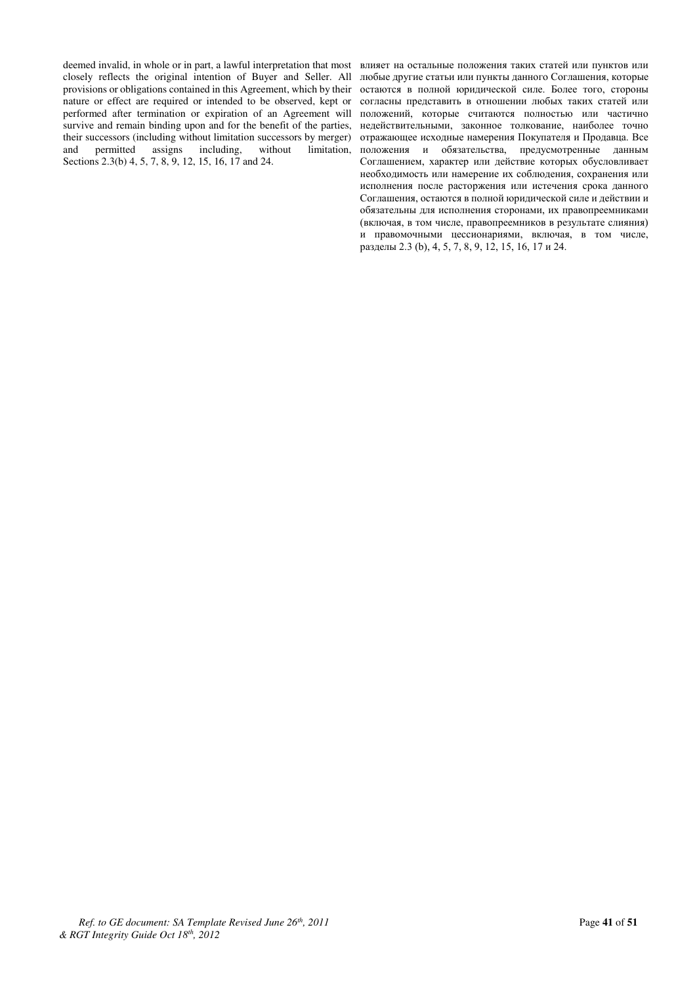deemed invalid, in whole or in part, a lawful interpretation that most closely reflects the original intention of Buyer and Seller. All provisions or obligations contained in this Agreement, which by their nature or effect are required or intended to be observed, kept or performed after termination or expiration of an Agreement will survive and remain binding upon and for the benefit of the parties, their successors (including without limitation successors by merger) and permitted assigns including, without limitation, Sections 2.3(b) 4, 5, 7, 8, 9, 12, 15, 16, 17 and 24.

влияет на остальные положения таких статей или пунктов или любые другие статьи или пункты данного Соглашения, которые остаются в полной юридической силе. Более того, стороны согласны представить в отношении любых таких статей или положений, которые считаются полностью или частично недействительными, законное толкование, наиболее точно отражающее исходные намерения Покупателя и Продавца. Все положения и обязательства, предусмотренные данным Соглашением, характер или действие которых обусловливает необходимость или намерение их соблюдения, сохранения или исполнения после расторжения или истечения срока данного Соглашения, остаются в полной юридической силе и действии и обязательны для исполнения сторонами, их правопреемниками (включая, в том числе, правопреемников в результате слияния) и правомочными цессионариями, включая, в том числе, разделы 2.3 (b), 4, 5, 7, 8, 9, 12, 15, 16, 17 и 24.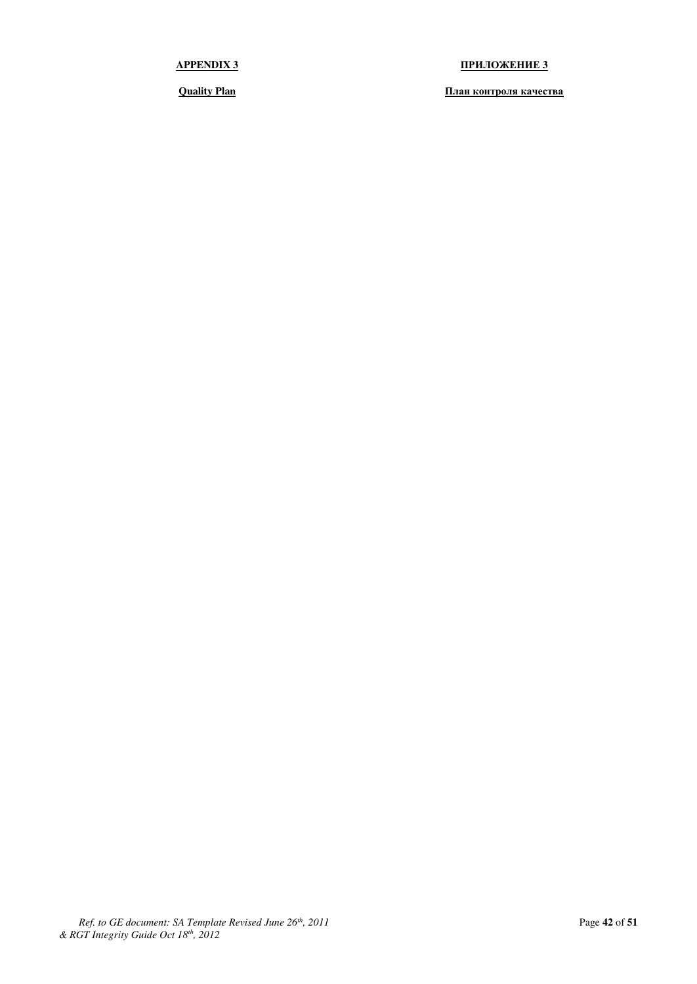**APPENDIX 3 ɉɊɂɅɈɀȿɇɂȿ 3** 

*<u><b>Ouality Plan l***<sub>***Il***</sub> <b>***<b>I<i>I<i>l <b>I*</u>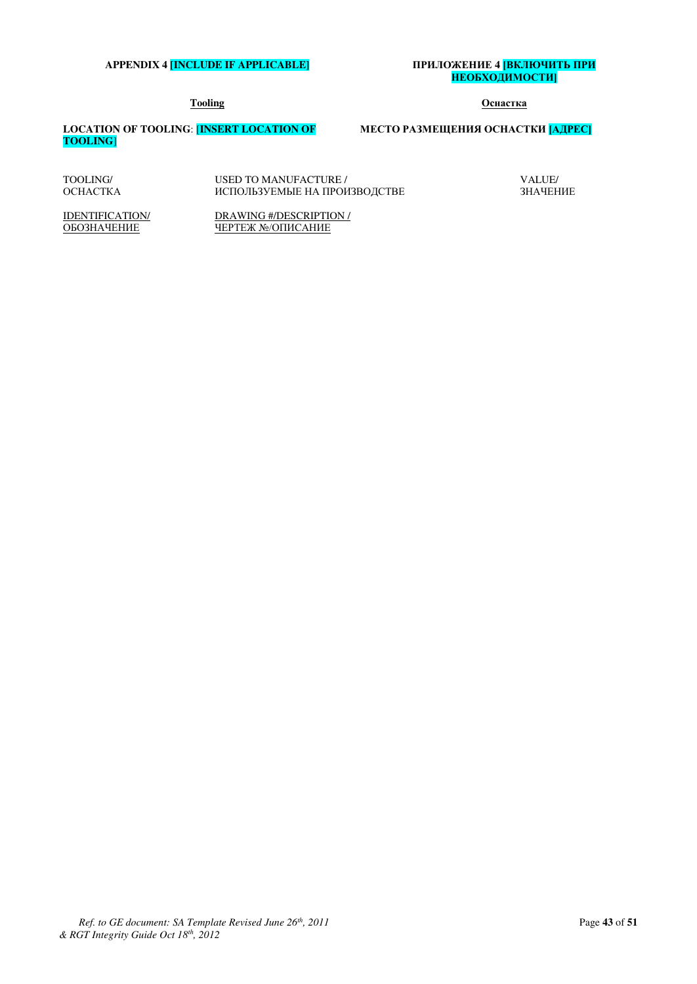### **APPENDIX 4 <b>[INCLUDE IF APPLICABLE]**

# ПРИЛОЖЕНИЕ 4 <mark>ІВКЛЮЧИТЬ ПРИ</mark><br><mark>НЕОБХОДИМОСТИ]</mark>

### **Tooling Ɉɫɧɚɫɬɤɚ**

VALUE/ ЗНАЧЕНИЕ

**LOCATION OF TOOLING**: [**INSERT LOCATION OF TOOLING**]

### МЕСТО РАЗМЕЩЕНИЯ ОСНАСТКИ [АДРЕС]

| TOOLING/        | USED TO MANUFACTURE /        |
|-----------------|------------------------------|
| <b>OCHACTKA</b> | ИСПОЛЬЗУЕМЫЕ НА ПРОИЗВОДСТВЕ |

IDENTIFICATION/ ОБОЗНАЧЕНИЕ

DRAWING #/DESCRIPTION / ЧЕРТЕЖ №/ОПИСАНИЕ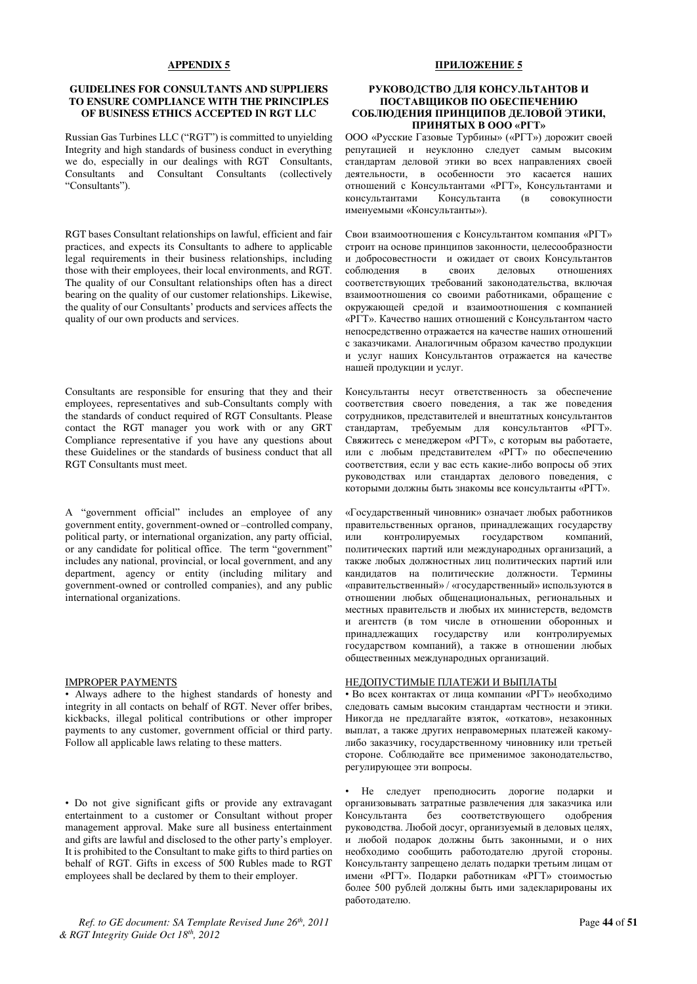#### **APPENDIX 5**

### **GUIDELINES FOR CONSULTANTS AND SUPPLIERS TO ENSURE COMPLIANCE WITH THE PRINCIPLES OF BUSINESS ETHICS ACCEPTED IN RGT LLC**

Russian Gas Turbines LLC ("RGT") is committed to unvielding Integrity and high standards of business conduct in everything we do, especially in our dealings with RGT Consultants,<br>Consultants and Consultant Consultants (collectively Consultants and Consultant Consultants "Consultants").

RGT bases Consultant relationships on lawful, efficient and fair practices, and expects its Consultants to adhere to applicable legal requirements in their business relationships, including those with their employees, their local environments, and RGT. The quality of our Consultant relationships often has a direct bearing on the quality of our customer relationships. Likewise, the quality of our Consultants' products and services affects the quality of our own products and services.

Consultants are responsible for ensuring that they and their employees, representatives and sub-Consultants comply with the standards of conduct required of RGT Consultants. Please contact the RGT manager you work with or any GRT Compliance representative if you have any questions about these Guidelines or the standards of business conduct that all RGT Consultants must meet.

A "government official" includes an employee of any government entity, government-owned or –controlled company, political party, or international organization, any party official, or any candidate for political office. The term "government" includes any national, provincial, or local government, and any department, agency or entity (including military and government-owned or controlled companies), and any public international organizations.

#### IMPROPER PAYMENTS

• Always adhere to the highest standards of honesty and integrity in all contacts on behalf of RGT. Never offer bribes, kickbacks, illegal political contributions or other improper payments to any customer, government official or third party. Follow all applicable laws relating to these matters.

• Do not give significant gifts or provide any extravagant entertainment to a customer or Consultant without proper management approval. Make sure all business entertainment and gifts are lawful and disclosed to the other party's employer. It is prohibited to the Consultant to make gifts to third parties on behalf of RGT. Gifts in excess of 500 Rubles made to RGT employees shall be declared by them to their employer.

#### ПРИЛОЖЕНИЕ 5

### РУКОВОЛСТВО ЛЛЯ КОНСУЛЬТАНТОВ И ПОСТАВШИКОВ ПО ОБЕСПЕЧЕНИЮ СОБЛЮДЕНИЯ ПРИНЦИПОВ ДЕЛОВОЙ ЭТИКИ, ПРИНЯТЫХ В ООО «РГТ»

ООО «Русские Газовые Турбины» («РГТ») дорожит своей репутацией и неуклонно следует самым высоким • станлартам леловой этики во всех направлениях своей деятельности, в особенности это касается наших отношений с Консультантами «РГТ», Консультантами и консультантами и Консультанта (в совокупности и<br>Консультанта именуемыми «Консультанты»).

Свои взаимоотношения с Консультантом компания «РГТ» строит на основе принципов законности, целесообразности и добросовестности и ожидает от своих Консультантов соблюдения в своих деловых отношениях соблюдения в своих соответствующих требований законодательства, включая взаимоотношения со своими работниками, обращение с окружающей средой и взаимоотношения с компанией «РГТ». Качество наших отношений с Консультантом часто непосредственно отражается на качестве наших отношений с заказчиками. Аналогичным образом качество продукции и услуг наших Консультантов отражается на качестве нашей продукции и услуг.

Консультанты несут ответственность за обеспечение соответствия своего поведения, а так же поведения сотрудников, представителей и внештатных консультантов стандартам, требуемым для консультантов «РГТ». Свяжитесь с менеджером «РГТ», с которым вы работаете, или с любым представителем «PГТ» по обеспечению соответствия, если у вас есть какие-либо вопросы об этих руковолствах или стандартах лелового поведения, с которыми должны быть знакомы все консультанты «РГТ».

«Государственный чиновник» означает любых работников правительственных органов, принадлежащих государству или контролируемых государством компаний, политических партий или международных организаций, а также любых должностных лиц политических партий или кандидатов на политические должности. Термины «правительственный» / «государственный» используются в отношении любых общенациональных, региональных и местных правительств и любых их министерств, ведомств и агентств (в том числе в отношении оборонных и принадлежащих государству или контролируемых принадлежащих государству или государством компаний), а также в отношении любых общественных международных организаций.

### НЕДОПУСТИМЫЕ ПЛАТЕЖИ И ВЫПЛАТЫ

• Во всех контактах от лица компании «РГТ» необходимо следовать самым высоким стандартам честности и этики. Никогда не предлагайте взяток, «откатов», незаконных выплат, а также других неправомерных платежей какомулибо заказчику, государственному чиновнику или третьей стороне. Соблюдайте все применимое законодательство, регулирующее эти вопросы.

• Не следует преподносить дорогие подарки и организовывать затратные развлечения для заказчика или<br>Консультанта и без исоответствующего олобрения соответствующего одобрения руководства. Любой досуг, организуемый в деловых целях, и любой подарок должны быть законными, и о них необходимо сообщить работодателю другой стороны. Консультанту запрещено делать подарки третьим лицам от имени «РГТ». Подарки работникам «РГТ» стоимостью более 500 рублей должны быть ими задекларированы их работодателю.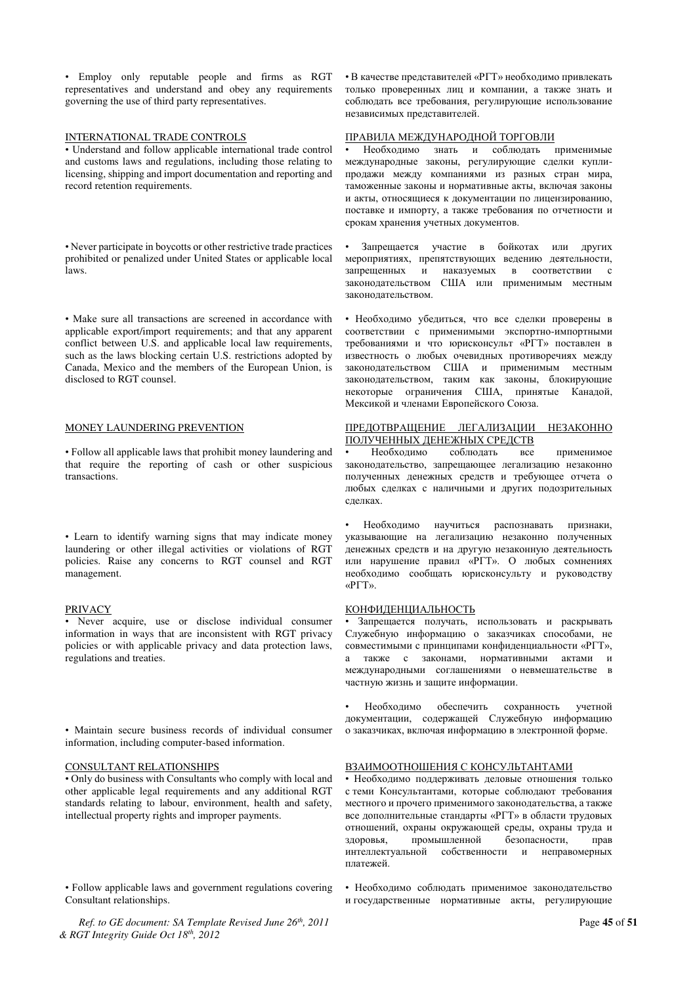• Employ only reputable people and firms as RGT representatives and understand and obey any requirements governing the use of third party representatives.

#### INTERNATIONAL TRADE CONTROLS

• Understand and follow applicable international trade control and customs laws and regulations, including those relating to licensing, shipping and import documentation and reporting and record retention requirements.

• Never participate in boycotts or other restrictive trade practices prohibited or penalized under United States or applicable local laws.

• Make sure all transactions are screened in accordance with applicable export/import requirements; and that any apparent conflict between U.S. and applicable local law requirements, such as the laws blocking certain U.S. restrictions adopted by Canada, Mexico and the members of the European Union, is disclosed to RGT counsel.

### MONEY LAUNDERING PREVENTION

• Follow all applicable laws that prohibit money laundering and that require the reporting of cash or other suspicious transactions.

• Learn to identify warning signs that may indicate money laundering or other illegal activities or violations of RGT policies. Raise any concerns to RGT counsel and RGT management.

#### PRIVACY

• Never acquire, use or disclose individual consumer information in ways that are inconsistent with RGT privacy policies or with applicable privacy and data protection laws, regulations and treaties.

• Maintain secure business records of individual consumer information, including computer-based information.

#### CONSULTANT RELATIONSHIPS

• Only do business with Consultants who comply with local and other applicable legal requirements and any additional RGT standards relating to labour, environment, health and safety, intellectual property rights and improper payments.

• Follow applicable laws and government regulations covering Consultant relationships.

*Ref. to GE document: SA Template Revised June 26th, 2011* Page **45** of **51** *& RGT Integrity Guide Oct 18th, 2012* 

• В качестве представителей «РГТ» необходимо привлекать только проверенных лиц и компании, а также знать и соблюдать все требования, регулирующие использование независимых представителей.

#### ПРАВИЛА МЕЖДУНАРОДНОЙ ТОРГОВЛИ

Необходимо знать и соблюдать применимые международные законы, регулирующие сделки куплипродажи между компаниями из разных стран мира, таможенные законы и нормативные акты, включая законы и акты, относящиеся к документации по лицензированию, поставке и импорту, а также требования по отчетности и срокам хранения учетных документов.

Запрещается участие в бойкотах или других мероприятиях, препятствующих ведению деятельности, запрещенных и наказуемых в соответствии с законодательством США или применимым местным законодательством.

• Необходимо убедиться, что все сделки проверены в соответствии с применимыми экспортно-импортными требованиями и что юрисконсульт «РГТ» поставлен в известность о любых очевидных противоречиях между законодательством США и применимым местным законодательством, таким как законы, блокирующие некоторые ограничения США, принятые Канадой, Мексикой и членами Европейского Союза.

### ПРЕДОТВРАЩЕНИЕ ЛЕГАЛИЗАЦИИ НЕЗАКОННО ПОЛУЧЕННЫХ ДЕНЕЖНЫХ СРЕДСТВ

• Необходимо соблюдать все применимое законодательство, запрещающее легализацию незаконно полученных денежных средств и требующее отчета о любых сделках с наличными и других подозрительных слелках.

Необходимо научиться распознавать признаки, указывающие на легализацию незаконно полученных денежных средств и на другую незаконную деятельность или нарушение правил «PГТ». О любых сомнениях необходимо сообщать юрисконсульту и руководству «РГТ».

#### КОНФИДЕНЦИАЛЬНОСТЬ

Запрещается получать, использовать и раскрывать Служебную информацию о заказчиках способами, не совместимыми с принципами конфиденциальности «РГТ», а также с законами, нормативными актами и международными соглашениями оневмешательстве в частную жизнь и защите информации.

Необходимо обеспечить сохранность учетной документации, содержащей Служебную информацию о заказчиках, включая информацию в электронной форме.

#### ВЗАИМООТНОШЕНИЯ С КОНСУЛЬТАНТАМИ

• Необходимо поддерживать деловые отношения только с теми Консультантами, которые соблюдают требования местного и прочего применимого законодательства, а также все дополнительные стандарты «PГТ» в области трудовых отношений, охраны окружающей среды, охраны труда и здоровья, промышленной безопасности, прав интеллектуальной собственности и неправомерных платежей.

• Необходимо соблюдать применимое законодательство и государственные нормативные акты, регулирующие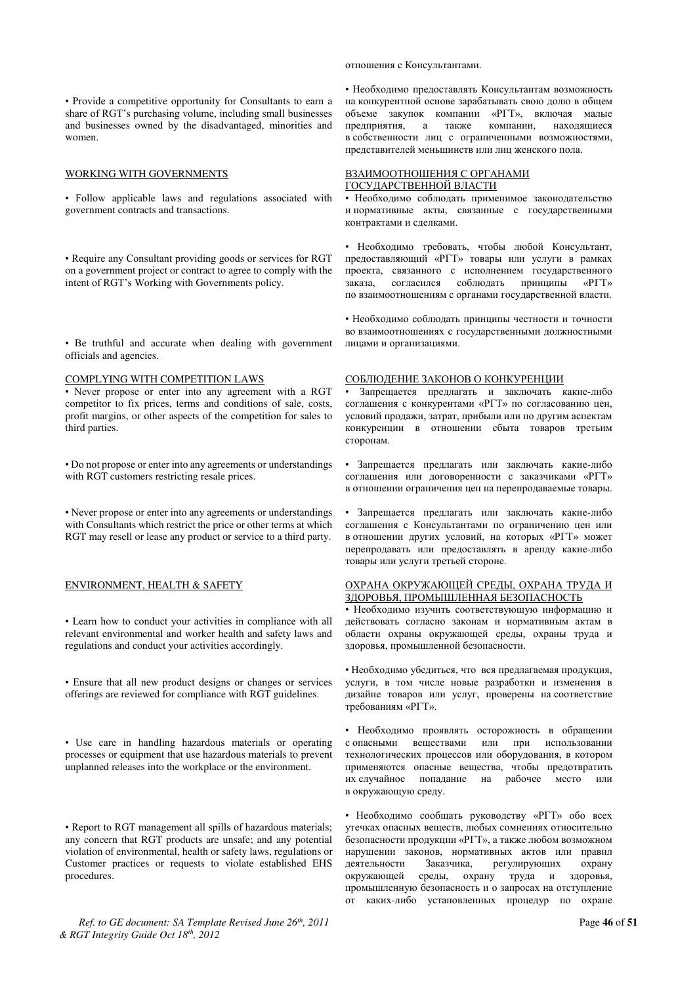• Provide a competitive opportunity for Consultants to earn a share of RGT's purchasing volume, including small businesses and businesses owned by the disadvantaged, minorities and women.

### WORKING WITH GOVERNMENTS

• Follow applicable laws and regulations associated with government contracts and transactions.

• Require any Consultant providing goods or services for RGT on a government project or contract to agree to comply with the intent of RGT's Working with Governments policy.

• Be truthful and accurate when dealing with government officials and agencies.

#### COMPLYING WITH COMPETITION LAWS

• Never propose or enter into any agreement with a RGT competitor to fix prices, terms and conditions of sale, costs, profit margins, or other aspects of the competition for sales to third parties.

• Do not propose or enter into any agreements or understandings with RGT customers restricting resale prices.

• Never propose or enter into any agreements or understandings with Consultants which restrict the price or other terms at which RGT may resell or lease any product or service to a third party.

#### ENVIRONMENT, HEALTH & SAFETY

• Learn how to conduct your activities in compliance with all relevant environmental and worker health and safety laws and regulations and conduct your activities accordingly.

• Ensure that all new product designs or changes or services offerings are reviewed for compliance with RGT guidelines.

• Use care in handling hazardous materials or operating processes or equipment that use hazardous materials to prevent unplanned releases into the workplace or the environment.

• Report to RGT management all spills of hazardous materials; any concern that RGT products are unsafe; and any potential violation of environmental, health or safety laws, regulations or Customer practices or requests to violate established EHS procedures.

*Ref. to GE document: SA Template Revised June 26th, 2011* Page **46** of **51** *& RGT Integrity Guide Oct 18th, 2012* 

#### отношения с Консультантами.

• Необходимо предоставлять Консультантам возможность на конкурентной основе зарабатывать свою долю в общем объеме закупок компании «РГТ», включая малые<br>предприятия, а также компании, находяшиеся предприятия, а также компании, находящиеся в собственности лиц с ограниченными возможностями, представителей меньшинств или лиц женского пола.

### ВЗАИМООТНОШЕНИЯ С ОРГАНАМИ ГОСУДАРСТВЕННОЙ ВЛАСТИ

• Необходимо соблюдать применимое законодательство и нормативные акты, связанные с государственными контрактами и сделками.

• Необходимо требовать, чтобы любой Консультант, предоставляющий «РГТ» товары или услуги в рамках проекта, связанного с исполнением государственного заказа, согласился соблюдать принципы «РГТ» по взаимоотношениям с органами государственной власти.

• Необходимо соблюдать принципы честности и точности во взаимоотношениях с государственными должностными лицами и организациями.

#### СОБЛЮДЕНИЕ ЗАКОНОВ О КОНКУРЕНЦИИ

Запрещается предлагать и заключать какие-либо соглашения с конкурентами «РГТ» по согласованию цен. условий продажи, затрат, прибыли или по другим аспектам • конкуренции в отношении сбыта товаров третьим сторонам.

• Запрещается предлагать или заключать какие-либо соглашения или договоренности с заказчиками «РГТ» в отношении ограничения цен на перепродаваемые товары.

• Запрещается предлагать или заключать какие-либо соглашения с Консультантами по ограничению цен или в отношении других условий, на которых «РГТ» может перепродавать или предоставлять в аренду какие-либо товары или услуги третьей стороне.

### ОХРАНА ОКРУЖАЮЩЕЙ СРЕДЫ, ОХРАНА ТРУДА И ЗДОРОВЬЯ, ПРОМЫШЛЕННАЯ БЕЗОПАСНОСТЬ

• Необходимо изучить соответствующую информацию и действовать согласно законам и нормативным актам в области охраны окружающей среды, охраны труда и здоровья, промышленной безопасности.

• Необходимо убедиться, что вся предлагаемая продукция, услуги, в том числе новые разработки и изменения в дизайне товаров или услуг, проверены на соответствие требованиям «РГТ».

• Необходимо проявлять осторожность в обращении с опасными веществами или при использовании технологических процессов или оборудования, в котором применяются опасные вещества, чтобы предотвратить их случайное попадание на рабочее место или в окружающую среду.

• Необходимо сообщать руководству «РГТ» обо всех утечках опасных веществ, любых сомнениях относительно безопасности продукции «РГТ», а также любом возможном нарушении законов, нормативных актов или правил деятельности Заказчика, регулирующих охрану окружающей среды, охрану труда и здоровья, промышленную безопасность и о запросах на отступление от каких-либо установленных процедур по охране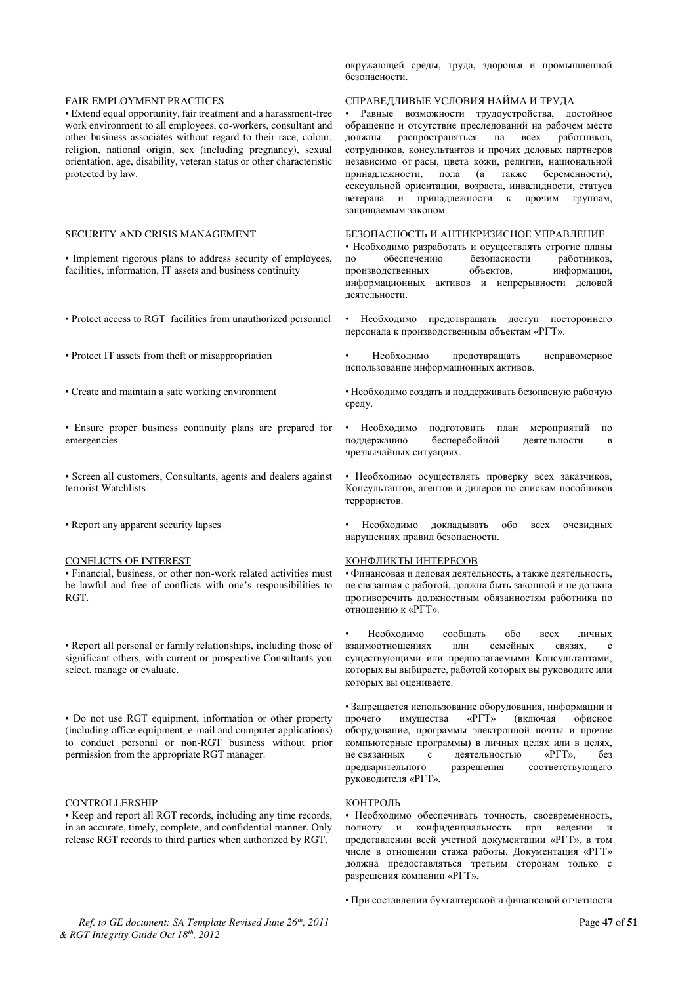#### FAIR EMPLOYMENT PRACTICES

• Extend equal opportunity, fair treatment and a harassment-free work environment to all employees, co-workers, consultant and other business associates without regard to their race, colour, religion, national origin, sex (including pregnancy), sexual orientation, age, disability, veteran status or other characteristic protected by law.

#### SECURITY AND CRISIS MANAGEMENT

• Implement rigorous plans to address security of employees, facilities, information, IT assets and business continuity

- Protect access to RGT facilities from unauthorized personnel
- Protect IT assets from theft or misappropriation
- Create and maintain a safe working environment
- Ensure proper business continuity plans are prepared for emergencies
- Screen all customers, Consultants, agents and dealers against terrorist Watchlists
- Report any apparent security lapses

#### CONFLICTS OF INTEREST

• Financial, business, or other non-work related activities must be lawful and free of conflicts with one's responsibilities to RGT.

• Report all personal or family relationships, including those of significant others, with current or prospective Consultants you select, manage or evaluate.

• Do not use RGT equipment, information or other property (including office equipment, e-mail and computer applications) to conduct personal or non-RGT business without prior permission from the appropriate RGT manager.

### CONTROLLERSHIP

• Keep and report all RGT records, including any time records, in an accurate, timely, complete, and confidential manner. Only release RGT records to third parties when authorized by RGT.

окружающей среды, труда, здоровья и промышленной безопасности

#### СПРАВЕДЛИВЫЕ УСЛОВИЯ НАЙМА И ТРУДА

Равные возможности трудоустройства, достойное обращение и отсутствие преследований на рабочем месте должны распространяться на всех работников, должны распространяться на всех работников, сотрудников, консультантов и прочих деловых партнеров независимо от расы, цвета кожи, религии, национальной<br>принадлежности, пола (а также беременности), принадлежности, пола (а сексуальной ориентации, возраста, инвалидности, статуса ветерана и принадлежности к прочим группам, защищаемым законом.

#### БЕЗОПАСНОСТЬ И АНТИКРИЗИСНОЕ УПРАВЛЕНИЕ

• Необходимо разработать и осуществлять строгие планы по обеспечению безопасности работников, производственных объектов, информации, информационных активов и непрерывности деловой деятельности.

- Необходимо предотвращать доступ постороннего персонала к производственным объектам «РГТ».
- Необходимо предотвращать неправомерное использование информационных активов.

• Необходимо создать и поддерживать безопасную рабочую среду.

- Необходимо подготовить план мероприятий по<br>поддержанию бесперебойной деятельности в бесперебойной деятельности в чрезвычайных ситуациях.
- Необходимо осуществлять проверку всех заказчиков, Консультантов, агентов и дилеров по спискам пособников террористов.

Необходимо докладывать обо всех очевидных нарушениях правил безопасности.

#### КОНФЛИКТЫ ИНТЕРЕСОВ

• Финансовая и деловая деятельность, а также деятельность, не связанная с работой, должна быть законной и не должна противоречить должностным обязанностям работника по отношению к «РГТ».

—<br>• Необходимо сообщать обо всех личных<br>• или семейных связях, с взаимоотношениях или семейных связях, с существующими или предполагаемыми Консультантами, которых вы выбираете, работой которых вы руководите или которых вы оцениваете.

• Запрещается использование оборудования, информации и прочего имущества «РГТ» (включая офисное оборудование, программы электронной почты и прочие компьютерные программы) в личных целях или в целях, не связанных с деятельностью «РГТ», без предварительного разрешения соответствующего руководителя «РГТ».

#### КОНТРОЛЬ

• Необходимо обеспечивать точность, своевременность, полноту и конфиденциальность при ведении и представлении всей учетной документации «РГТ», в том числе в отношении стажа работы. Документация «РГТ» должна предоставляться третьим сторонам только с разрешения компании «РГТ».

• При составлении бухгалтерской и финансовой отчетности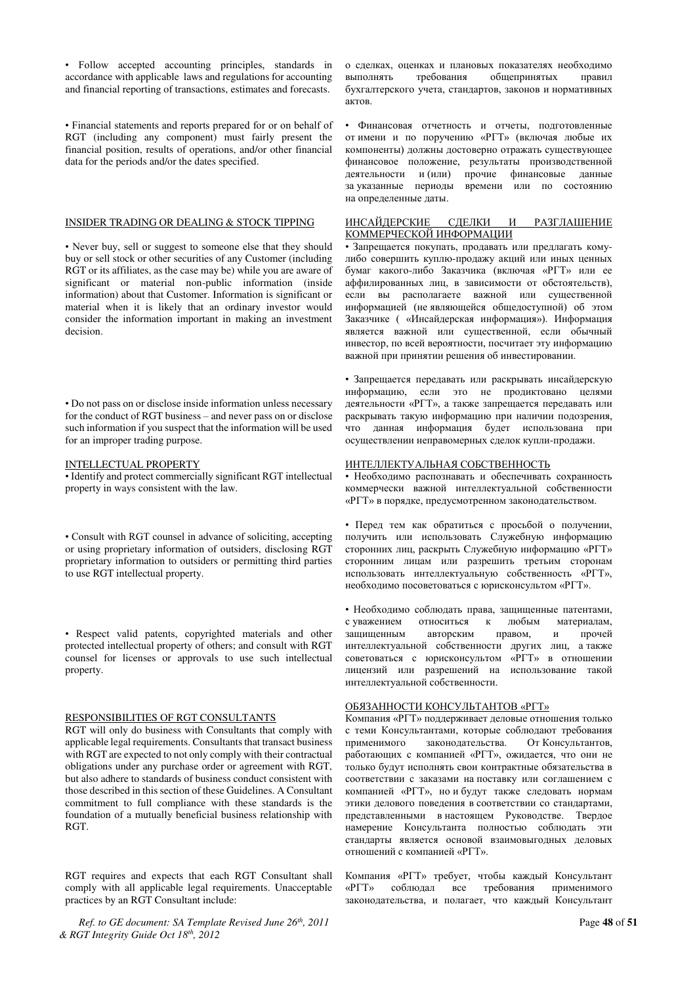• Follow accepted accounting principles, standards in accordance with applicable laws and regulations for accounting and financial reporting of transactions, estimates and forecasts.

• Financial statements and reports prepared for or on behalf of RGT (including any component) must fairly present the financial position, results of operations, and/or other financial data for the periods and/or the dates specified.

#### INSIDER TRADING OR DEALING & STOCK TIPPING

• Never buy, sell or suggest to someone else that they should buy or sell stock or other securities of any Customer (including RGT or its affiliates, as the case may be) while you are aware of significant or material non-public information (inside information) about that Customer. Information is significant or material when it is likely that an ordinary investor would consider the information important in making an investment decision.

• Do not pass on or disclose inside information unless necessary for the conduct of RGT business – and never pass on or disclose such information if you suspect that the information will be used for an improper trading purpose.

#### INTELLECTUAL PROPERTY

• Identify and protect commercially significant RGT intellectual property in ways consistent with the law.

• Consult with RGT counsel in advance of soliciting, accepting or using proprietary information of outsiders, disclosing RGT proprietary information to outsiders or permitting third parties to use RGT intellectual property.

• Respect valid patents, copyrighted materials and other protected intellectual property of others; and consult with RGT counsel for licenses or approvals to use such intellectual property.

### RESPONSIBILITIES OF RGT CONSULTANTS

RGT will only do business with Consultants that comply with applicable legal requirements. Consultants that transact business with RGT are expected to not only comply with their contractual obligations under any purchase order or agreement with RGT, but also adhere to standards of business conduct consistent with those described in this section of these Guidelines. A Consultant commitment to full compliance with these standards is the foundation of a mutually beneficial business relationship with RGT.

RGT requires and expects that each RGT Consultant shall comply with all applicable legal requirements. Unacceptable practices by an RGT Consultant include:

*Ref. to GE document: SA Template Revised June 26th, 2011* Page **48** of **51** *& RGT Integrity Guide Oct 18th, 2012* 

о сделках, оценках и плановых показателях необходимо выполнять требования общепринятых правил бухгалтерского учета, стандартов, законов и нормативных aktor<sub>b</sub>

• Финансовая отчетность и отчеты, подготовленные от имени и по поручению «PГТ» (включая любые их компоненты) должны достоверно отражать существующее финансовое положение, результаты производственной деятельности и (или) прочие финансовые данные за указанные периоды времени или по состоянию на определенные даты.

### ИНСАЙДЕРСКИЕ СДЕЛКИ И РАЗГЛАШЕНИЕ КОММЕРЧЕСКОЙ ИНФОРМАЦИИ

• Запрещается покупать, продавать или предлагать комулибо совершить куплю-продажу акций или иных ценных бумаг какого-либо Заказчика (включая «РГТ» или ее аффилированных лиц, в зависимости от обстоятельств), если вы располагаете важной или существенной информацией (не являющейся общедоступной) об этом Заказчике ( «Инсайдерская информация»). Информация является важной или существенной, если обычный инвестор, по всей вероятности, посчитает эту информацию важной при принятии решения об инвестировании.

• Запрещается передавать или раскрывать инсайдерскую информацию, если это не продиктовано целями деятельности «PГТ», а также запрещается передавать или раскрывать такую информацию при наличии подозрения, что данная информация будет использована при осуществлении неправомерных сделок купли-продажи.

#### ИНТЕЛЛЕКТУАЛЬНАЯ СОБСТВЕННОСТЬ

• Необходимо распознавать и обеспечивать сохранность коммерчески важной интеллектуальной собственности «РГТ» в порядке, предусмотренном законодательством.

• Перед тем как обратиться с просьбой о получении, получить или использовать Служебную информацию сторонних лиц, раскрыть Служебную информацию «РГТ» сторонним лицам или разрешить третьим сторонам использовать интеллектуальную собственность «PГТ», необходимо посоветоваться с юрисконсультом «РГТ».

• Необходимо соблюдать права, защищенные патентами, с уважением относиться к любым материалам,<br>защищенным авторским правом, и прочей защищенным интеллектуальной собственности других лиц, а также советоваться с юрисконсультом «РГТ» в отношении лицензий или разрешений на использование такой интеллектуальной собственности.

#### ОБЯЗАННОСТИ КОНСУЛЬТАНТОВ «РГТ»

Компания «РГТ» поддерживает деловые отношения только с теми Консультантами, которые соблюдают требования<br>применимого законодательства. От Консультантов, законодательства. От Консультантов, работающих с компанией «РГТ», ожидается, что они не только будут исполнять свои контрактные обязательства в соответствии с заказами на поставку или соглашением с компанией «РГТ», но и будут также следовать нормам этики делового поведения в соответствии со стандартами, представленными в настоящем Руководстве. Твердое намерение Консультанта полностью соблюдать эти стандарты является основой взаимовыгодных деловых отношений с компанией «РГТ».

Компания «РГТ» требует, чтобы каждый Консультант<br>«РГТ» соблюдал все требования применимого «PГТ» соблюдал все требования применимого законодательства, и полагает, что каждый Консультант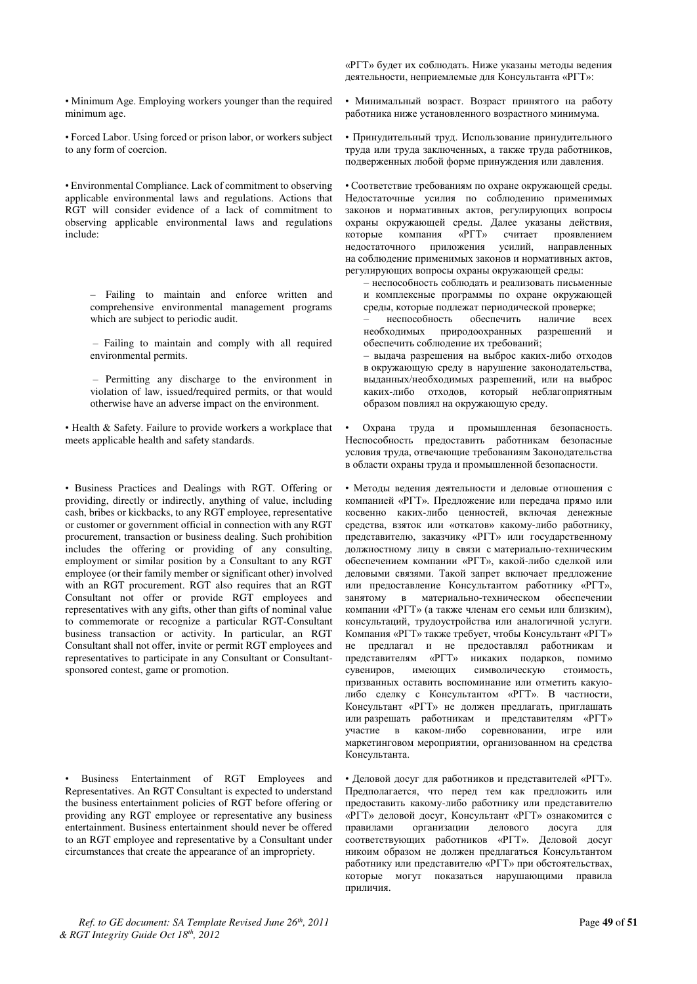• Minimum Age. Employing workers younger than the required minimum age.

• Forced Labor. Using forced or prison labor, or workers subject to any form of coercion.

• Environmental Compliance. Lack of commitment to observing applicable environmental laws and regulations. Actions that RGT will consider evidence of a lack of commitment to observing applicable environmental laws and regulations include:

– Failing to maintain and enforce written and comprehensive environmental management programs which are subject to periodic audit.

– Failing to maintain and comply with all required environmental permits.

– Permitting any discharge to the environment in violation of law, issued/required permits, or that would otherwise have an adverse impact on the environment.

• Health & Safety. Failure to provide workers a workplace that meets applicable health and safety standards.

• Business Practices and Dealings with RGT. Offering or providing, directly or indirectly, anything of value, including cash, bribes or kickbacks, to any RGT employee, representative or customer or government official in connection with any RGT procurement, transaction or business dealing. Such prohibition includes the offering or providing of any consulting, employment or similar position by a Consultant to any RGT employee (or their family member or significant other) involved with an RGT procurement. RGT also requires that an RGT Consultant not offer or provide RGT employees and representatives with any gifts, other than gifts of nominal value to commemorate or recognize a particular RGT-Consultant business transaction or activity. In particular, an RGT Consultant shall not offer, invite or permit RGT employees and representatives to participate in any Consultant or Consultantsponsored contest, game or promotion.

• Business Entertainment of RGT Employees and Representatives. An RGT Consultant is expected to understand the business entertainment policies of RGT before offering or providing any RGT employee or representative any business entertainment. Business entertainment should never be offered to an RGT employee and representative by a Consultant under circumstances that create the appearance of an impropriety.

«РГТ» будет их соблюдать. Ниже указаны методы ведения деятельности, неприемлемые для Консультанта «РГТ»:

• Минимальный возраст. Возраст принятого на работу работника ниже установленного возрастного минимума.

• Принудительный труд. Использование принудительного труда или труда заключенных, а также труда работников, подверженных любой форме принуждения или давления.

• Соответствие требованиям по охране окружающей среды. Недостаточные усилия по соблюдению применимых законов и нормативных актов, регулирующих вопросы охраны окружающей среды. Далее указаны действия,  $\overline{X}$   $\overline{Y}$   $\overline{Y}$   $\overline{Y}$   $\overline{Y}$   $\overline{Y}$   $\overline{Y}$   $\overline{Y}$   $\overline{Y}$   $\overline{Y}$   $\overline{Y}$   $\overline{Y}$   $\overline{Y}$   $\overline{Y}$   $\overline{Y}$   $\overline{Y}$   $\overline{Y}$   $\overline{Y}$   $\overline{Y}$   $\overline{Y}$   $\overline{Y}$   $\overline{Y}$   $\overline{Y}$   $\overline{Y}$   $\overline$ недостаточного приложения усилий, направленных на соблюдение применимых законов и нормативных актов, регулирующих вопросы охраны окружающей среды:

– неспособность соблюдать и реализовать письменные и комплексные программы по охране окружающей среды, которые подлежат периодической проверке;<br>- инеспособность обеспечить наличие в

неспособность обеспечить наличие всех<br>ходимых природоохранных разрешений и необходимых природоохранных разрешений и обеспечить соблюдение их требований;

– выдача разрешения на выброс каких-либо отходов в окружающую среду в нарушение законодательства, выданных/необходимых разрешений, или на выброс каких-либо отходов, который неблагоприятным образом повлиял на окружающую среду.

Охрана труда и промышленная безопасность. Неспособность предоставить работникам безопасные условия труда, отвечающие требованиям Законодательства в области охраны труда и промышленной безопасности.

• Методы ведения деятельности и деловые отношения с компанией «РГТ». Предложение или передача прямо или косвенно каких-либо ценностей, включая денежные средства, взяток или «откатов» какому-либо работнику, представителю, заказчику «РГТ» или государственному должностному лицу в связи с материально-техническим обеспечением компании «РГТ», какой-либо сделкой или деловыми связями. Такой запрет включает предложение или предоставление Консультантом работнику «РГТ», занятому в материально-техническом обеспечении компании «РГТ» (а также членам его семьи или близким), консультаций, трудоустройства или аналогичной услуги. Компания «РГТ» также требует, чтобы Консультант «РГТ» не предлагал и не предоставлял работникам и представителям «РГТ» никаких подарков, помимо сувениров, имеющих символическую стоимость, символическую призванных оставить воспоминание или отметить какуюлибо сделку с Консультантом «РГТ». В частности, Консультант «РГТ» не должен предлагать, приглашать или разрешать работникам и представителям «РГТ» участие в каком-либо соревновании, игре или маркетинговом мероприятии, организованном на средства Консультанта.

• Деловой досуг для работников и представителей «РГТ». Предполагается, что перед тем как предложить или предоставить какому-либо работнику или представителю «РГТ» деловой досут, Консультант «РГТ» ознакомится с правилами с организации делового досуга для делового досуга для соответствующих работников «РГТ». Деловой досуг никоим образом не должен предлагаться Консультантом работнику или представителю «РГТ» при обстоятельствах, исторые могут показаться нарушающими правила приличия.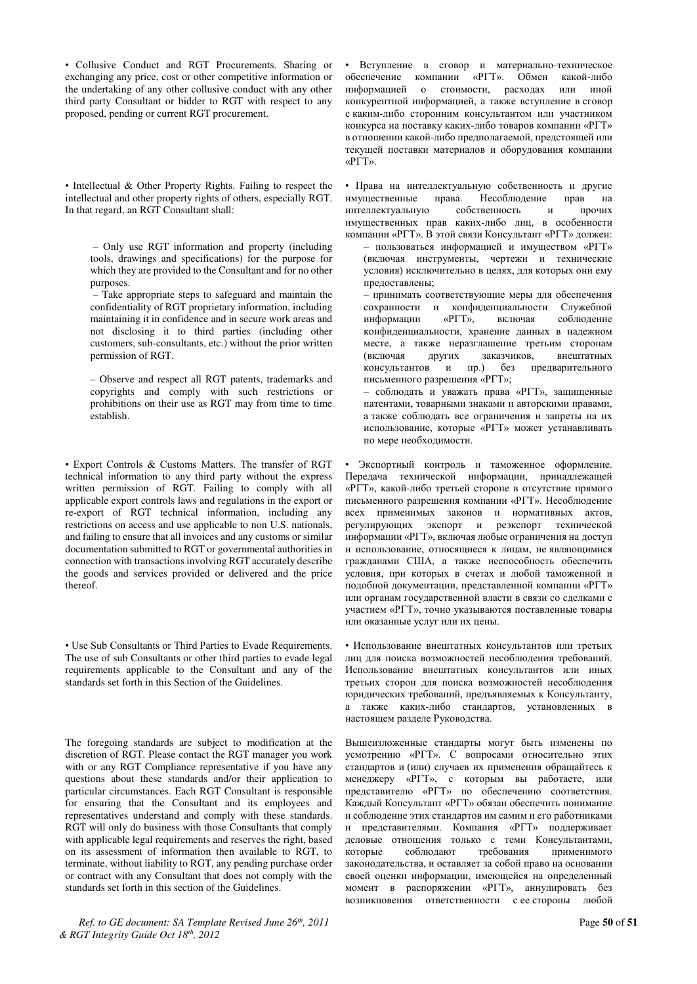• Collusive Conduct and RGT Procurements. Sharing or exchanging any price, cost or other competitive information or the undertaking of any other collusive conduct with any other third party Consultant or bidder to RGT with respect to any proposed, pending or current RGT procurement.

• Intellectual & Other Property Rights. Failing to respect the intellectual and other property rights of others, especially RGT. In that regard, an RGT Consultant shall:

– Only use RGT information and property (including tools, drawings and specifications) for the purpose for which they are provided to the Consultant and for no other purposes.

– Take appropriate steps to safeguard and maintain the confidentiality of RGT proprietary information, including maintaining it in confidence and in secure work areas and not disclosing it to third parties (including other customers, sub-consultants, etc.) without the prior written permission of RGT.

– Observe and respect all RGT patents, trademarks and copyrights and comply with such restrictions or prohibitions on their use as RGT may from time to time establish.

• Export Controls & Customs Matters. The transfer of RGT technical information to any third party without the express written permission of RGT. Failing to comply with all applicable export controls laws and regulations in the export or re-export of RGT technical information, including any restrictions on access and use applicable to non U.S. nationals, and failing to ensure that all invoices and any customs or similar documentation submitted to RGT or governmental authorities in connection with transactions involving RGT accurately describe the goods and services provided or delivered and the price thereof.

• Use Sub Consultants or Third Parties to Evade Requirements. The use of sub Consultants or other third parties to evade legal requirements applicable to the Consultant and any of the standards set forth in this Section of the Guidelines.

The foregoing standards are subject to modification at the discretion of RGT. Please contact the RGT manager you work with or any RGT Compliance representative if you have any questions about these standards and/or their application to particular circumstances. Each RGT Consultant is responsible for ensuring that the Consultant and its employees and representatives understand and comply with these standards. RGT will only do business with those Consultants that comply with applicable legal requirements and reserves the right, based on its assessment of information then available to RGT, to terminate, without liability to RGT, any pending purchase order or contract with any Consultant that does not comply with the standards set forth in this section of the Guidelines.

*Ref. to GE document: SA Template Revised June 26th, 2011* Page **50** of **51** *& RGT Integrity Guide Oct 18th, 2012* 

Вступление в сговор и материально-техническое обеспечение компании «РГТ». Обмен какой-либо информацией о стоимости, расходах или иной конкурентной информацией, а также вступление в сговор с каким-либо сторонним консультантом или участником конкурса на поставку каких-либо товаров компании «РГТ» в отношении какой-либо предполагаемой, предстоящей или текущей поставки материалов и оборудования компании «PLT»

• Права на интеллектуальную собственность и другие<br>имущественные права. Несоблюдение прав на имущественные права. Несоблюдение прав на<br>интеллектуальную собственность и прочих интеллектуальную собственность и имущественных прав каких-либо лиц, в особенности компании «PГТ». В этой связи Консультант «PГТ» лолжен:

– пользоваться информацией и имуществом «РГТ» (включая инструменты, чертежи и технические условия) исключительно в целях, для которых они ему предоставлены;

- принимать соответствующие меры для обеспечения сохранности и конфиденциальности Служебной<br>информации «РГТ» включая соблюдение информации «РГТ», включая конфиденциальности, хранение данных в надежном месте, а также неразглашение третьим сторонам (включая других заказчиков, внештатных<br>консультантов и пр.) без предварительного и пр.) без предварительного письменного разрешения «РГТ»;

– соблюдать и уважать права «РГТ», защищенные патентами, товарными знаками и авторскими правами, а также соблюдать все ограничения и запреты на их использование, которые «PГТ» может устанавливать по мере необходимости.

Экспортный контроль и таможенное оформление. Передача технической информации, принадлежащей «РГТ», какой-либо третьей стороне в отсутствие прямого письменного разрешения компании «РГТ». Несоблюдение всех применимых законов и нормативных актов, регулирующих экспорт и реэкспорт технической регулирующих экспорт и информации «РГТ», включая любые ограничения на доступ и использование, относящиеся к лицам, не являющимися гражданами США, а также неспособность обеспечить условия, при которых в счетах и любой таможенной и подобной документации, представленной компании «РГТ» или органам государственной власти в связи со сделками с участием «РГТ», точно указываются поставленные товары йли оказанные услуг или их цены.

• Использование внештатных консультантов или третьих лиц для поиска возможностей несоблюдения требований. Использование внештатных консультантов или иных третьих сторон для поиска возможностей несоблюдения юридических требований, предъявляемых к Консультанту, а также каких-либо стандартов, установленных в настоящем разделе Руководства.

Вышеизложенные стандарты могут быть изменены по усмотрению «РГТ». С вопросами относительно этих стандартов и (или) случаев их применения обращайтесь к менеджеру «РГТ», с которым вы работаете, или представителю «PГТ» по обеспечению соответствия. Каждый Консультант «РГТ» обязан обеспечить понимание и соблюдение этих стандартов им самим и его работниками и представителями. Компания «РГТ» поддерживает деловые отношения только с теми Консультантами, которые соблюдают требования применимого законодательства, и оставляет за собой право на основании своей оценки информации, имеющейся на определенный момент в распоряжении «РГТ», аннулировать без возникновения ответственности с ее стороны любой